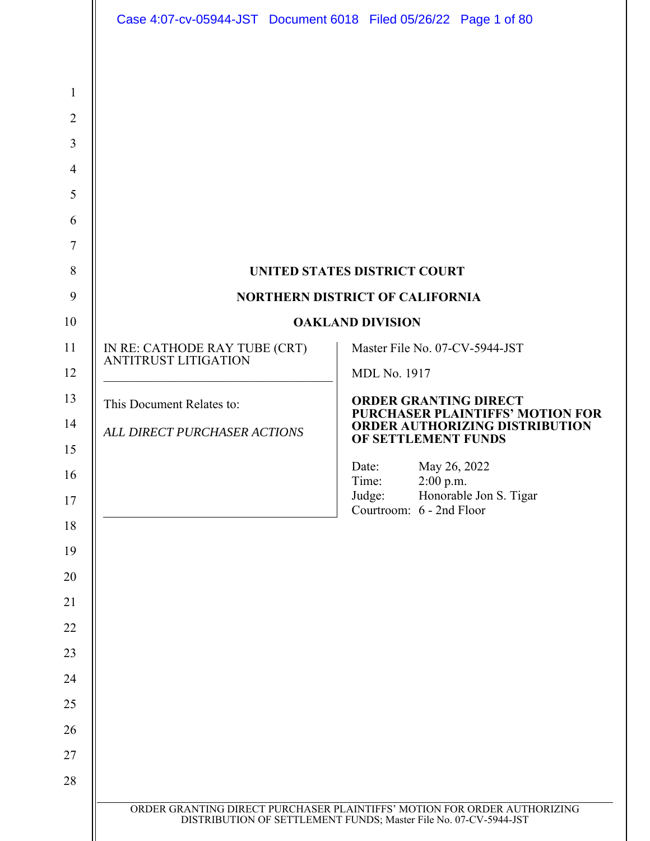|                                                              | Case 4:07-cv-05944-JST Document 6018 Filed 05/26/22 Page 1 of 80        |
|--------------------------------------------------------------|-------------------------------------------------------------------------|
|                                                              |                                                                         |
|                                                              |                                                                         |
|                                                              |                                                                         |
|                                                              |                                                                         |
|                                                              |                                                                         |
|                                                              |                                                                         |
|                                                              |                                                                         |
|                                                              | UNITED STATES DISTRICT COURT                                            |
|                                                              | <b>NORTHERN DISTRICT OF CALIFORNIA</b>                                  |
|                                                              | <b>OAKLAND DIVISION</b>                                                 |
| IN RE: CATHODE RAY TUBE (CRT)<br><b>ANTITRUST LITIGATION</b> | Master File No. 07-CV-5944-JST                                          |
|                                                              | <b>MDL No. 1917</b>                                                     |
| This Document Relates to:                                    | <b>ORDER GRANTING DIRECT</b><br><b>PURCHASER PLAINTIFFS' MOTION FOR</b> |
| ALL DIRECT PURCHASER ACTIONS                                 | <b>ORDER AUTHORIZING DISTRIBUTION</b><br>OF SETTLEMENT FUNDS            |
|                                                              | May 26, 2022<br>Date:                                                   |
|                                                              | Time:<br>$2:00$ p.m.<br>Judge:<br>Honorable Jon S. Tigar                |
|                                                              | Courtroom: 6 - 2nd Floor                                                |
|                                                              |                                                                         |
|                                                              |                                                                         |
|                                                              |                                                                         |
|                                                              |                                                                         |
|                                                              |                                                                         |
|                                                              |                                                                         |
|                                                              |                                                                         |
|                                                              |                                                                         |
|                                                              |                                                                         |
|                                                              |                                                                         |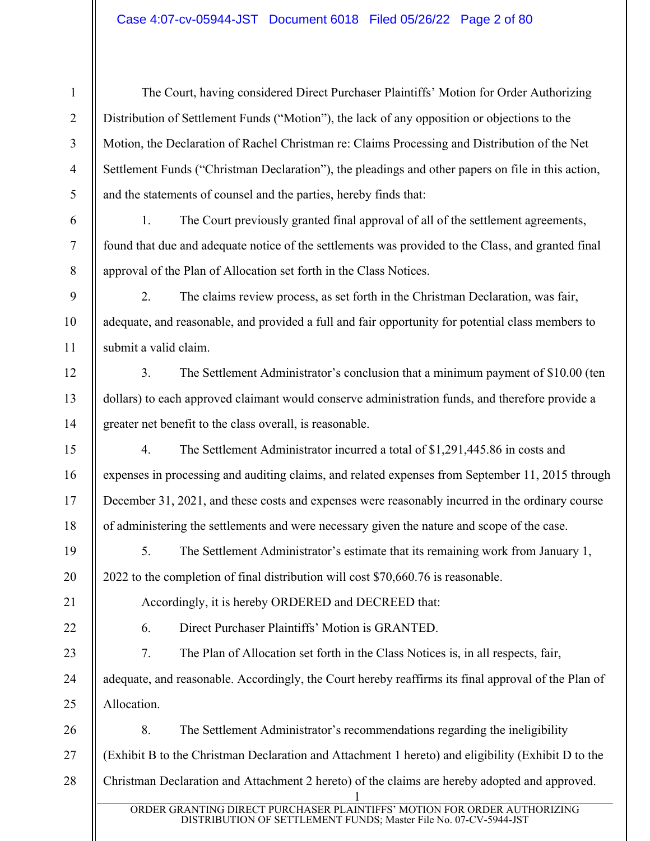The Court, having considered Direct Purchaser Plaintiffs' Motion for Order Authorizing Distribution of Settlement Funds ("Motion"), the lack of any opposition or objections to the Motion, the Declaration of Rachel Christman re: Claims Processing and Distribution of the Net Settlement Funds ("Christman Declaration"), the pleadings and other papers on file in this action, and the statements of counsel and the parties, hereby finds that:

1. The Court previously granted final approval of all of the settlement agreements, found that due and adequate notice of the settlements was provided to the Class, and granted final approval of the Plan of Allocation set forth in the Class Notices.

2. The claims review process, as set forth in the Christman Declaration, was fair, adequate, and reasonable, and provided a full and fair opportunity for potential class members to submit a valid claim.

3. The Settlement Administrator's conclusion that a minimum payment of \$10.00 (ten dollars) to each approved claimant would conserve administration funds, and therefore provide a greater net benefit to the class overall, is reasonable.

4. The Settlement Administrator incurred a total of \$1,291,445.86 in costs and expenses in processing and auditing claims, and related expenses from September 11, 2015 through December 31, 2021, and these costs and expenses were reasonably incurred in the ordinary course of administering the settlements and were necessary given the nature and scope of the case.

5. The Settlement Administrator's estimate that its remaining work from January 1, 2022 to the completion of final distribution will cost \$70,660.76 is reasonable.

1

2

3

4

5

6

7

8

9

10

11

12

13

14

15

16

17

18

19

20

21

22

23

24

25

Accordingly, it is hereby ORDERED and DECREED that:

6. Direct Purchaser Plaintiffs' Motion is GRANTED.

7. The Plan of Allocation set forth in the Class Notices is, in all respects, fair, adequate, and reasonable. Accordingly, the Court hereby reaffirms its final approval of the Plan of Allocation.

1 26 27 28 8. The Settlement Administrator's recommendations regarding the ineligibility (Exhibit B to the Christman Declaration and Attachment 1 hereto) and eligibility (Exhibit D to the Christman Declaration and Attachment 2 hereto) of the claims are hereby adopted and approved.

ORDER GRANTING DIRECT PURCHASER PLAINTIFFS' MOTION FOR ORDER AUTHORIZING DISTRIBUTION OF SETTLEMENT FUNDS; Master File No. 07-CV-5944-JST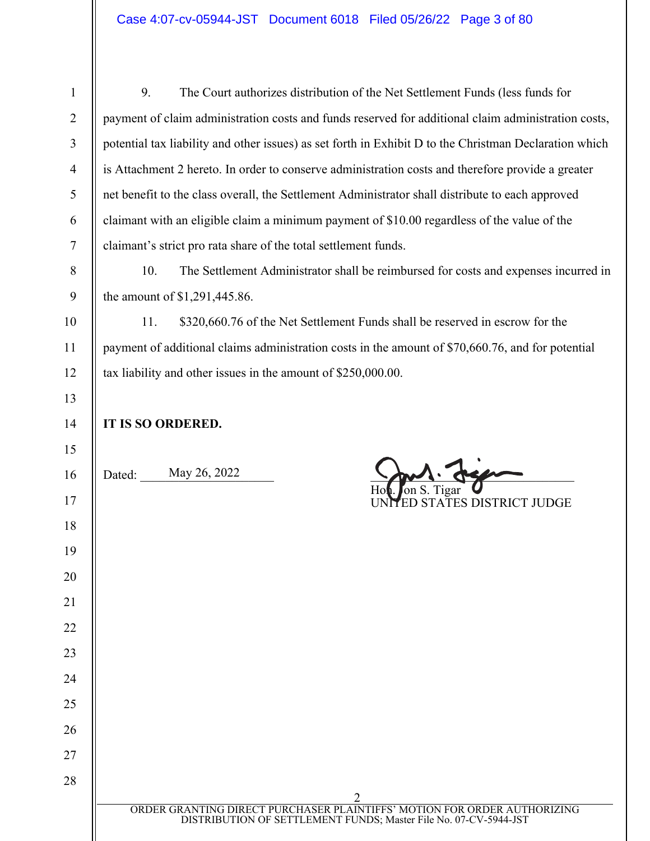| 1              | 9.<br>The Court authorizes distribution of the Net Settlement Funds (less funds for                    |
|----------------|--------------------------------------------------------------------------------------------------------|
| 2              | payment of claim administration costs and funds reserved for additional claim administration costs,    |
| $\overline{3}$ | potential tax liability and other issues) as set forth in Exhibit D to the Christman Declaration which |
| $\overline{4}$ | is Attachment 2 hereto. In order to conserve administration costs and therefore provide a greater      |
| 5 <sup>5</sup> | net benefit to the class overall, the Settlement Administrator shall distribute to each approved       |
| 6              | claimant with an eligible claim a minimum payment of \$10.00 regardless of the value of the            |
|                | claimant's strict pro rata share of the total settlement funds.                                        |
| 8              | The Settlement Administrator shall be reimbursed for costs and expenses incurred in<br>10.             |

the amount of \$1,291,445.86.

11. \$320,660.76 of the Net Settlement Funds shall be reserved in escrow for the payment of additional claims administration costs in the amount of \$70,660.76, and for potential tax liability and other issues in the amount of \$250,000.00.

9

10

11

12

| 13     |                                                                                                                                              |
|--------|----------------------------------------------------------------------------------------------------------------------------------------------|
| 14     | IT IS SO ORDERED.                                                                                                                            |
| 15     |                                                                                                                                              |
| 16     | May 26, 2022<br>Dated:                                                                                                                       |
| 17     | Hot. on S. Tigar <b>U</b><br>UNITED STATES DISTRICT JUDGE                                                                                    |
| 18     |                                                                                                                                              |
| 19     |                                                                                                                                              |
| 20     |                                                                                                                                              |
| 21     |                                                                                                                                              |
| 22     |                                                                                                                                              |
| 23     |                                                                                                                                              |
| 24     |                                                                                                                                              |
| 25     |                                                                                                                                              |
| 26     |                                                                                                                                              |
| $27\,$ |                                                                                                                                              |
| 28     |                                                                                                                                              |
|        | $\overline{2}$                                                                                                                               |
|        | ORDER GRANTING DIRECT PURCHASER PLAINTIFFS' MOTION FOR ORDER AUTHORIZING<br>DISTRIBUTION OF SETTLEMENT FUNDS; Master File No. 07-CV-5944-JST |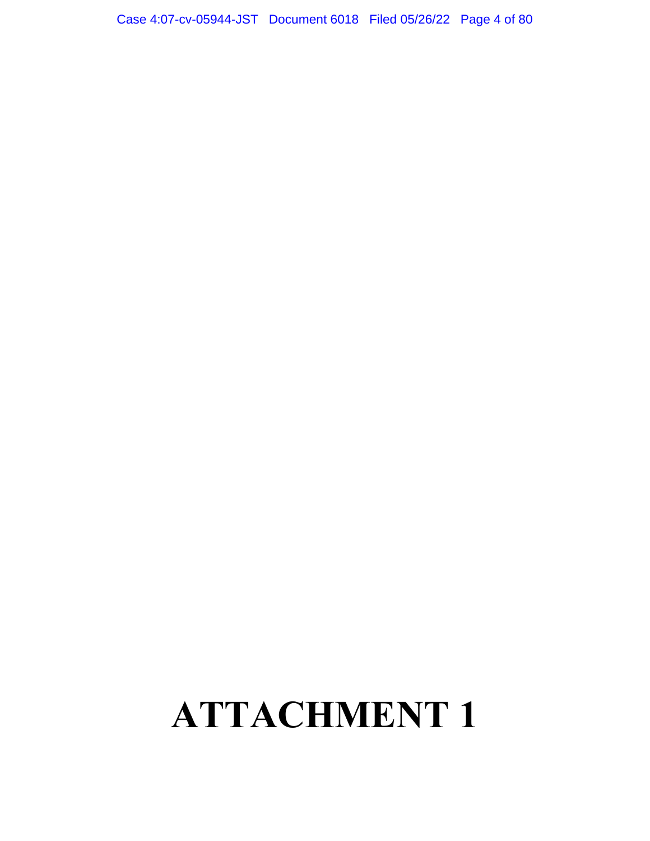## Case 4:07-cv-05944-JST Document 6018 Filed 05/26/22 Page 4 of 80

## **ATTACHMENT 1**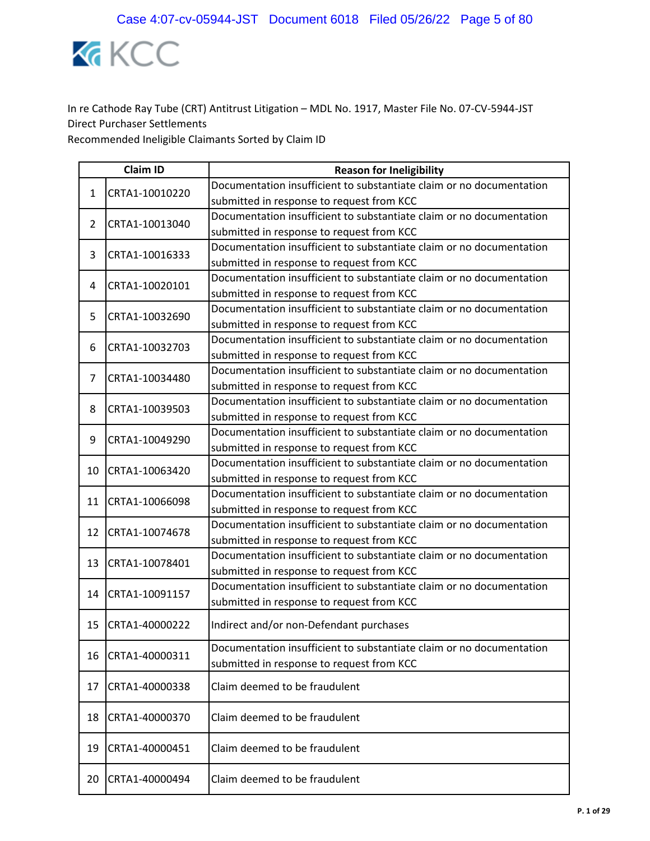

|                | <b>Claim ID</b> | <b>Reason for Ineligibility</b>                                      |
|----------------|-----------------|----------------------------------------------------------------------|
| 1              | CRTA1-10010220  | Documentation insufficient to substantiate claim or no documentation |
|                |                 | submitted in response to request from KCC                            |
| $\overline{2}$ | CRTA1-10013040  | Documentation insufficient to substantiate claim or no documentation |
|                |                 | submitted in response to request from KCC                            |
| 3              | CRTA1-10016333  | Documentation insufficient to substantiate claim or no documentation |
|                |                 | submitted in response to request from KCC                            |
| 4              | CRTA1-10020101  | Documentation insufficient to substantiate claim or no documentation |
|                |                 | submitted in response to request from KCC                            |
| 5              | CRTA1-10032690  | Documentation insufficient to substantiate claim or no documentation |
|                |                 | submitted in response to request from KCC                            |
| 6              | CRTA1-10032703  | Documentation insufficient to substantiate claim or no documentation |
|                |                 | submitted in response to request from KCC                            |
| 7              | CRTA1-10034480  | Documentation insufficient to substantiate claim or no documentation |
|                |                 | submitted in response to request from KCC                            |
| 8              | CRTA1-10039503  | Documentation insufficient to substantiate claim or no documentation |
|                |                 | submitted in response to request from KCC                            |
| 9              | CRTA1-10049290  | Documentation insufficient to substantiate claim or no documentation |
|                |                 | submitted in response to request from KCC                            |
| 10             | CRTA1-10063420  | Documentation insufficient to substantiate claim or no documentation |
|                |                 | submitted in response to request from KCC                            |
| 11             | CRTA1-10066098  | Documentation insufficient to substantiate claim or no documentation |
|                |                 | submitted in response to request from KCC                            |
| 12             | CRTA1-10074678  | Documentation insufficient to substantiate claim or no documentation |
|                |                 | submitted in response to request from KCC                            |
| 13             | CRTA1-10078401  | Documentation insufficient to substantiate claim or no documentation |
|                |                 | submitted in response to request from KCC                            |
| 14             | CRTA1-10091157  | Documentation insufficient to substantiate claim or no documentation |
|                |                 | submitted in response to request from KCC                            |
| 15             | CRTA1-40000222  | Indirect and/or non-Defendant purchases                              |
|                |                 | Documentation insufficient to substantiate claim or no documentation |
| 16             | CRTA1-40000311  | submitted in response to request from KCC                            |
| 17             | CRTA1-40000338  | Claim deemed to be fraudulent                                        |
|                |                 |                                                                      |
| 18             | CRTA1-40000370  | Claim deemed to be fraudulent                                        |
| 19             | CRTA1-40000451  | Claim deemed to be fraudulent                                        |
| 20             | CRTA1-40000494  | Claim deemed to be fraudulent                                        |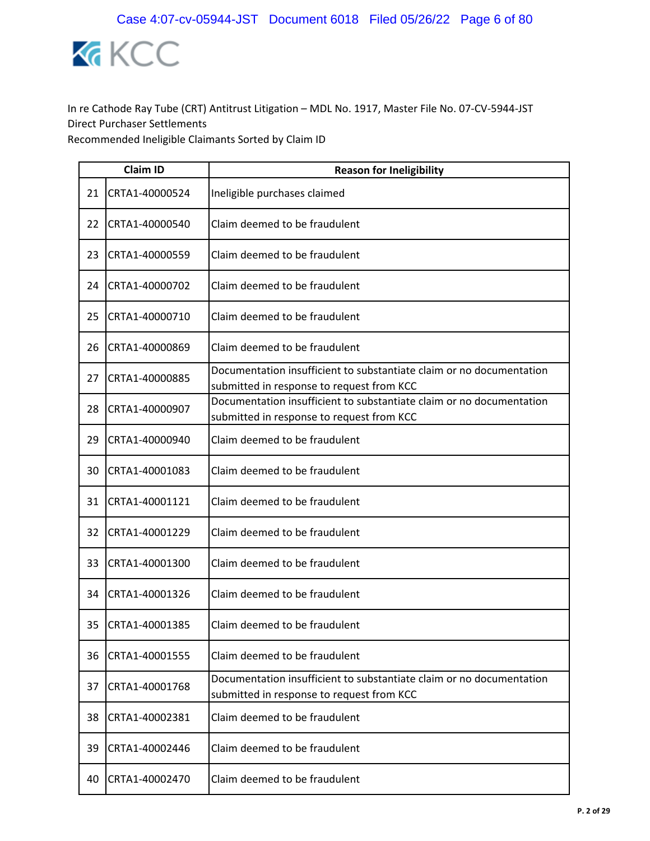

|    | <b>Claim ID</b> | <b>Reason for Ineligibility</b>                                                                                   |
|----|-----------------|-------------------------------------------------------------------------------------------------------------------|
| 21 | CRTA1-40000524  | Ineligible purchases claimed                                                                                      |
| 22 | CRTA1-40000540  | Claim deemed to be fraudulent                                                                                     |
| 23 | CRTA1-40000559  | Claim deemed to be fraudulent                                                                                     |
| 24 | CRTA1-40000702  | Claim deemed to be fraudulent                                                                                     |
| 25 | CRTA1-40000710  | Claim deemed to be fraudulent                                                                                     |
| 26 | CRTA1-40000869  | Claim deemed to be fraudulent                                                                                     |
| 27 | CRTA1-40000885  | Documentation insufficient to substantiate claim or no documentation<br>submitted in response to request from KCC |
| 28 | CRTA1-40000907  | Documentation insufficient to substantiate claim or no documentation<br>submitted in response to request from KCC |
| 29 | CRTA1-40000940  | Claim deemed to be fraudulent                                                                                     |
| 30 | CRTA1-40001083  | Claim deemed to be fraudulent                                                                                     |
| 31 | CRTA1-40001121  | Claim deemed to be fraudulent                                                                                     |
| 32 | CRTA1-40001229  | Claim deemed to be fraudulent                                                                                     |
| 33 | CRTA1-40001300  | Claim deemed to be fraudulent                                                                                     |
| 34 | CRTA1-40001326  | Claim deemed to be fraudulent                                                                                     |
| 35 | CRTA1-40001385  | Claim deemed to be fraudulent                                                                                     |
| 36 | CRTA1-40001555  | Claim deemed to be fraudulent                                                                                     |
| 37 | CRTA1-40001768  | Documentation insufficient to substantiate claim or no documentation<br>submitted in response to request from KCC |
| 38 | CRTA1-40002381  | Claim deemed to be fraudulent                                                                                     |
| 39 | CRTA1-40002446  | Claim deemed to be fraudulent                                                                                     |
| 40 | CRTA1-40002470  | Claim deemed to be fraudulent                                                                                     |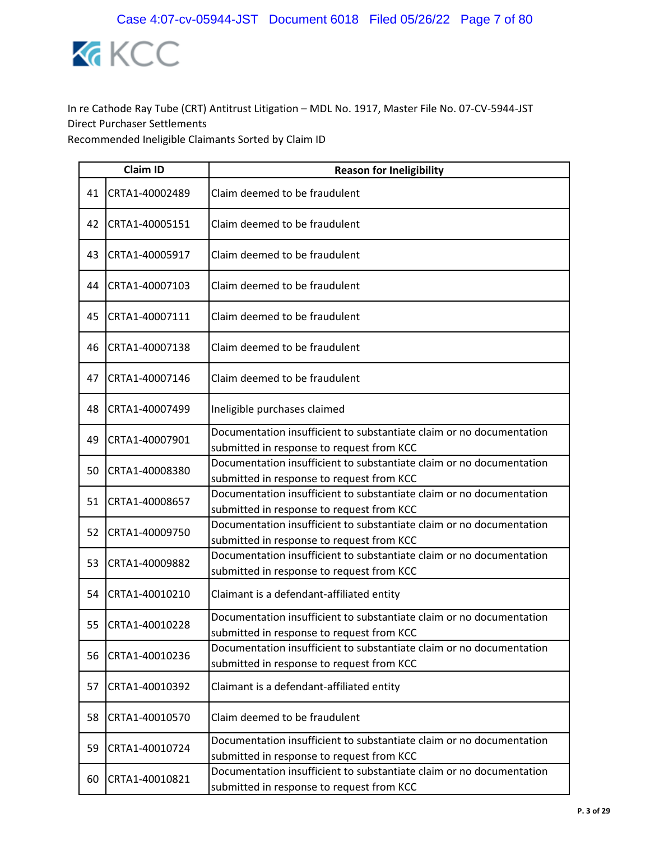

|    | <b>Claim ID</b> | <b>Reason for Ineligibility</b>                                                                                   |  |
|----|-----------------|-------------------------------------------------------------------------------------------------------------------|--|
| 41 | CRTA1-40002489  | Claim deemed to be fraudulent                                                                                     |  |
| 42 | CRTA1-40005151  | Claim deemed to be fraudulent                                                                                     |  |
| 43 | CRTA1-40005917  | Claim deemed to be fraudulent                                                                                     |  |
| 44 | CRTA1-40007103  | Claim deemed to be fraudulent                                                                                     |  |
| 45 | CRTA1-40007111  | Claim deemed to be fraudulent                                                                                     |  |
| 46 | CRTA1-40007138  | Claim deemed to be fraudulent                                                                                     |  |
| 47 | CRTA1-40007146  | Claim deemed to be fraudulent                                                                                     |  |
| 48 | CRTA1-40007499  | Ineligible purchases claimed                                                                                      |  |
| 49 | CRTA1-40007901  | Documentation insufficient to substantiate claim or no documentation<br>submitted in response to request from KCC |  |
| 50 | CRTA1-40008380  | Documentation insufficient to substantiate claim or no documentation<br>submitted in response to request from KCC |  |
| 51 | CRTA1-40008657  | Documentation insufficient to substantiate claim or no documentation<br>submitted in response to request from KCC |  |
| 52 | CRTA1-40009750  | Documentation insufficient to substantiate claim or no documentation<br>submitted in response to request from KCC |  |
| 53 | CRTA1-40009882  | Documentation insufficient to substantiate claim or no documentation<br>submitted in response to request from KCC |  |
| 54 | CRTA1-40010210  | Claimant is a defendant-affiliated entity                                                                         |  |
| 55 | CRTA1-40010228  | Documentation insufficient to substantiate claim or no documentation<br>submitted in response to request from KCC |  |
| 56 | CRTA1-40010236  | Documentation insufficient to substantiate claim or no documentation<br>submitted in response to request from KCC |  |
| 57 | CRTA1-40010392  | Claimant is a defendant-affiliated entity                                                                         |  |
| 58 | CRTA1-40010570  | Claim deemed to be fraudulent                                                                                     |  |
| 59 | CRTA1-40010724  | Documentation insufficient to substantiate claim or no documentation<br>submitted in response to request from KCC |  |
| 60 | CRTA1-40010821  | Documentation insufficient to substantiate claim or no documentation<br>submitted in response to request from KCC |  |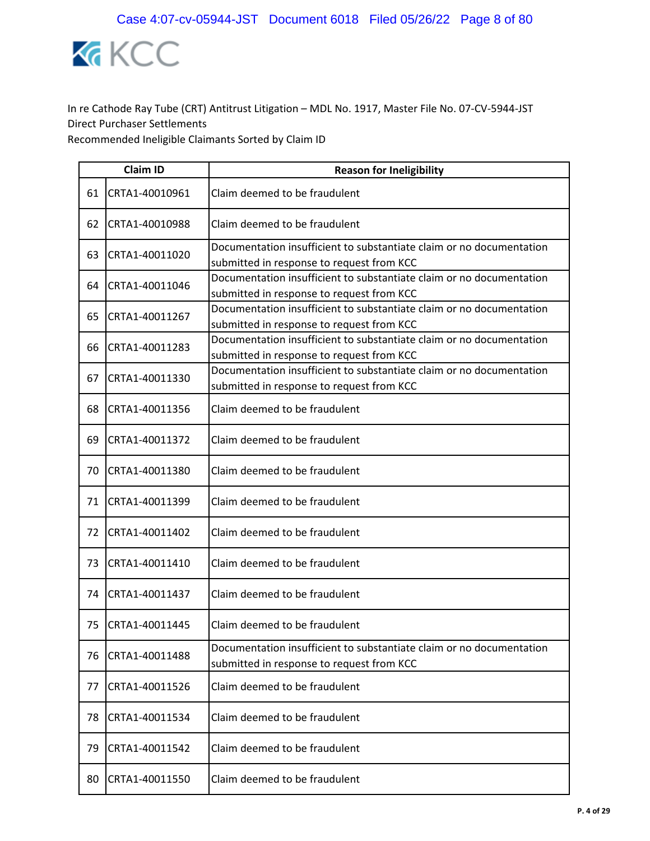

|    | <b>Claim ID</b> | <b>Reason for Ineligibility</b>                                                                                   |
|----|-----------------|-------------------------------------------------------------------------------------------------------------------|
| 61 | CRTA1-40010961  | Claim deemed to be fraudulent                                                                                     |
| 62 | CRTA1-40010988  | Claim deemed to be fraudulent                                                                                     |
| 63 | CRTA1-40011020  | Documentation insufficient to substantiate claim or no documentation<br>submitted in response to request from KCC |
| 64 | CRTA1-40011046  | Documentation insufficient to substantiate claim or no documentation<br>submitted in response to request from KCC |
| 65 | CRTA1-40011267  | Documentation insufficient to substantiate claim or no documentation<br>submitted in response to request from KCC |
| 66 | CRTA1-40011283  | Documentation insufficient to substantiate claim or no documentation<br>submitted in response to request from KCC |
| 67 | CRTA1-40011330  | Documentation insufficient to substantiate claim or no documentation<br>submitted in response to request from KCC |
| 68 | CRTA1-40011356  | Claim deemed to be fraudulent                                                                                     |
| 69 | CRTA1-40011372  | Claim deemed to be fraudulent                                                                                     |
| 70 | CRTA1-40011380  | Claim deemed to be fraudulent                                                                                     |
| 71 | CRTA1-40011399  | Claim deemed to be fraudulent                                                                                     |
| 72 | CRTA1-40011402  | Claim deemed to be fraudulent                                                                                     |
| 73 | CRTA1-40011410  | Claim deemed to be fraudulent                                                                                     |
| 74 | CRTA1-40011437  | Claim deemed to be fraudulent                                                                                     |
| 75 | CRTA1-40011445  | Claim deemed to be fraudulent                                                                                     |
| 76 | CRTA1-40011488  | Documentation insufficient to substantiate claim or no documentation<br>submitted in response to request from KCC |
| 77 | CRTA1-40011526  | Claim deemed to be fraudulent                                                                                     |
| 78 | CRTA1-40011534  | Claim deemed to be fraudulent                                                                                     |
| 79 | CRTA1-40011542  | Claim deemed to be fraudulent                                                                                     |
| 80 | CRTA1-40011550  | Claim deemed to be fraudulent                                                                                     |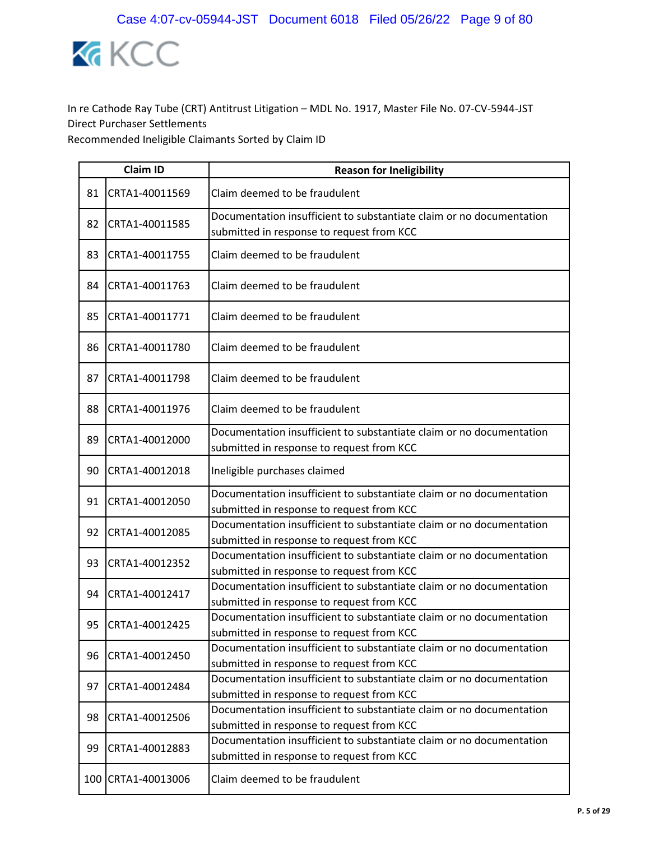

|    | <b>Claim ID</b>    | <b>Reason for Ineligibility</b>                                                                                   |
|----|--------------------|-------------------------------------------------------------------------------------------------------------------|
| 81 | CRTA1-40011569     | Claim deemed to be fraudulent                                                                                     |
| 82 | CRTA1-40011585     | Documentation insufficient to substantiate claim or no documentation<br>submitted in response to request from KCC |
| 83 | CRTA1-40011755     | Claim deemed to be fraudulent                                                                                     |
| 84 | CRTA1-40011763     | Claim deemed to be fraudulent                                                                                     |
| 85 | CRTA1-40011771     | Claim deemed to be fraudulent                                                                                     |
| 86 | CRTA1-40011780     | Claim deemed to be fraudulent                                                                                     |
| 87 | CRTA1-40011798     | Claim deemed to be fraudulent                                                                                     |
| 88 | CRTA1-40011976     | Claim deemed to be fraudulent                                                                                     |
| 89 | CRTA1-40012000     | Documentation insufficient to substantiate claim or no documentation<br>submitted in response to request from KCC |
| 90 | CRTA1-40012018     | Ineligible purchases claimed                                                                                      |
| 91 | CRTA1-40012050     | Documentation insufficient to substantiate claim or no documentation<br>submitted in response to request from KCC |
| 92 | CRTA1-40012085     | Documentation insufficient to substantiate claim or no documentation<br>submitted in response to request from KCC |
| 93 | CRTA1-40012352     | Documentation insufficient to substantiate claim or no documentation<br>submitted in response to request from KCC |
| 94 | CRTA1-40012417     | Documentation insufficient to substantiate claim or no documentation<br>submitted in response to request from KCC |
| 95 | CRTA1-40012425     | Documentation insufficient to substantiate claim or no documentation<br>submitted in response to request from KCC |
| 96 | CRTA1-40012450     | Documentation insufficient to substantiate claim or no documentation<br>submitted in response to request from KCC |
| 97 | CRTA1-40012484     | Documentation insufficient to substantiate claim or no documentation<br>submitted in response to request from KCC |
| 98 | CRTA1-40012506     | Documentation insufficient to substantiate claim or no documentation<br>submitted in response to request from KCC |
| 99 | CRTA1-40012883     | Documentation insufficient to substantiate claim or no documentation<br>submitted in response to request from KCC |
|    | 100 CRTA1-40013006 | Claim deemed to be fraudulent                                                                                     |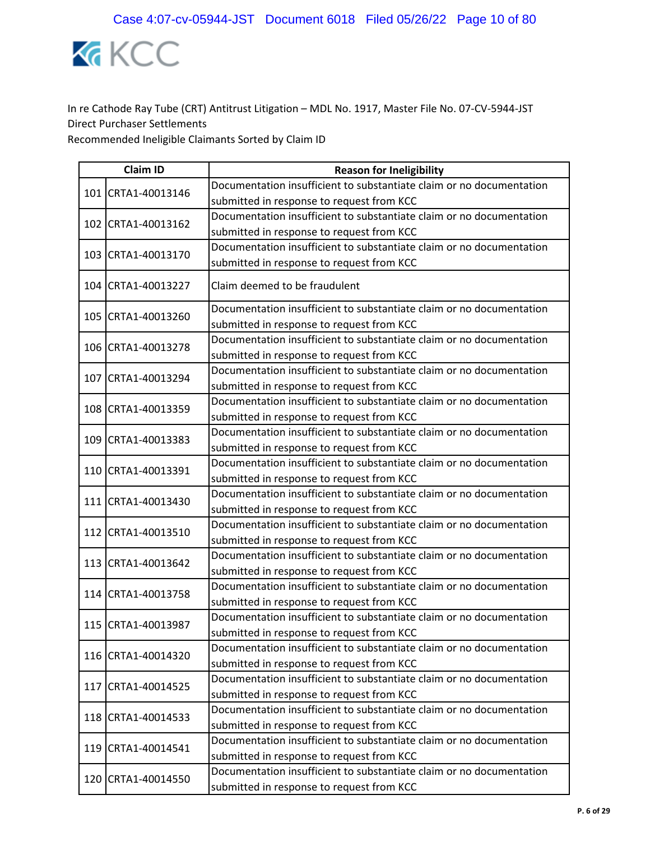

|  | <b>Claim ID</b>    | <b>Reason for Ineligibility</b>                                      |
|--|--------------------|----------------------------------------------------------------------|
|  | 101 CRTA1-40013146 | Documentation insufficient to substantiate claim or no documentation |
|  |                    | submitted in response to request from KCC                            |
|  | 102 CRTA1-40013162 | Documentation insufficient to substantiate claim or no documentation |
|  |                    | submitted in response to request from KCC                            |
|  | 103 CRTA1-40013170 | Documentation insufficient to substantiate claim or no documentation |
|  |                    | submitted in response to request from KCC                            |
|  | 104 CRTA1-40013227 | Claim deemed to be fraudulent                                        |
|  | 105 CRTA1-40013260 | Documentation insufficient to substantiate claim or no documentation |
|  |                    | submitted in response to request from KCC                            |
|  | 106 CRTA1-40013278 | Documentation insufficient to substantiate claim or no documentation |
|  |                    | submitted in response to request from KCC                            |
|  | 107 CRTA1-40013294 | Documentation insufficient to substantiate claim or no documentation |
|  |                    | submitted in response to request from KCC                            |
|  | 108 CRTA1-40013359 | Documentation insufficient to substantiate claim or no documentation |
|  |                    | submitted in response to request from KCC                            |
|  | 109 CRTA1-40013383 | Documentation insufficient to substantiate claim or no documentation |
|  |                    | submitted in response to request from KCC                            |
|  | 110 CRTA1-40013391 | Documentation insufficient to substantiate claim or no documentation |
|  |                    | submitted in response to request from KCC                            |
|  | 111 CRTA1-40013430 | Documentation insufficient to substantiate claim or no documentation |
|  |                    | submitted in response to request from KCC                            |
|  | 112 CRTA1-40013510 | Documentation insufficient to substantiate claim or no documentation |
|  |                    | submitted in response to request from KCC                            |
|  | 113 CRTA1-40013642 | Documentation insufficient to substantiate claim or no documentation |
|  |                    | submitted in response to request from KCC                            |
|  | 114 CRTA1-40013758 | Documentation insufficient to substantiate claim or no documentation |
|  |                    | submitted in response to request from KCC                            |
|  | 115 CRTA1-40013987 | Documentation insufficient to substantiate claim or no documentation |
|  |                    | submitted in response to request from KCC                            |
|  | 116 CRTA1-40014320 | Documentation insufficient to substantiate claim or no documentation |
|  |                    | submitted in response to request from KCC                            |
|  | 117 CRTA1-40014525 | Documentation insufficient to substantiate claim or no documentation |
|  |                    | submitted in response to request from KCC                            |
|  | 118 CRTA1-40014533 | Documentation insufficient to substantiate claim or no documentation |
|  |                    | submitted in response to request from KCC                            |
|  | 119 CRTA1-40014541 | Documentation insufficient to substantiate claim or no documentation |
|  |                    | submitted in response to request from KCC                            |
|  | 120 CRTA1-40014550 | Documentation insufficient to substantiate claim or no documentation |
|  |                    | submitted in response to request from KCC                            |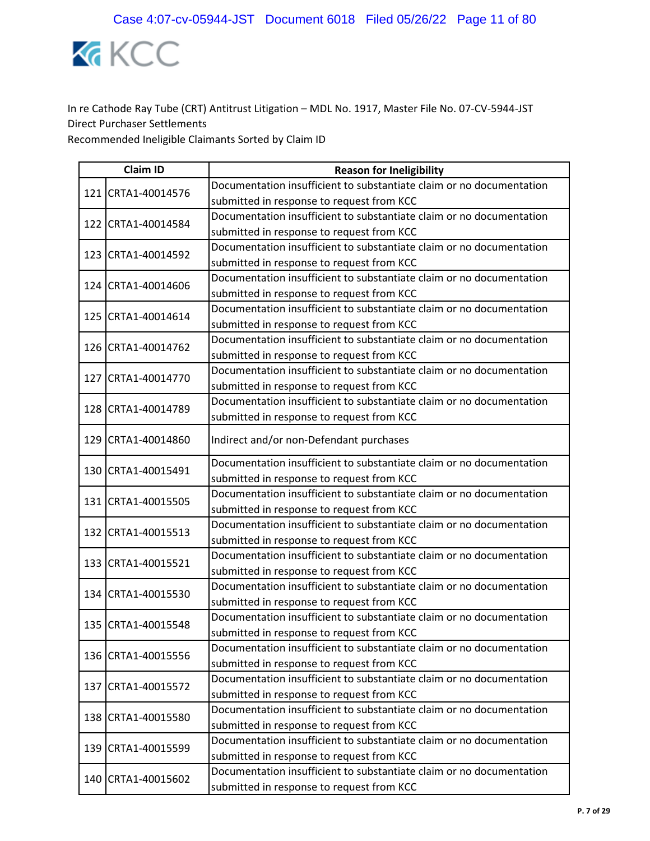

|  | <b>Claim ID</b>    | <b>Reason for Ineligibility</b>                                      |
|--|--------------------|----------------------------------------------------------------------|
|  | 121 CRTA1-40014576 | Documentation insufficient to substantiate claim or no documentation |
|  |                    | submitted in response to request from KCC                            |
|  | 122 CRTA1-40014584 | Documentation insufficient to substantiate claim or no documentation |
|  |                    | submitted in response to request from KCC                            |
|  | 123 CRTA1-40014592 | Documentation insufficient to substantiate claim or no documentation |
|  |                    | submitted in response to request from KCC                            |
|  | 124 CRTA1-40014606 | Documentation insufficient to substantiate claim or no documentation |
|  |                    | submitted in response to request from KCC                            |
|  | 125 CRTA1-40014614 | Documentation insufficient to substantiate claim or no documentation |
|  |                    | submitted in response to request from KCC                            |
|  | 126 CRTA1-40014762 | Documentation insufficient to substantiate claim or no documentation |
|  |                    | submitted in response to request from KCC                            |
|  | 127 CRTA1-40014770 | Documentation insufficient to substantiate claim or no documentation |
|  |                    | submitted in response to request from KCC                            |
|  | 128 CRTA1-40014789 | Documentation insufficient to substantiate claim or no documentation |
|  |                    | submitted in response to request from KCC                            |
|  | 129 CRTA1-40014860 | Indirect and/or non-Defendant purchases                              |
|  |                    | Documentation insufficient to substantiate claim or no documentation |
|  | 130 CRTA1-40015491 | submitted in response to request from KCC                            |
|  | 131 CRTA1-40015505 | Documentation insufficient to substantiate claim or no documentation |
|  |                    | submitted in response to request from KCC                            |
|  | 132 CRTA1-40015513 | Documentation insufficient to substantiate claim or no documentation |
|  |                    | submitted in response to request from KCC                            |
|  | 133 CRTA1-40015521 | Documentation insufficient to substantiate claim or no documentation |
|  |                    | submitted in response to request from KCC                            |
|  |                    | Documentation insufficient to substantiate claim or no documentation |
|  | 134 CRTA1-40015530 | submitted in response to request from KCC                            |
|  | 135 CRTA1-40015548 | Documentation insufficient to substantiate claim or no documentation |
|  |                    | submitted in response to request from KCC                            |
|  |                    | Documentation insufficient to substantiate claim or no documentation |
|  | 136 CRTA1-40015556 | submitted in response to request from KCC                            |
|  |                    | Documentation insufficient to substantiate claim or no documentation |
|  | 137 CRTA1-40015572 | submitted in response to request from KCC                            |
|  |                    | Documentation insufficient to substantiate claim or no documentation |
|  | 138 CRTA1-40015580 | submitted in response to request from KCC                            |
|  |                    | Documentation insufficient to substantiate claim or no documentation |
|  | 139 CRTA1-40015599 | submitted in response to request from KCC                            |
|  |                    | Documentation insufficient to substantiate claim or no documentation |
|  | 140 CRTA1-40015602 | submitted in response to request from KCC                            |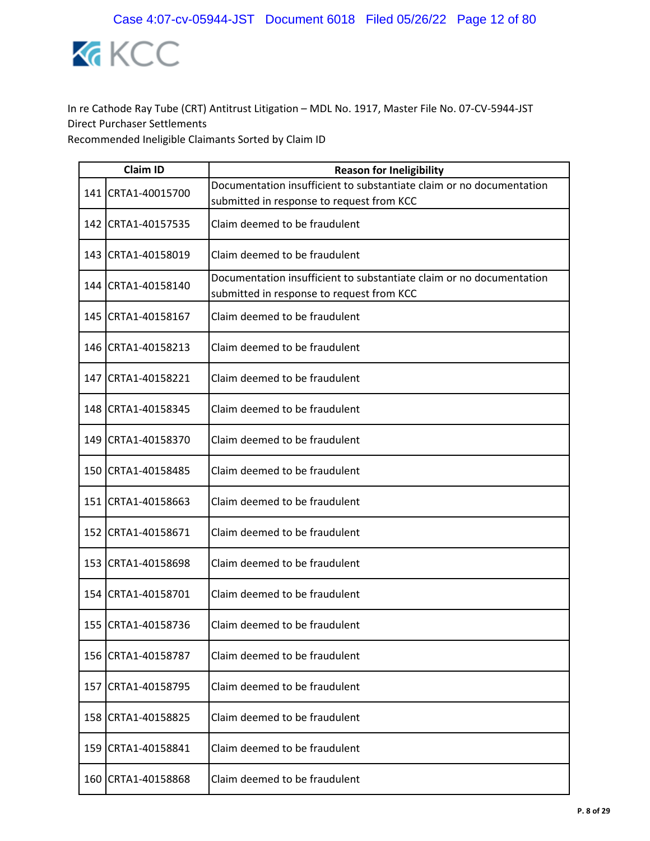

|     | <b>Claim ID</b>      | <b>Reason for Ineligibility</b>                                                                                   |
|-----|----------------------|-------------------------------------------------------------------------------------------------------------------|
|     | 141 CRTA1-40015700   | Documentation insufficient to substantiate claim or no documentation<br>submitted in response to request from KCC |
|     | 142 CRTA1-40157535   | Claim deemed to be fraudulent                                                                                     |
|     | 143 CRTA1-40158019   | Claim deemed to be fraudulent                                                                                     |
|     | 144   CRTA1-40158140 | Documentation insufficient to substantiate claim or no documentation<br>submitted in response to request from KCC |
|     | 145 CRTA1-40158167   | Claim deemed to be fraudulent                                                                                     |
|     | 146 CRTA1-40158213   | Claim deemed to be fraudulent                                                                                     |
|     | 147 CRTA1-40158221   | Claim deemed to be fraudulent                                                                                     |
|     | 148 CRTA1-40158345   | Claim deemed to be fraudulent                                                                                     |
|     | 149 CRTA1-40158370   | Claim deemed to be fraudulent                                                                                     |
|     | 150 CRTA1-40158485   | Claim deemed to be fraudulent                                                                                     |
|     | 151 CRTA1-40158663   | Claim deemed to be fraudulent                                                                                     |
|     | 152 CRTA1-40158671   | Claim deemed to be fraudulent                                                                                     |
|     | 153 CRTA1-40158698   | Claim deemed to be fraudulent                                                                                     |
|     | 154 CRTA1-40158701   | Claim deemed to be fraudulent                                                                                     |
|     | 155 CRTA1-40158736   | Claim deemed to be fraudulent                                                                                     |
| 156 | CRTA1-40158787       | Claim deemed to be fraudulent                                                                                     |
| 157 | CRTA1-40158795       | Claim deemed to be fraudulent                                                                                     |
| 158 | CRTA1-40158825       | Claim deemed to be fraudulent                                                                                     |
|     | 159 CRTA1-40158841   | Claim deemed to be fraudulent                                                                                     |
| 160 | CRTA1-40158868       | Claim deemed to be fraudulent                                                                                     |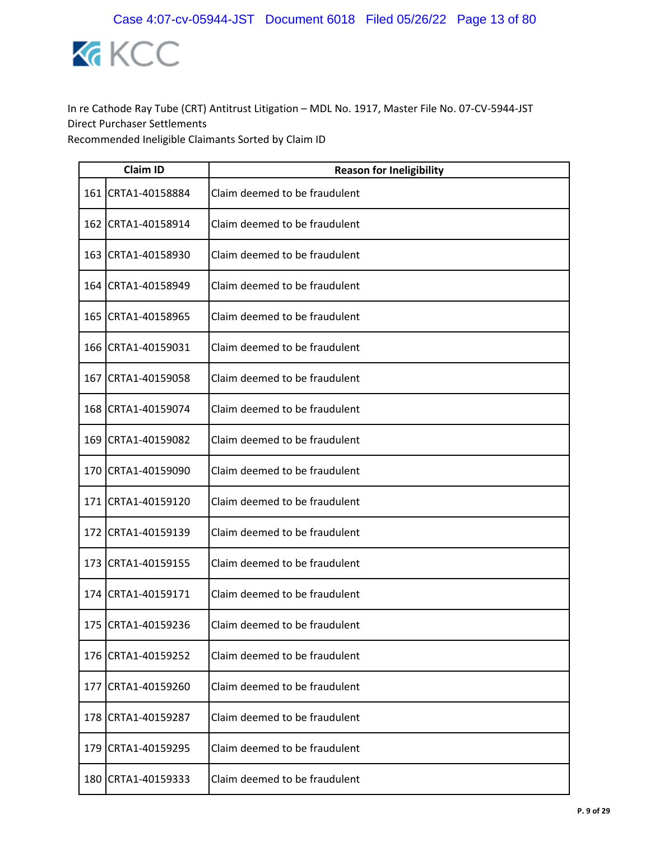

|       | <b>Claim ID</b>    | <b>Reason for Ineligibility</b> |  |
|-------|--------------------|---------------------------------|--|
|       | 161 CRTA1-40158884 | Claim deemed to be fraudulent   |  |
|       | 162 CRTA1-40158914 | Claim deemed to be fraudulent   |  |
|       | 163 CRTA1-40158930 | Claim deemed to be fraudulent   |  |
|       | 164 CRTA1-40158949 | Claim deemed to be fraudulent   |  |
|       | 165 CRTA1-40158965 | Claim deemed to be fraudulent   |  |
|       | 166 CRTA1-40159031 | Claim deemed to be fraudulent   |  |
|       | 167 CRTA1-40159058 | Claim deemed to be fraudulent   |  |
|       | 168 CRTA1-40159074 | Claim deemed to be fraudulent   |  |
| 169   | CRTA1-40159082     | Claim deemed to be fraudulent   |  |
|       | 170 CRTA1-40159090 | Claim deemed to be fraudulent   |  |
|       | 171 CRTA1-40159120 | Claim deemed to be fraudulent   |  |
| 172   | CRTA1-40159139     | Claim deemed to be fraudulent   |  |
|       | 173 CRTA1-40159155 | Claim deemed to be fraudulent   |  |
| 174 l | CRTA1-40159171     | Claim deemed to be fraudulent   |  |
|       | 175 CRTA1-40159236 | Claim deemed to be fraudulent   |  |
| 176   | CRTA1-40159252     | Claim deemed to be fraudulent   |  |
|       | 177 CRTA1-40159260 | Claim deemed to be fraudulent   |  |
| 178   | CRTA1-40159287     | Claim deemed to be fraudulent   |  |
|       | 179 CRTA1-40159295 | Claim deemed to be fraudulent   |  |
| 180   | CRTA1-40159333     | Claim deemed to be fraudulent   |  |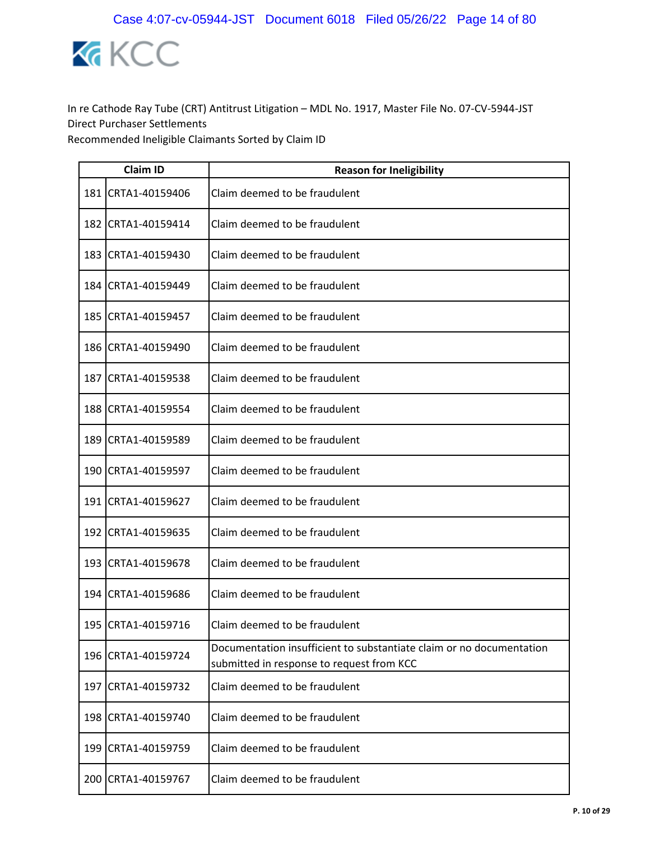

|     | <b>Claim ID</b>    | <b>Reason for Ineligibility</b>                                                                                   |
|-----|--------------------|-------------------------------------------------------------------------------------------------------------------|
|     | 181 CRTA1-40159406 | Claim deemed to be fraudulent                                                                                     |
|     | 182 CRTA1-40159414 | Claim deemed to be fraudulent                                                                                     |
|     | 183 CRTA1-40159430 | Claim deemed to be fraudulent                                                                                     |
|     | 184 CRTA1-40159449 | Claim deemed to be fraudulent                                                                                     |
|     | 185 CRTA1-40159457 | Claim deemed to be fraudulent                                                                                     |
|     | 186 CRTA1-40159490 | Claim deemed to be fraudulent                                                                                     |
| 187 | CRTA1-40159538     | Claim deemed to be fraudulent                                                                                     |
|     | 188 CRTA1-40159554 | Claim deemed to be fraudulent                                                                                     |
| 189 | CRTA1-40159589     | Claim deemed to be fraudulent                                                                                     |
|     | 190 CRTA1-40159597 | Claim deemed to be fraudulent                                                                                     |
|     | 191 CRTA1-40159627 | Claim deemed to be fraudulent                                                                                     |
|     | 192 CRTA1-40159635 | Claim deemed to be fraudulent                                                                                     |
|     | 193 CRTA1-40159678 | Claim deemed to be fraudulent                                                                                     |
|     | 194 CRTA1-40159686 | Claim deemed to be fraudulent                                                                                     |
|     | 195 CRTA1-40159716 | Claim deemed to be fraudulent                                                                                     |
|     | 196 CRTA1-40159724 | Documentation insufficient to substantiate claim or no documentation<br>submitted in response to request from KCC |
|     | 197 CRTA1-40159732 | Claim deemed to be fraudulent                                                                                     |
|     | 198 CRTA1-40159740 | Claim deemed to be fraudulent                                                                                     |
|     | 199 CRTA1-40159759 | Claim deemed to be fraudulent                                                                                     |
| 200 | CRTA1-40159767     | Claim deemed to be fraudulent                                                                                     |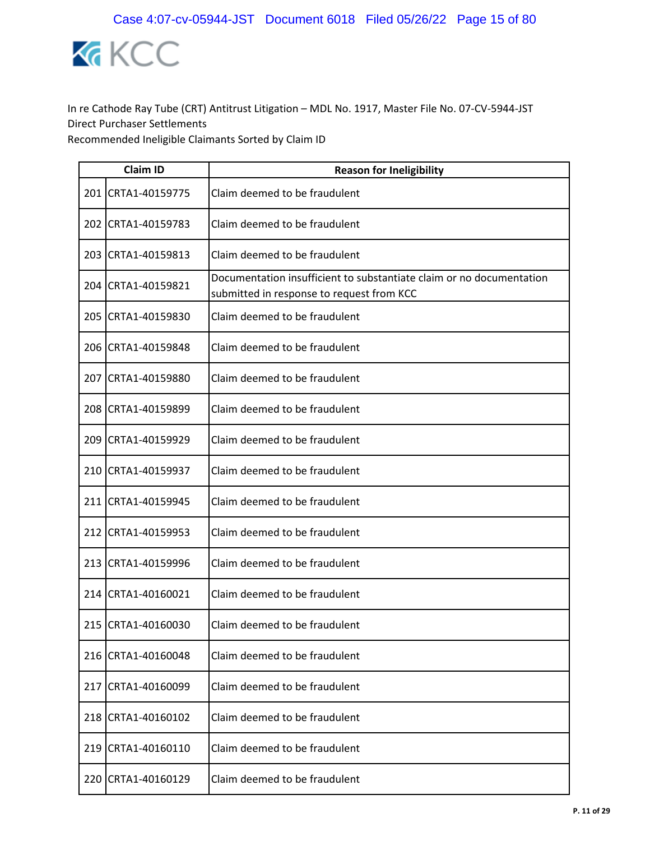

|     | <b>Claim ID</b>    | <b>Reason for Ineligibility</b>                                                                                   |
|-----|--------------------|-------------------------------------------------------------------------------------------------------------------|
|     | 201 CRTA1-40159775 | Claim deemed to be fraudulent                                                                                     |
|     | 202 CRTA1-40159783 | Claim deemed to be fraudulent                                                                                     |
|     | 203 CRTA1-40159813 | Claim deemed to be fraudulent                                                                                     |
|     | 204 CRTA1-40159821 | Documentation insufficient to substantiate claim or no documentation<br>submitted in response to request from KCC |
|     | 205 CRTA1-40159830 | Claim deemed to be fraudulent                                                                                     |
|     | 206 CRTA1-40159848 | Claim deemed to be fraudulent                                                                                     |
| 207 | CRTA1-40159880     | Claim deemed to be fraudulent                                                                                     |
|     | 208 CRTA1-40159899 | Claim deemed to be fraudulent                                                                                     |
|     | 209 CRTA1-40159929 | Claim deemed to be fraudulent                                                                                     |
|     | 210 CRTA1-40159937 | Claim deemed to be fraudulent                                                                                     |
|     | 211 CRTA1-40159945 | Claim deemed to be fraudulent                                                                                     |
|     | 212 CRTA1-40159953 | Claim deemed to be fraudulent                                                                                     |
|     | 213 CRTA1-40159996 | Claim deemed to be fraudulent                                                                                     |
|     | 214 CRTA1-40160021 | Claim deemed to be fraudulent                                                                                     |
|     | 215 CRTA1-40160030 | Claim deemed to be fraudulent                                                                                     |
| 216 | CRTA1-40160048     | Claim deemed to be fraudulent                                                                                     |
| 217 | CRTA1-40160099     | Claim deemed to be fraudulent                                                                                     |
|     | 218 CRTA1-40160102 | Claim deemed to be fraudulent                                                                                     |
|     | 219 CRTA1-40160110 | Claim deemed to be fraudulent                                                                                     |
| 220 | CRTA1-40160129     | Claim deemed to be fraudulent                                                                                     |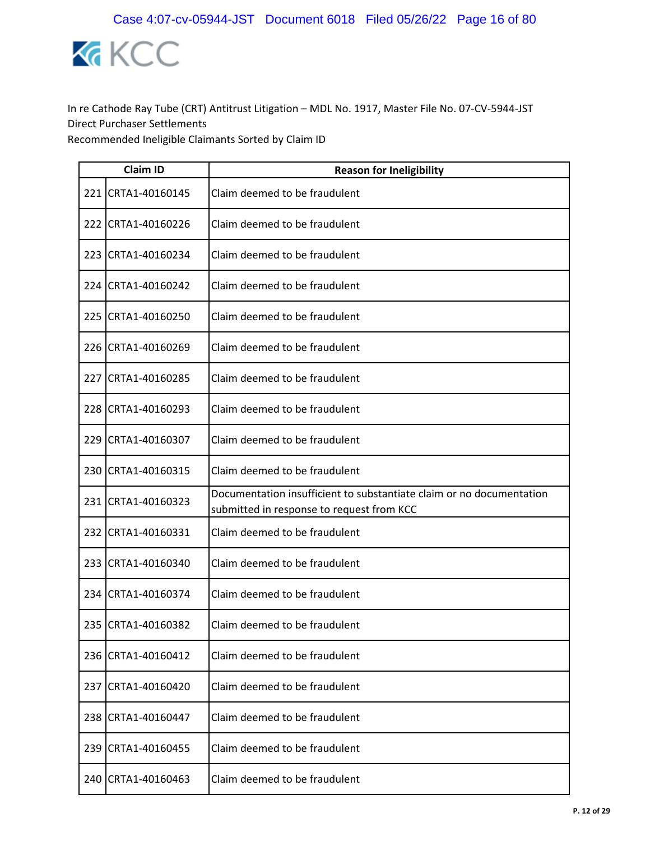

|     | <b>Claim ID</b>    | <b>Reason for Ineligibility</b>                                                                                   |
|-----|--------------------|-------------------------------------------------------------------------------------------------------------------|
|     | 221 CRTA1-40160145 | Claim deemed to be fraudulent                                                                                     |
|     | 222 CRTA1-40160226 | Claim deemed to be fraudulent                                                                                     |
|     | 223 CRTA1-40160234 | Claim deemed to be fraudulent                                                                                     |
|     | 224 CRTA1-40160242 | Claim deemed to be fraudulent                                                                                     |
|     | 225 CRTA1-40160250 | Claim deemed to be fraudulent                                                                                     |
|     | 226 CRTA1-40160269 | Claim deemed to be fraudulent                                                                                     |
| 227 | CRTA1-40160285     | Claim deemed to be fraudulent                                                                                     |
|     | 228 CRTA1-40160293 | Claim deemed to be fraudulent                                                                                     |
|     | 229 CRTA1-40160307 | Claim deemed to be fraudulent                                                                                     |
|     | 230 CRTA1-40160315 | Claim deemed to be fraudulent                                                                                     |
|     | 231 CRTA1-40160323 | Documentation insufficient to substantiate claim or no documentation<br>submitted in response to request from KCC |
|     | 232 CRTA1-40160331 | Claim deemed to be fraudulent                                                                                     |
|     | 233 CRTA1-40160340 | Claim deemed to be fraudulent                                                                                     |
|     | 234 CRTA1-40160374 | Claim deemed to be fraudulent                                                                                     |
|     | 235 CRTA1-40160382 | Claim deemed to be fraudulent                                                                                     |
|     | 236 CRTA1-40160412 | Claim deemed to be fraudulent                                                                                     |
|     | 237 CRTA1-40160420 | Claim deemed to be fraudulent                                                                                     |
| 238 | CRTA1-40160447     | Claim deemed to be fraudulent                                                                                     |
|     | 239 CRTA1-40160455 | Claim deemed to be fraudulent                                                                                     |
| 240 | CRTA1-40160463     | Claim deemed to be fraudulent                                                                                     |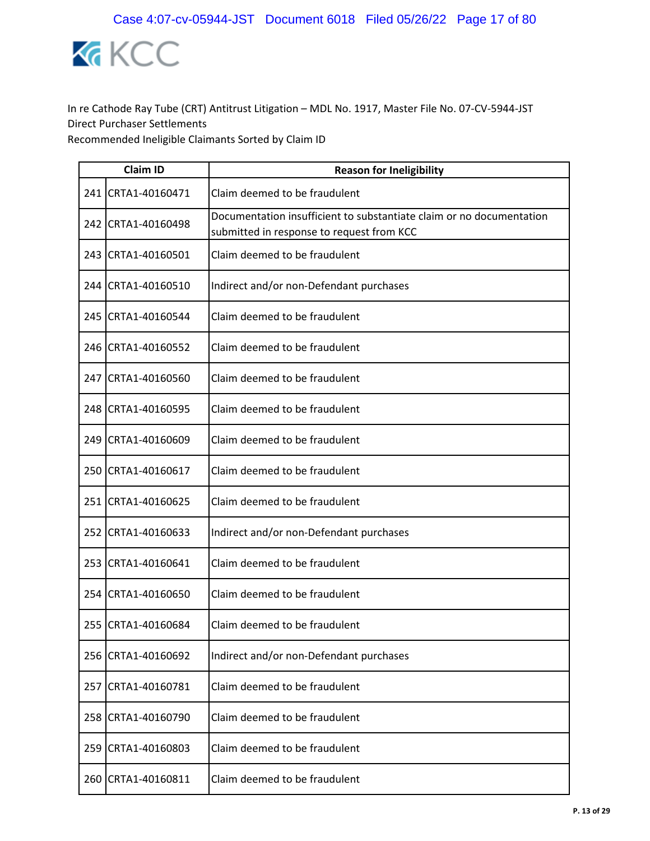

|     | <b>Claim ID</b>     | <b>Reason for Ineligibility</b>                                                                                   |
|-----|---------------------|-------------------------------------------------------------------------------------------------------------------|
|     | 241 CRTA1-40160471  | Claim deemed to be fraudulent                                                                                     |
|     | 242 CRTA1-40160498  | Documentation insufficient to substantiate claim or no documentation<br>submitted in response to request from KCC |
|     | 243 CRTA1-40160501  | Claim deemed to be fraudulent                                                                                     |
|     | 244 ICRTA1-40160510 | Indirect and/or non-Defendant purchases                                                                           |
|     | 245 CRTA1-40160544  | Claim deemed to be fraudulent                                                                                     |
|     | 246 CRTA1-40160552  | Claim deemed to be fraudulent                                                                                     |
|     | 247 CRTA1-40160560  | Claim deemed to be fraudulent                                                                                     |
|     | 248 CRTA1-40160595  | Claim deemed to be fraudulent                                                                                     |
|     | 249 CRTA1-40160609  | Claim deemed to be fraudulent                                                                                     |
|     | 250 CRTA1-40160617  | Claim deemed to be fraudulent                                                                                     |
|     | 251 CRTA1-40160625  | Claim deemed to be fraudulent                                                                                     |
|     | 252 CRTA1-40160633  | Indirect and/or non-Defendant purchases                                                                           |
|     | 253 CRTA1-40160641  | Claim deemed to be fraudulent                                                                                     |
|     | 254 CRTA1-40160650  | Claim deemed to be fraudulent                                                                                     |
|     | 255 CRTA1-40160684  | Claim deemed to be fraudulent                                                                                     |
|     | 256 CRTA1-40160692  | Indirect and/or non-Defendant purchases                                                                           |
|     | 257 CRTA1-40160781  | Claim deemed to be fraudulent                                                                                     |
| 258 | CRTA1-40160790      | Claim deemed to be fraudulent                                                                                     |
|     | 259 CRTA1-40160803  | Claim deemed to be fraudulent                                                                                     |
| 260 | CRTA1-40160811      | Claim deemed to be fraudulent                                                                                     |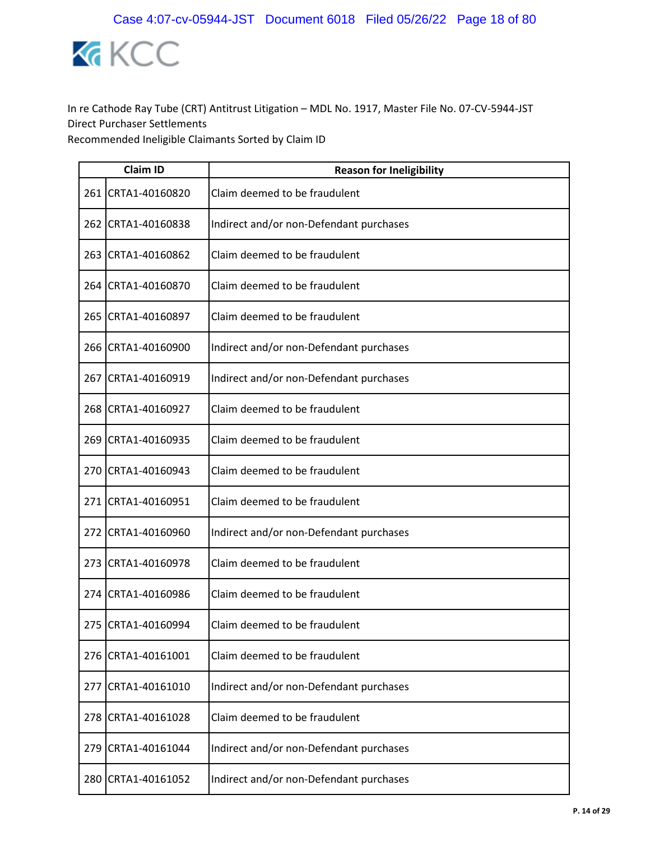

|     | <b>Claim ID</b>    | <b>Reason for Ineligibility</b>         |
|-----|--------------------|-----------------------------------------|
|     | 261 CRTA1-40160820 | Claim deemed to be fraudulent           |
|     | 262 CRTA1-40160838 | Indirect and/or non-Defendant purchases |
|     | 263 CRTA1-40160862 | Claim deemed to be fraudulent           |
|     | 264 CRTA1-40160870 | Claim deemed to be fraudulent           |
|     | 265 CRTA1-40160897 | Claim deemed to be fraudulent           |
|     | 266 CRTA1-40160900 | Indirect and/or non-Defendant purchases |
| 267 | CRTA1-40160919     | Indirect and/or non-Defendant purchases |
|     | 268 CRTA1-40160927 | Claim deemed to be fraudulent           |
| 269 | CRTA1-40160935     | Claim deemed to be fraudulent           |
|     | 270 CRTA1-40160943 | Claim deemed to be fraudulent           |
|     | 271 CRTA1-40160951 | Claim deemed to be fraudulent           |
| 272 | CRTA1-40160960     | Indirect and/or non-Defendant purchases |
|     | 273 CRTA1-40160978 | Claim deemed to be fraudulent           |
| 274 | CRTA1-40160986     | Claim deemed to be fraudulent           |
|     | 275 CRTA1-40160994 | Claim deemed to be fraudulent           |
| 276 | CRTA1-40161001     | Claim deemed to be fraudulent           |
| 277 | CRTA1-40161010     | Indirect and/or non-Defendant purchases |
| 278 | CRTA1-40161028     | Claim deemed to be fraudulent           |
| 279 | CRTA1-40161044     | Indirect and/or non-Defendant purchases |
| 280 | CRTA1-40161052     | Indirect and/or non-Defendant purchases |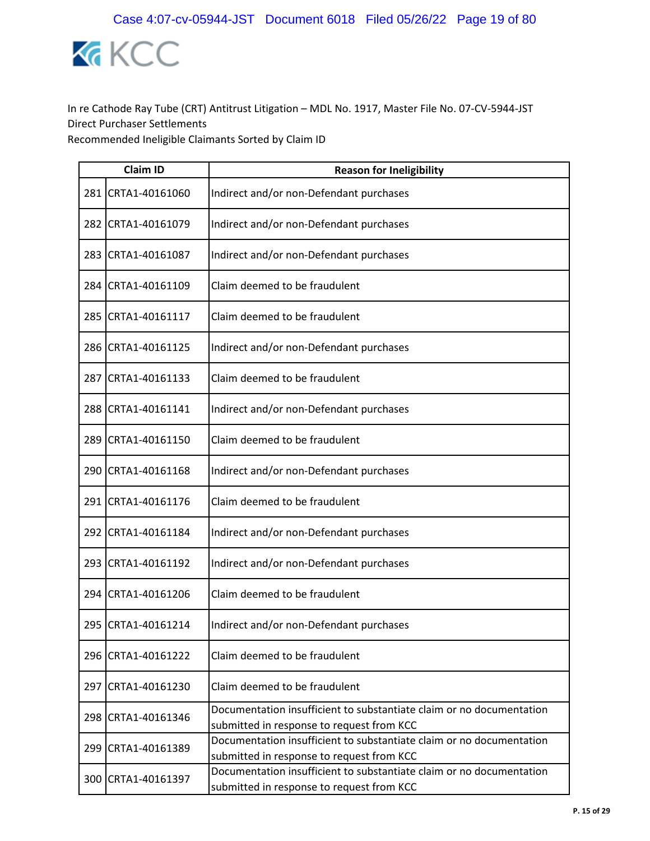

|     | <b>Claim ID</b>    | <b>Reason for Ineligibility</b>                                                                                   |
|-----|--------------------|-------------------------------------------------------------------------------------------------------------------|
| 281 | CRTA1-40161060     | Indirect and/or non-Defendant purchases                                                                           |
| 282 | CRTA1-40161079     | Indirect and/or non-Defendant purchases                                                                           |
| 283 | CRTA1-40161087     | Indirect and/or non-Defendant purchases                                                                           |
| 284 | CRTA1-40161109     | Claim deemed to be fraudulent                                                                                     |
| 285 | CRTA1-40161117     | Claim deemed to be fraudulent                                                                                     |
|     | 286 CRTA1-40161125 | Indirect and/or non-Defendant purchases                                                                           |
| 287 | CRTA1-40161133     | Claim deemed to be fraudulent                                                                                     |
|     | 288 CRTA1-40161141 | Indirect and/or non-Defendant purchases                                                                           |
| 289 | CRTA1-40161150     | Claim deemed to be fraudulent                                                                                     |
|     | 290 CRTA1-40161168 | Indirect and/or non-Defendant purchases                                                                           |
|     | 291 CRTA1-40161176 | Claim deemed to be fraudulent                                                                                     |
| 292 | CRTA1-40161184     | Indirect and/or non-Defendant purchases                                                                           |
| 293 | CRTA1-40161192     | Indirect and/or non-Defendant purchases                                                                           |
| 294 | CRTA1-40161206     | Claim deemed to be fraudulent                                                                                     |
| 295 | CRTA1-40161214     | Indirect and/or non-Defendant purchases                                                                           |
| 296 | CRTA1-40161222     | Claim deemed to be fraudulent                                                                                     |
|     | 297 CRTA1-40161230 | Claim deemed to be fraudulent                                                                                     |
| 298 | CRTA1-40161346     | Documentation insufficient to substantiate claim or no documentation<br>submitted in response to request from KCC |
| 299 | CRTA1-40161389     | Documentation insufficient to substantiate claim or no documentation<br>submitted in response to request from KCC |
| 300 | CRTA1-40161397     | Documentation insufficient to substantiate claim or no documentation<br>submitted in response to request from KCC |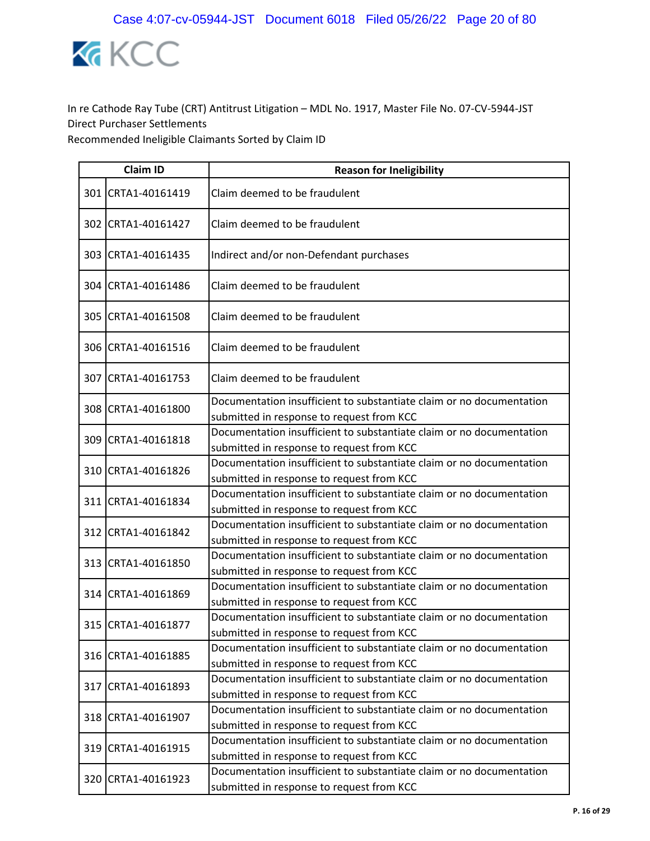

| <b>Claim ID</b>    | <b>Reason for Ineligibility</b>                                                                                   |
|--------------------|-------------------------------------------------------------------------------------------------------------------|
| 301 CRTA1-40161419 | Claim deemed to be fraudulent                                                                                     |
| 302 CRTA1-40161427 | Claim deemed to be fraudulent                                                                                     |
| 303 CRTA1-40161435 | Indirect and/or non-Defendant purchases                                                                           |
| 304 CRTA1-40161486 | Claim deemed to be fraudulent                                                                                     |
| 305 CRTA1-40161508 | Claim deemed to be fraudulent                                                                                     |
| 306 CRTA1-40161516 | Claim deemed to be fraudulent                                                                                     |
| 307 CRTA1-40161753 | Claim deemed to be fraudulent                                                                                     |
| 308 CRTA1-40161800 | Documentation insufficient to substantiate claim or no documentation<br>submitted in response to request from KCC |
| 309 CRTA1-40161818 | Documentation insufficient to substantiate claim or no documentation<br>submitted in response to request from KCC |
| 310 CRTA1-40161826 | Documentation insufficient to substantiate claim or no documentation<br>submitted in response to request from KCC |
| 311 CRTA1-40161834 | Documentation insufficient to substantiate claim or no documentation<br>submitted in response to request from KCC |
| 312 CRTA1-40161842 | Documentation insufficient to substantiate claim or no documentation<br>submitted in response to request from KCC |
| 313 CRTA1-40161850 | Documentation insufficient to substantiate claim or no documentation<br>submitted in response to request from KCC |
| 314 CRTA1-40161869 | Documentation insufficient to substantiate claim or no documentation<br>submitted in response to request from KCC |
| 315 CRTA1-40161877 | Documentation insufficient to substantiate claim or no documentation<br>submitted in response to request from KCC |
| 316 CRTA1-40161885 | Documentation insufficient to substantiate claim or no documentation<br>submitted in response to request from KCC |
| 317 CRTA1-40161893 | Documentation insufficient to substantiate claim or no documentation<br>submitted in response to request from KCC |
| 318 CRTA1-40161907 | Documentation insufficient to substantiate claim or no documentation<br>submitted in response to request from KCC |
| 319 CRTA1-40161915 | Documentation insufficient to substantiate claim or no documentation<br>submitted in response to request from KCC |
| 320 CRTA1-40161923 | Documentation insufficient to substantiate claim or no documentation<br>submitted in response to request from KCC |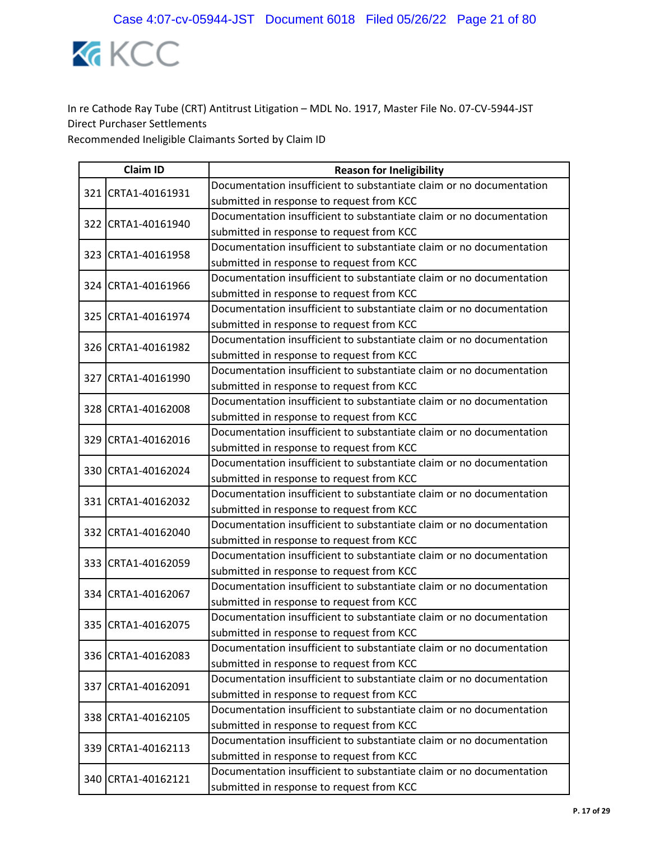

|  | <b>Claim ID</b>    | <b>Reason for Ineligibility</b>                                      |
|--|--------------------|----------------------------------------------------------------------|
|  | 321 CRTA1-40161931 | Documentation insufficient to substantiate claim or no documentation |
|  |                    | submitted in response to request from KCC                            |
|  | 322 CRTA1-40161940 | Documentation insufficient to substantiate claim or no documentation |
|  |                    | submitted in response to request from KCC                            |
|  | 323 CRTA1-40161958 | Documentation insufficient to substantiate claim or no documentation |
|  |                    | submitted in response to request from KCC                            |
|  | 324 CRTA1-40161966 | Documentation insufficient to substantiate claim or no documentation |
|  |                    | submitted in response to request from KCC                            |
|  | 325 CRTA1-40161974 | Documentation insufficient to substantiate claim or no documentation |
|  |                    | submitted in response to request from KCC                            |
|  | 326 CRTA1-40161982 | Documentation insufficient to substantiate claim or no documentation |
|  |                    | submitted in response to request from KCC                            |
|  | 327 CRTA1-40161990 | Documentation insufficient to substantiate claim or no documentation |
|  |                    | submitted in response to request from KCC                            |
|  | 328 CRTA1-40162008 | Documentation insufficient to substantiate claim or no documentation |
|  |                    | submitted in response to request from KCC                            |
|  | 329 CRTA1-40162016 | Documentation insufficient to substantiate claim or no documentation |
|  |                    | submitted in response to request from KCC                            |
|  | 330 CRTA1-40162024 | Documentation insufficient to substantiate claim or no documentation |
|  |                    | submitted in response to request from KCC                            |
|  | 331 CRTA1-40162032 | Documentation insufficient to substantiate claim or no documentation |
|  |                    | submitted in response to request from KCC                            |
|  | 332 CRTA1-40162040 | Documentation insufficient to substantiate claim or no documentation |
|  |                    | submitted in response to request from KCC                            |
|  | 333 CRTA1-40162059 | Documentation insufficient to substantiate claim or no documentation |
|  |                    | submitted in response to request from KCC                            |
|  | 334 CRTA1-40162067 | Documentation insufficient to substantiate claim or no documentation |
|  |                    | submitted in response to request from KCC                            |
|  | 335 CRTA1-40162075 | Documentation insufficient to substantiate claim or no documentation |
|  |                    | submitted in response to request from KCC                            |
|  | 336 CRTA1-40162083 | Documentation insufficient to substantiate claim or no documentation |
|  |                    | submitted in response to request from KCC                            |
|  | 337 CRTA1-40162091 | Documentation insufficient to substantiate claim or no documentation |
|  |                    | submitted in response to request from KCC                            |
|  | 338 CRTA1-40162105 | Documentation insufficient to substantiate claim or no documentation |
|  |                    | submitted in response to request from KCC                            |
|  | 339 CRTA1-40162113 | Documentation insufficient to substantiate claim or no documentation |
|  |                    | submitted in response to request from KCC                            |
|  | 340 CRTA1-40162121 | Documentation insufficient to substantiate claim or no documentation |
|  |                    | submitted in response to request from KCC                            |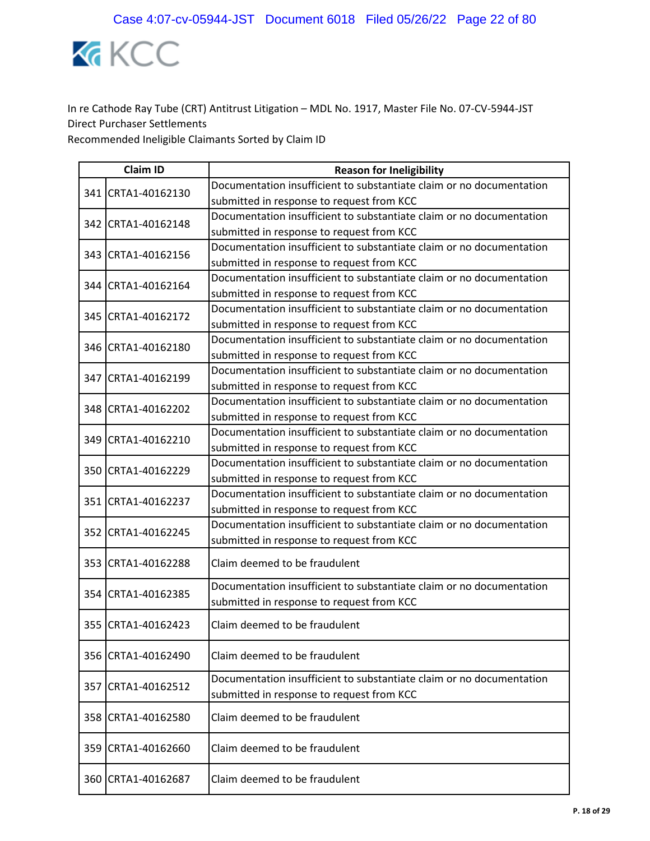

|     | <b>Claim ID</b>    | <b>Reason for Ineligibility</b>                                                                                   |
|-----|--------------------|-------------------------------------------------------------------------------------------------------------------|
|     | 341 CRTA1-40162130 | Documentation insufficient to substantiate claim or no documentation                                              |
|     |                    | submitted in response to request from KCC                                                                         |
|     | 342 CRTA1-40162148 | Documentation insufficient to substantiate claim or no documentation                                              |
|     |                    | submitted in response to request from KCC                                                                         |
|     | 343 CRTA1-40162156 | Documentation insufficient to substantiate claim or no documentation                                              |
|     |                    | submitted in response to request from KCC                                                                         |
|     | 344 CRTA1-40162164 | Documentation insufficient to substantiate claim or no documentation                                              |
|     |                    | submitted in response to request from KCC                                                                         |
|     | 345 CRTA1-40162172 | Documentation insufficient to substantiate claim or no documentation                                              |
|     |                    | submitted in response to request from KCC                                                                         |
|     | 346 CRTA1-40162180 | Documentation insufficient to substantiate claim or no documentation                                              |
|     |                    | submitted in response to request from KCC                                                                         |
|     | 347 CRTA1-40162199 | Documentation insufficient to substantiate claim or no documentation                                              |
|     |                    | submitted in response to request from KCC                                                                         |
|     | 348 CRTA1-40162202 | Documentation insufficient to substantiate claim or no documentation                                              |
|     |                    | submitted in response to request from KCC                                                                         |
|     | 349 CRTA1-40162210 | Documentation insufficient to substantiate claim or no documentation                                              |
|     |                    | submitted in response to request from KCC                                                                         |
|     | 350 CRTA1-40162229 | Documentation insufficient to substantiate claim or no documentation                                              |
|     |                    | submitted in response to request from KCC                                                                         |
|     | 351 CRTA1-40162237 | Documentation insufficient to substantiate claim or no documentation                                              |
|     |                    | submitted in response to request from KCC                                                                         |
|     | 352 CRTA1-40162245 | Documentation insufficient to substantiate claim or no documentation                                              |
|     |                    | submitted in response to request from KCC                                                                         |
|     | 353 CRTA1-40162288 | Claim deemed to be fraudulent                                                                                     |
|     |                    | Documentation insufficient to substantiate claim or no documentation                                              |
|     | 354 CRTA1-40162385 | submitted in response to request from KCC                                                                         |
|     | 355 CRTA1-40162423 | Claim deemed to be fraudulent                                                                                     |
| 356 | CRTA1-40162490     | Claim deemed to be fraudulent                                                                                     |
| 357 | CRTA1-40162512     | Documentation insufficient to substantiate claim or no documentation<br>submitted in response to request from KCC |
| 358 | CRTA1-40162580     | Claim deemed to be fraudulent                                                                                     |
|     | 359 CRTA1-40162660 | Claim deemed to be fraudulent                                                                                     |
|     | 360 CRTA1-40162687 | Claim deemed to be fraudulent                                                                                     |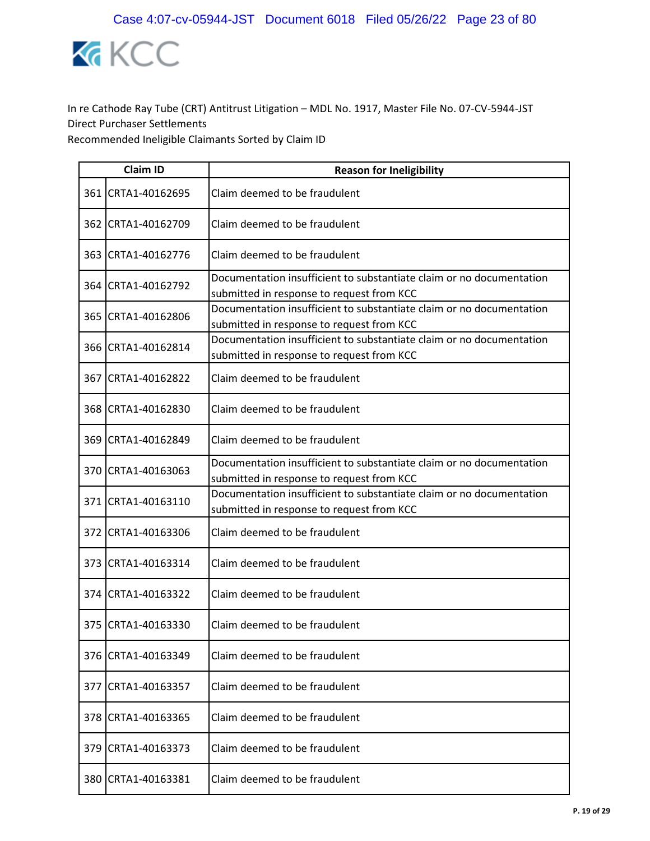

|     | <b>Claim ID</b>     | <b>Reason for Ineligibility</b>                                                                                   |
|-----|---------------------|-------------------------------------------------------------------------------------------------------------------|
|     | 361 CRTA1-40162695  | Claim deemed to be fraudulent                                                                                     |
|     | 362 ICRTA1-40162709 | Claim deemed to be fraudulent                                                                                     |
|     | 363 CRTA1-40162776  | Claim deemed to be fraudulent                                                                                     |
|     | 364 CRTA1-40162792  | Documentation insufficient to substantiate claim or no documentation<br>submitted in response to request from KCC |
|     | 365 CRTA1-40162806  | Documentation insufficient to substantiate claim or no documentation<br>submitted in response to request from KCC |
|     | 366 CRTA1-40162814  | Documentation insufficient to substantiate claim or no documentation<br>submitted in response to request from KCC |
|     | 367 CRTA1-40162822  | Claim deemed to be fraudulent                                                                                     |
|     | 368 CRTA1-40162830  | Claim deemed to be fraudulent                                                                                     |
|     | 369 CRTA1-40162849  | Claim deemed to be fraudulent                                                                                     |
|     | 370 CRTA1-40163063  | Documentation insufficient to substantiate claim or no documentation<br>submitted in response to request from KCC |
|     | 371 CRTA1-40163110  | Documentation insufficient to substantiate claim or no documentation<br>submitted in response to request from KCC |
|     | 372 CRTA1-40163306  | Claim deemed to be fraudulent                                                                                     |
|     | 373 CRTA1-40163314  | Claim deemed to be fraudulent                                                                                     |
|     | 374 CRTA1-40163322  | Claim deemed to be fraudulent                                                                                     |
|     | 375 CRTA1-40163330  | Claim deemed to be fraudulent                                                                                     |
| 376 | CRTA1-40163349      | Claim deemed to be fraudulent                                                                                     |
| 377 | CRTA1-40163357      | Claim deemed to be fraudulent                                                                                     |
| 378 | CRTA1-40163365      | Claim deemed to be fraudulent                                                                                     |
| 379 | CRTA1-40163373      | Claim deemed to be fraudulent                                                                                     |
| 380 | CRTA1-40163381      | Claim deemed to be fraudulent                                                                                     |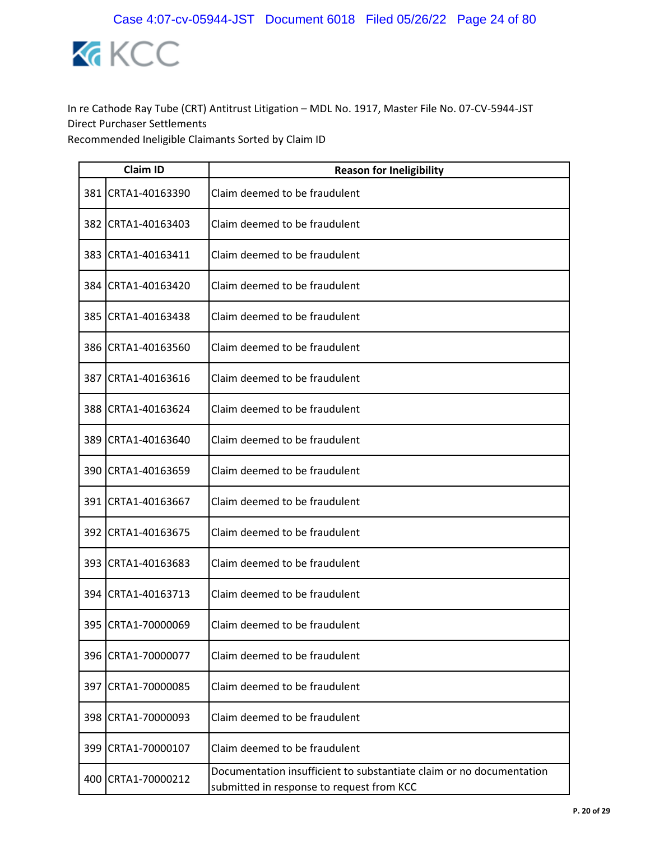

|     | <b>Claim ID</b>    | <b>Reason for Ineligibility</b>                                                                                   |
|-----|--------------------|-------------------------------------------------------------------------------------------------------------------|
| 381 | CRTA1-40163390     | Claim deemed to be fraudulent                                                                                     |
|     | 382 CRTA1-40163403 | Claim deemed to be fraudulent                                                                                     |
|     | 383 CRTA1-40163411 | Claim deemed to be fraudulent                                                                                     |
|     | 384 CRTA1-40163420 | Claim deemed to be fraudulent                                                                                     |
|     | 385 CRTA1-40163438 | Claim deemed to be fraudulent                                                                                     |
|     | 386 CRTA1-40163560 | Claim deemed to be fraudulent                                                                                     |
| 387 | CRTA1-40163616     | Claim deemed to be fraudulent                                                                                     |
|     | 388 CRTA1-40163624 | Claim deemed to be fraudulent                                                                                     |
| 389 | CRTA1-40163640     | Claim deemed to be fraudulent                                                                                     |
|     | 390 CRTA1-40163659 | Claim deemed to be fraudulent                                                                                     |
|     | 391 CRTA1-40163667 | Claim deemed to be fraudulent                                                                                     |
|     | 392 CRTA1-40163675 | Claim deemed to be fraudulent                                                                                     |
|     | 393 CRTA1-40163683 | Claim deemed to be fraudulent                                                                                     |
|     | 394 CRTA1-40163713 | Claim deemed to be fraudulent                                                                                     |
| 395 | CRTA1-70000069     | Claim deemed to be fraudulent                                                                                     |
|     | 396 CRTA1-70000077 | Claim deemed to be fraudulent                                                                                     |
|     | 397 CRTA1-70000085 | Claim deemed to be fraudulent                                                                                     |
| 398 | CRTA1-70000093     | Claim deemed to be fraudulent                                                                                     |
|     | 399 CRTA1-70000107 | Claim deemed to be fraudulent                                                                                     |
| 400 | CRTA1-70000212     | Documentation insufficient to substantiate claim or no documentation<br>submitted in response to request from KCC |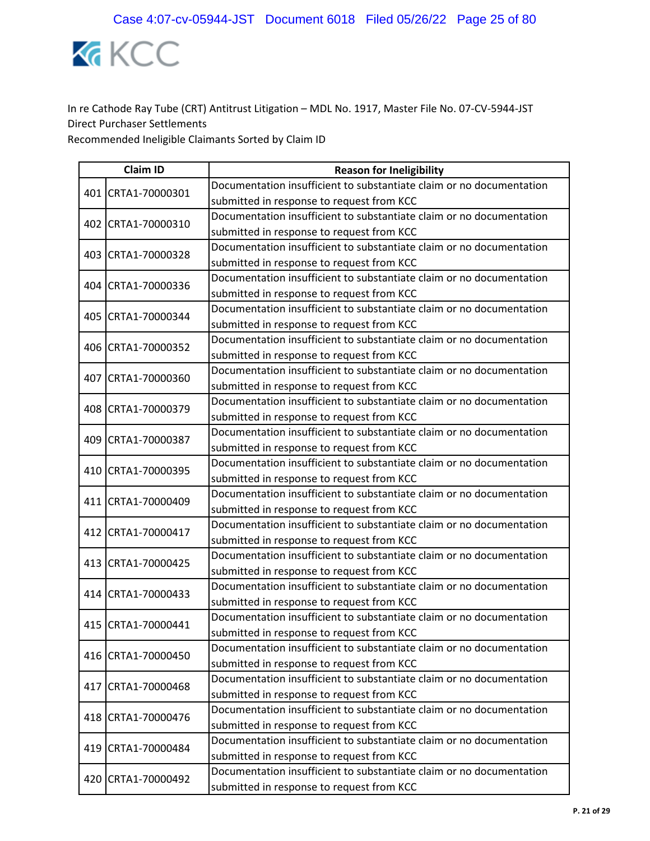

|  | <b>Claim ID</b>    | <b>Reason for Ineligibility</b>                                      |
|--|--------------------|----------------------------------------------------------------------|
|  | 401 CRTA1-70000301 | Documentation insufficient to substantiate claim or no documentation |
|  |                    | submitted in response to request from KCC                            |
|  | 402 CRTA1-70000310 | Documentation insufficient to substantiate claim or no documentation |
|  |                    | submitted in response to request from KCC                            |
|  | 403 CRTA1-70000328 | Documentation insufficient to substantiate claim or no documentation |
|  |                    | submitted in response to request from KCC                            |
|  | 404 CRTA1-70000336 | Documentation insufficient to substantiate claim or no documentation |
|  |                    | submitted in response to request from KCC                            |
|  | 405 CRTA1-70000344 | Documentation insufficient to substantiate claim or no documentation |
|  |                    | submitted in response to request from KCC                            |
|  | 406 CRTA1-70000352 | Documentation insufficient to substantiate claim or no documentation |
|  |                    | submitted in response to request from KCC                            |
|  | 407 CRTA1-70000360 | Documentation insufficient to substantiate claim or no documentation |
|  |                    | submitted in response to request from KCC                            |
|  | 408 CRTA1-70000379 | Documentation insufficient to substantiate claim or no documentation |
|  |                    | submitted in response to request from KCC                            |
|  | 409 CRTA1-70000387 | Documentation insufficient to substantiate claim or no documentation |
|  |                    | submitted in response to request from KCC                            |
|  | 410 CRTA1-70000395 | Documentation insufficient to substantiate claim or no documentation |
|  |                    | submitted in response to request from KCC                            |
|  | 411 CRTA1-70000409 | Documentation insufficient to substantiate claim or no documentation |
|  |                    | submitted in response to request from KCC                            |
|  | 412 CRTA1-70000417 | Documentation insufficient to substantiate claim or no documentation |
|  |                    | submitted in response to request from KCC                            |
|  | 413 CRTA1-70000425 | Documentation insufficient to substantiate claim or no documentation |
|  |                    | submitted in response to request from KCC                            |
|  |                    | Documentation insufficient to substantiate claim or no documentation |
|  | 414 CRTA1-70000433 | submitted in response to request from KCC                            |
|  | 415 CRTA1-70000441 | Documentation insufficient to substantiate claim or no documentation |
|  |                    | submitted in response to request from KCC                            |
|  | 416 CRTA1-70000450 | Documentation insufficient to substantiate claim or no documentation |
|  |                    | submitted in response to request from KCC                            |
|  | 417 CRTA1-70000468 | Documentation insufficient to substantiate claim or no documentation |
|  |                    | submitted in response to request from KCC                            |
|  |                    | Documentation insufficient to substantiate claim or no documentation |
|  | 418 CRTA1-70000476 | submitted in response to request from KCC                            |
|  | 419 CRTA1-70000484 | Documentation insufficient to substantiate claim or no documentation |
|  |                    | submitted in response to request from KCC                            |
|  | 420 CRTA1-70000492 | Documentation insufficient to substantiate claim or no documentation |
|  |                    | submitted in response to request from KCC                            |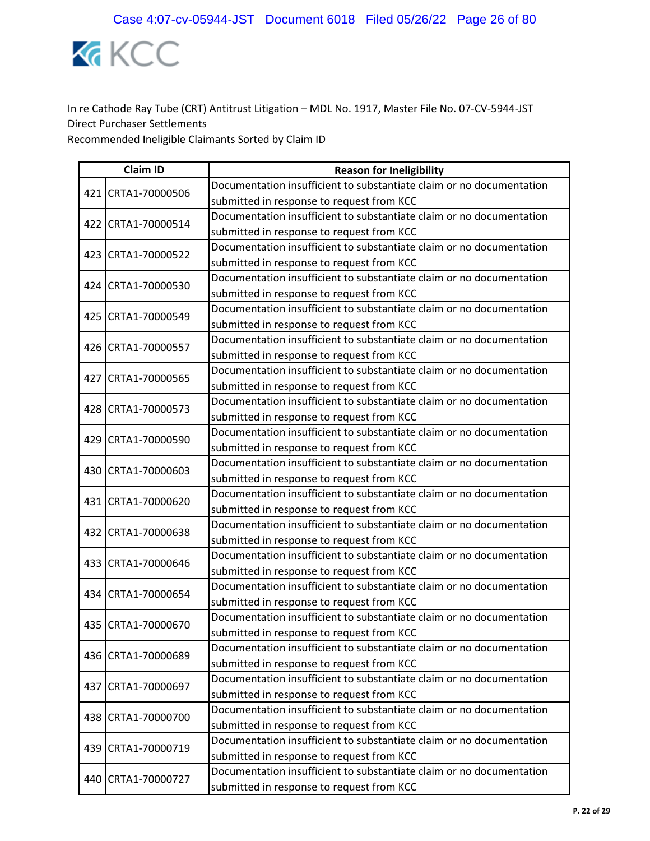

| <b>Claim ID</b> |                    | <b>Reason for Ineligibility</b>                                      |
|-----------------|--------------------|----------------------------------------------------------------------|
|                 | 421 CRTA1-70000506 | Documentation insufficient to substantiate claim or no documentation |
|                 |                    | submitted in response to request from KCC                            |
|                 | 422 CRTA1-70000514 | Documentation insufficient to substantiate claim or no documentation |
|                 |                    | submitted in response to request from KCC                            |
|                 | 423 CRTA1-70000522 | Documentation insufficient to substantiate claim or no documentation |
|                 |                    | submitted in response to request from KCC                            |
|                 | 424 CRTA1-70000530 | Documentation insufficient to substantiate claim or no documentation |
|                 |                    | submitted in response to request from KCC                            |
|                 | 425 CRTA1-70000549 | Documentation insufficient to substantiate claim or no documentation |
|                 |                    | submitted in response to request from KCC                            |
|                 | 426 CRTA1-70000557 | Documentation insufficient to substantiate claim or no documentation |
|                 |                    | submitted in response to request from KCC                            |
|                 | 427 CRTA1-70000565 | Documentation insufficient to substantiate claim or no documentation |
|                 |                    | submitted in response to request from KCC                            |
|                 | 428 CRTA1-70000573 | Documentation insufficient to substantiate claim or no documentation |
|                 |                    | submitted in response to request from KCC                            |
|                 | 429 CRTA1-70000590 | Documentation insufficient to substantiate claim or no documentation |
|                 |                    | submitted in response to request from KCC                            |
|                 | 430 CRTA1-70000603 | Documentation insufficient to substantiate claim or no documentation |
|                 |                    | submitted in response to request from KCC                            |
|                 | 431 CRTA1-70000620 | Documentation insufficient to substantiate claim or no documentation |
|                 |                    | submitted in response to request from KCC                            |
|                 | 432 CRTA1-70000638 | Documentation insufficient to substantiate claim or no documentation |
|                 |                    | submitted in response to request from KCC                            |
|                 | 433 CRTA1-70000646 | Documentation insufficient to substantiate claim or no documentation |
|                 |                    | submitted in response to request from KCC                            |
|                 | 434 CRTA1-70000654 | Documentation insufficient to substantiate claim or no documentation |
|                 |                    | submitted in response to request from KCC                            |
|                 | 435 CRTA1-70000670 | Documentation insufficient to substantiate claim or no documentation |
|                 |                    | submitted in response to request from KCC                            |
|                 | 436 CRTA1-70000689 | Documentation insufficient to substantiate claim or no documentation |
|                 |                    | submitted in response to request from KCC                            |
|                 | 437 CRTA1-70000697 | Documentation insufficient to substantiate claim or no documentation |
|                 |                    | submitted in response to request from KCC                            |
|                 | 438 CRTA1-70000700 | Documentation insufficient to substantiate claim or no documentation |
|                 |                    | submitted in response to request from KCC                            |
|                 | 439 CRTA1-70000719 | Documentation insufficient to substantiate claim or no documentation |
|                 |                    | submitted in response to request from KCC                            |
|                 | 440 CRTA1-70000727 | Documentation insufficient to substantiate claim or no documentation |
|                 |                    | submitted in response to request from KCC                            |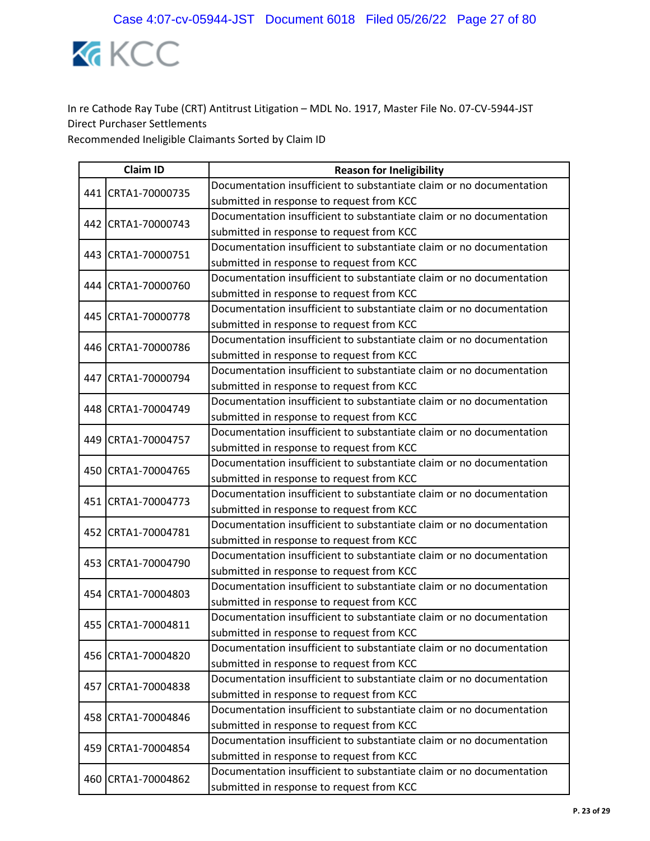

|  | <b>Claim ID</b>    | <b>Reason for Ineligibility</b>                                      |  |
|--|--------------------|----------------------------------------------------------------------|--|
|  | 441 CRTA1-70000735 | Documentation insufficient to substantiate claim or no documentation |  |
|  |                    | submitted in response to request from KCC                            |  |
|  |                    | Documentation insufficient to substantiate claim or no documentation |  |
|  | 442 CRTA1-70000743 | submitted in response to request from KCC                            |  |
|  |                    | Documentation insufficient to substantiate claim or no documentation |  |
|  | 443 CRTA1-70000751 | submitted in response to request from KCC                            |  |
|  |                    | Documentation insufficient to substantiate claim or no documentation |  |
|  | 444 CRTA1-70000760 | submitted in response to request from KCC                            |  |
|  |                    | Documentation insufficient to substantiate claim or no documentation |  |
|  | 445 CRTA1-70000778 | submitted in response to request from KCC                            |  |
|  | 446 CRTA1-70000786 | Documentation insufficient to substantiate claim or no documentation |  |
|  |                    | submitted in response to request from KCC                            |  |
|  | 447 CRTA1-70000794 | Documentation insufficient to substantiate claim or no documentation |  |
|  |                    | submitted in response to request from KCC                            |  |
|  | 448 CRTA1-70004749 | Documentation insufficient to substantiate claim or no documentation |  |
|  |                    | submitted in response to request from KCC                            |  |
|  | 449 CRTA1-70004757 | Documentation insufficient to substantiate claim or no documentation |  |
|  |                    | submitted in response to request from KCC                            |  |
|  | 450 CRTA1-70004765 | Documentation insufficient to substantiate claim or no documentation |  |
|  |                    | submitted in response to request from KCC                            |  |
|  | 451 CRTA1-70004773 | Documentation insufficient to substantiate claim or no documentation |  |
|  |                    | submitted in response to request from KCC                            |  |
|  | 452 CRTA1-70004781 | Documentation insufficient to substantiate claim or no documentation |  |
|  |                    | submitted in response to request from KCC                            |  |
|  | 453 CRTA1-70004790 | Documentation insufficient to substantiate claim or no documentation |  |
|  |                    | submitted in response to request from KCC                            |  |
|  |                    | Documentation insufficient to substantiate claim or no documentation |  |
|  | 454 CRTA1-70004803 | submitted in response to request from KCC                            |  |
|  | 455 CRTA1-70004811 | Documentation insufficient to substantiate claim or no documentation |  |
|  |                    | submitted in response to request from KCC                            |  |
|  | 456 CRTA1-70004820 | Documentation insufficient to substantiate claim or no documentation |  |
|  |                    | submitted in response to request from KCC                            |  |
|  | 457 CRTA1-70004838 | Documentation insufficient to substantiate claim or no documentation |  |
|  |                    | submitted in response to request from KCC                            |  |
|  | 458 CRTA1-70004846 | Documentation insufficient to substantiate claim or no documentation |  |
|  |                    | submitted in response to request from KCC                            |  |
|  | 459 CRTA1-70004854 | Documentation insufficient to substantiate claim or no documentation |  |
|  |                    | submitted in response to request from KCC                            |  |
|  | 460 CRTA1-70004862 | Documentation insufficient to substantiate claim or no documentation |  |
|  |                    | submitted in response to request from KCC                            |  |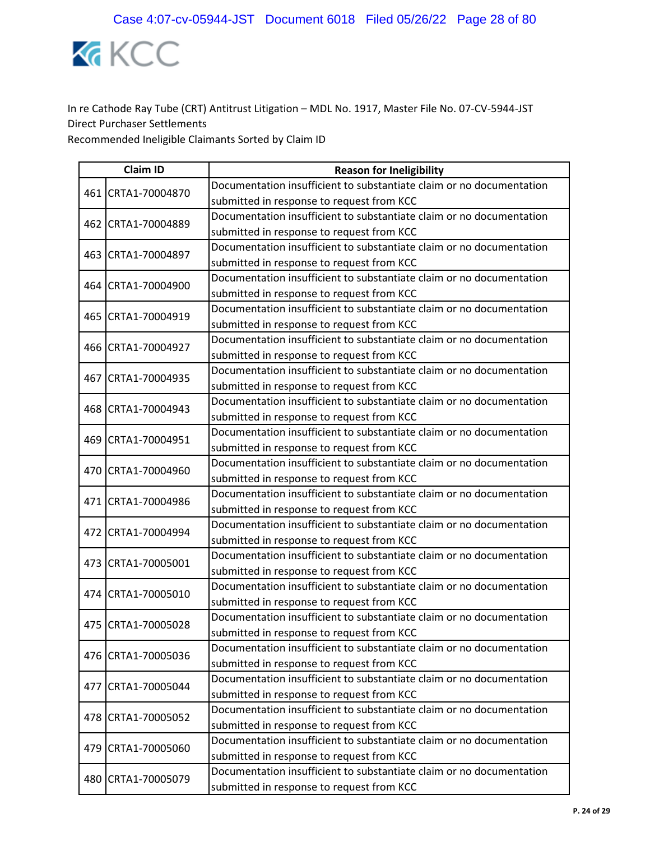

| <b>Claim ID</b> |                    | <b>Reason for Ineligibility</b>                                      |
|-----------------|--------------------|----------------------------------------------------------------------|
|                 | 461 CRTA1-70004870 | Documentation insufficient to substantiate claim or no documentation |
|                 |                    | submitted in response to request from KCC                            |
|                 | 462 CRTA1-70004889 | Documentation insufficient to substantiate claim or no documentation |
|                 |                    | submitted in response to request from KCC                            |
| 463             |                    | Documentation insufficient to substantiate claim or no documentation |
|                 | CRTA1-70004897     | submitted in response to request from KCC                            |
|                 | 464 CRTA1-70004900 | Documentation insufficient to substantiate claim or no documentation |
|                 |                    | submitted in response to request from KCC                            |
|                 | 465 CRTA1-70004919 | Documentation insufficient to substantiate claim or no documentation |
|                 |                    | submitted in response to request from KCC                            |
|                 | 466 CRTA1-70004927 | Documentation insufficient to substantiate claim or no documentation |
|                 |                    | submitted in response to request from KCC                            |
| 467             | CRTA1-70004935     | Documentation insufficient to substantiate claim or no documentation |
|                 |                    | submitted in response to request from KCC                            |
|                 | 468 CRTA1-70004943 | Documentation insufficient to substantiate claim or no documentation |
|                 |                    | submitted in response to request from KCC                            |
|                 | 469 CRTA1-70004951 | Documentation insufficient to substantiate claim or no documentation |
|                 |                    | submitted in response to request from KCC                            |
|                 | 470 CRTA1-70004960 | Documentation insufficient to substantiate claim or no documentation |
|                 |                    | submitted in response to request from KCC                            |
|                 | 471 CRTA1-70004986 | Documentation insufficient to substantiate claim or no documentation |
|                 |                    | submitted in response to request from KCC                            |
|                 | 472 CRTA1-70004994 | Documentation insufficient to substantiate claim or no documentation |
|                 |                    | submitted in response to request from KCC                            |
|                 | 473 CRTA1-70005001 | Documentation insufficient to substantiate claim or no documentation |
|                 |                    | submitted in response to request from KCC                            |
|                 | 474 CRTA1-70005010 | Documentation insufficient to substantiate claim or no documentation |
|                 |                    | submitted in response to request from KCC                            |
|                 | 475 CRTA1-70005028 | Documentation insufficient to substantiate claim or no documentation |
|                 |                    | submitted in response to request from KCC                            |
|                 | 476 CRTA1-70005036 | Documentation insufficient to substantiate claim or no documentation |
|                 |                    | submitted in response to request from KCC                            |
|                 | 477 CRTA1-70005044 | Documentation insufficient to substantiate claim or no documentation |
|                 |                    | submitted in response to request from KCC                            |
|                 | 478 CRTA1-70005052 | Documentation insufficient to substantiate claim or no documentation |
|                 |                    | submitted in response to request from KCC                            |
|                 | 479 CRTA1-70005060 | Documentation insufficient to substantiate claim or no documentation |
|                 |                    | submitted in response to request from KCC                            |
|                 | 480 CRTA1-70005079 | Documentation insufficient to substantiate claim or no documentation |
|                 |                    | submitted in response to request from KCC                            |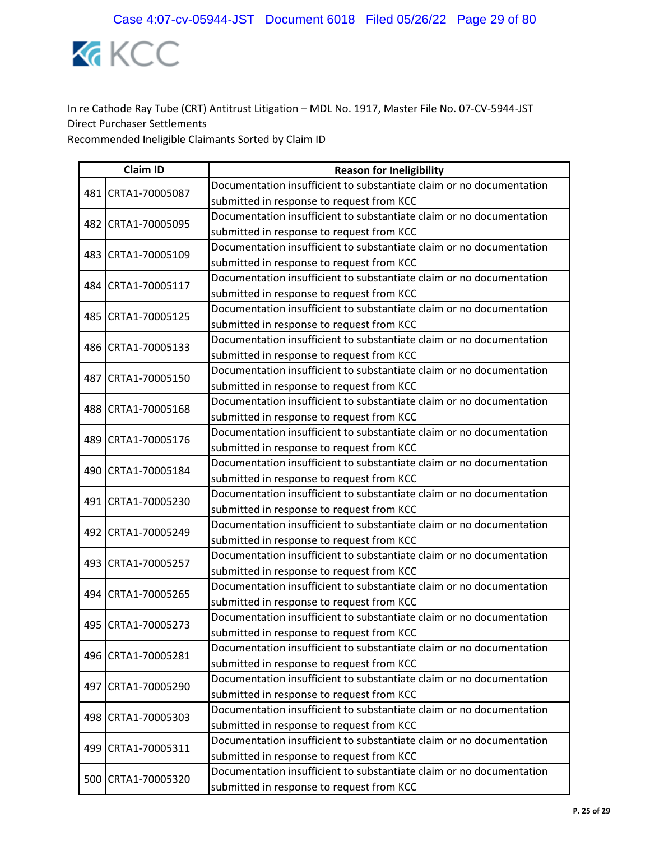

|     | <b>Claim ID</b>    | <b>Reason for Ineligibility</b>                                      |  |
|-----|--------------------|----------------------------------------------------------------------|--|
|     | 481 CRTA1-70005087 | Documentation insufficient to substantiate claim or no documentation |  |
|     |                    | submitted in response to request from KCC                            |  |
|     |                    | Documentation insufficient to substantiate claim or no documentation |  |
|     | 482 CRTA1-70005095 | submitted in response to request from KCC                            |  |
|     | CRTA1-70005109     | Documentation insufficient to substantiate claim or no documentation |  |
| 483 |                    | submitted in response to request from KCC                            |  |
|     | 484 CRTA1-70005117 | Documentation insufficient to substantiate claim or no documentation |  |
|     |                    | submitted in response to request from KCC                            |  |
|     | 485 CRTA1-70005125 | Documentation insufficient to substantiate claim or no documentation |  |
|     |                    | submitted in response to request from KCC                            |  |
|     | 486 CRTA1-70005133 | Documentation insufficient to substantiate claim or no documentation |  |
|     |                    | submitted in response to request from KCC                            |  |
|     | 487 CRTA1-70005150 | Documentation insufficient to substantiate claim or no documentation |  |
|     |                    | submitted in response to request from KCC                            |  |
|     | 488 CRTA1-70005168 | Documentation insufficient to substantiate claim or no documentation |  |
|     |                    | submitted in response to request from KCC                            |  |
|     | 489 CRTA1-70005176 | Documentation insufficient to substantiate claim or no documentation |  |
|     |                    | submitted in response to request from KCC                            |  |
|     | 490 CRTA1-70005184 | Documentation insufficient to substantiate claim or no documentation |  |
|     |                    | submitted in response to request from KCC                            |  |
|     | 491 CRTA1-70005230 | Documentation insufficient to substantiate claim or no documentation |  |
|     |                    | submitted in response to request from KCC                            |  |
|     | 492 CRTA1-70005249 | Documentation insufficient to substantiate claim or no documentation |  |
|     |                    | submitted in response to request from KCC                            |  |
|     | 493 CRTA1-70005257 | Documentation insufficient to substantiate claim or no documentation |  |
|     |                    | submitted in response to request from KCC                            |  |
|     | 494 CRTA1-70005265 | Documentation insufficient to substantiate claim or no documentation |  |
|     |                    | submitted in response to request from KCC                            |  |
|     | 495 CRTA1-70005273 | Documentation insufficient to substantiate claim or no documentation |  |
|     |                    | submitted in response to request from KCC                            |  |
|     | 496 CRTA1-70005281 | Documentation insufficient to substantiate claim or no documentation |  |
|     |                    | submitted in response to request from KCC                            |  |
|     | 497 CRTA1-70005290 | Documentation insufficient to substantiate claim or no documentation |  |
|     |                    | submitted in response to request from KCC                            |  |
|     | 498 CRTA1-70005303 | Documentation insufficient to substantiate claim or no documentation |  |
|     |                    | submitted in response to request from KCC                            |  |
|     | 499 CRTA1-70005311 | Documentation insufficient to substantiate claim or no documentation |  |
|     |                    | submitted in response to request from KCC                            |  |
|     | 500 CRTA1-70005320 | Documentation insufficient to substantiate claim or no documentation |  |
|     |                    | submitted in response to request from KCC                            |  |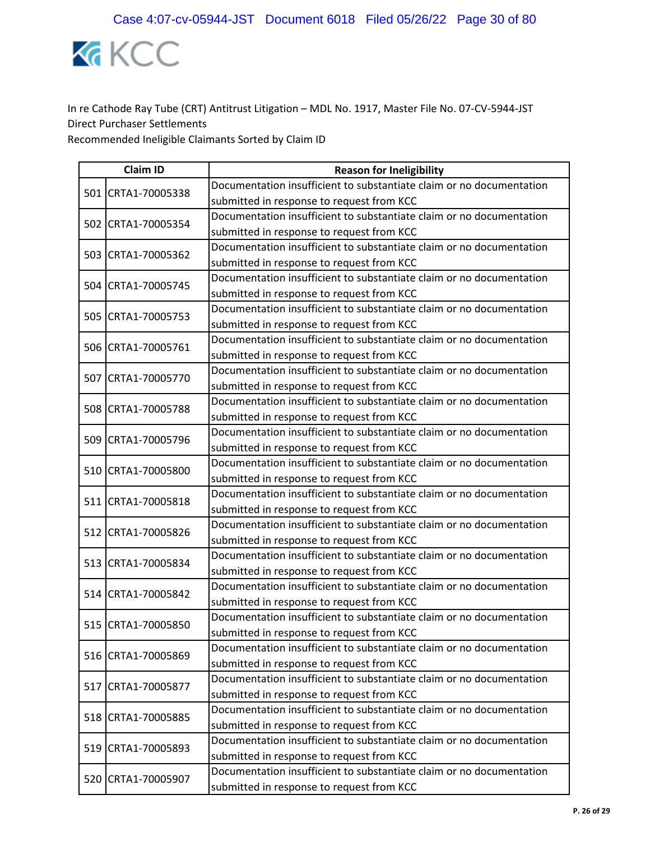

| <b>Claim ID</b> |                    | <b>Reason for Ineligibility</b>                                      |
|-----------------|--------------------|----------------------------------------------------------------------|
|                 | 501 CRTA1-70005338 | Documentation insufficient to substantiate claim or no documentation |
|                 |                    | submitted in response to request from KCC                            |
|                 | 502 CRTA1-70005354 | Documentation insufficient to substantiate claim or no documentation |
|                 |                    | submitted in response to request from KCC                            |
|                 |                    | Documentation insufficient to substantiate claim or no documentation |
|                 | 503 CRTA1-70005362 | submitted in response to request from KCC                            |
|                 | 504 CRTA1-70005745 | Documentation insufficient to substantiate claim or no documentation |
|                 |                    | submitted in response to request from KCC                            |
|                 | 505 CRTA1-70005753 | Documentation insufficient to substantiate claim or no documentation |
|                 |                    | submitted in response to request from KCC                            |
|                 | 506 CRTA1-70005761 | Documentation insufficient to substantiate claim or no documentation |
|                 |                    | submitted in response to request from KCC                            |
|                 | 507 CRTA1-70005770 | Documentation insufficient to substantiate claim or no documentation |
|                 |                    | submitted in response to request from KCC                            |
|                 | 508 CRTA1-70005788 | Documentation insufficient to substantiate claim or no documentation |
|                 |                    | submitted in response to request from KCC                            |
|                 | 509 CRTA1-70005796 | Documentation insufficient to substantiate claim or no documentation |
|                 |                    | submitted in response to request from KCC                            |
|                 | 510 CRTA1-70005800 | Documentation insufficient to substantiate claim or no documentation |
|                 |                    | submitted in response to request from KCC                            |
|                 | 511 CRTA1-70005818 | Documentation insufficient to substantiate claim or no documentation |
|                 |                    | submitted in response to request from KCC                            |
|                 | 512 CRTA1-70005826 | Documentation insufficient to substantiate claim or no documentation |
|                 |                    | submitted in response to request from KCC                            |
|                 | 513 CRTA1-70005834 | Documentation insufficient to substantiate claim or no documentation |
|                 |                    | submitted in response to request from KCC                            |
|                 | 514 CRTA1-70005842 | Documentation insufficient to substantiate claim or no documentation |
|                 |                    | submitted in response to request from KCC                            |
|                 | 515 CRTA1-70005850 | Documentation insufficient to substantiate claim or no documentation |
|                 |                    | submitted in response to request from KCC                            |
|                 | 516 CRTA1-70005869 | Documentation insufficient to substantiate claim or no documentation |
|                 |                    | submitted in response to request from KCC                            |
|                 | 517 CRTA1-70005877 | Documentation insufficient to substantiate claim or no documentation |
|                 |                    | submitted in response to request from KCC                            |
|                 | 518 CRTA1-70005885 | Documentation insufficient to substantiate claim or no documentation |
|                 |                    | submitted in response to request from KCC                            |
|                 | 519 CRTA1-70005893 | Documentation insufficient to substantiate claim or no documentation |
|                 |                    | submitted in response to request from KCC                            |
|                 | 520 CRTA1-70005907 | Documentation insufficient to substantiate claim or no documentation |
|                 |                    | submitted in response to request from KCC                            |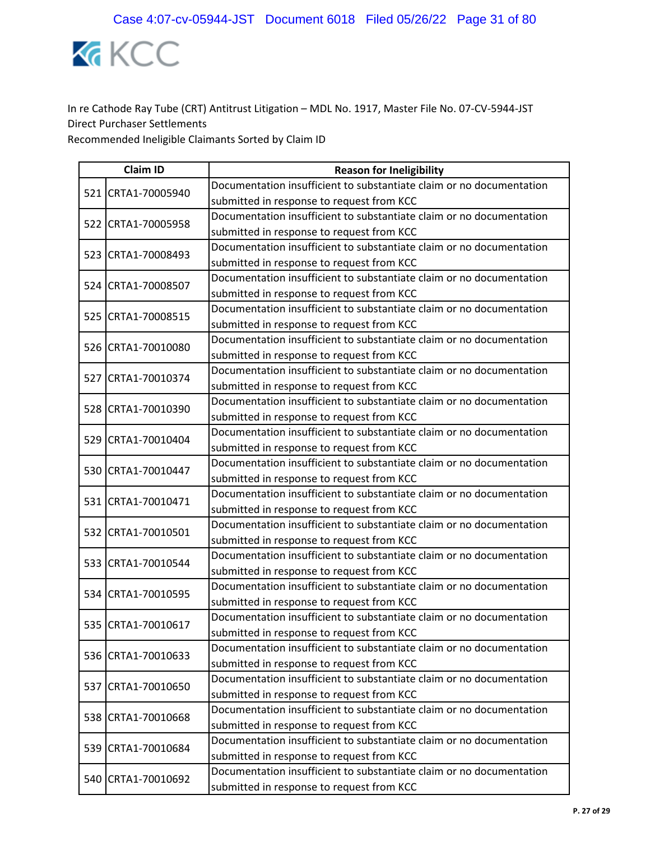

| <b>Claim ID</b> |                    | <b>Reason for Ineligibility</b>                                      |
|-----------------|--------------------|----------------------------------------------------------------------|
|                 | 521 CRTA1-70005940 | Documentation insufficient to substantiate claim or no documentation |
|                 |                    | submitted in response to request from KCC                            |
|                 |                    | Documentation insufficient to substantiate claim or no documentation |
|                 | 522 CRTA1-70005958 | submitted in response to request from KCC                            |
|                 | 523 CRTA1-70008493 | Documentation insufficient to substantiate claim or no documentation |
|                 |                    | submitted in response to request from KCC                            |
|                 | 524 CRTA1-70008507 | Documentation insufficient to substantiate claim or no documentation |
|                 |                    | submitted in response to request from KCC                            |
|                 | 525 CRTA1-70008515 | Documentation insufficient to substantiate claim or no documentation |
|                 |                    | submitted in response to request from KCC                            |
|                 | 526 CRTA1-70010080 | Documentation insufficient to substantiate claim or no documentation |
|                 |                    | submitted in response to request from KCC                            |
|                 | 527 CRTA1-70010374 | Documentation insufficient to substantiate claim or no documentation |
|                 |                    | submitted in response to request from KCC                            |
|                 | 528 CRTA1-70010390 | Documentation insufficient to substantiate claim or no documentation |
|                 |                    | submitted in response to request from KCC                            |
|                 | 529 CRTA1-70010404 | Documentation insufficient to substantiate claim or no documentation |
|                 |                    | submitted in response to request from KCC                            |
|                 | 530 CRTA1-70010447 | Documentation insufficient to substantiate claim or no documentation |
|                 |                    | submitted in response to request from KCC                            |
|                 | 531 CRTA1-70010471 | Documentation insufficient to substantiate claim or no documentation |
|                 |                    | submitted in response to request from KCC                            |
|                 | 532 CRTA1-70010501 | Documentation insufficient to substantiate claim or no documentation |
|                 |                    | submitted in response to request from KCC                            |
|                 | 533 CRTA1-70010544 | Documentation insufficient to substantiate claim or no documentation |
|                 |                    | submitted in response to request from KCC                            |
|                 | 534 CRTA1-70010595 | Documentation insufficient to substantiate claim or no documentation |
|                 |                    | submitted in response to request from KCC                            |
|                 | 535 CRTA1-70010617 | Documentation insufficient to substantiate claim or no documentation |
|                 |                    | submitted in response to request from KCC                            |
|                 | 536 CRTA1-70010633 | Documentation insufficient to substantiate claim or no documentation |
|                 |                    | submitted in response to request from KCC                            |
|                 |                    | Documentation insufficient to substantiate claim or no documentation |
|                 | 537 CRTA1-70010650 | submitted in response to request from KCC                            |
|                 | 538 CRTA1-70010668 | Documentation insufficient to substantiate claim or no documentation |
|                 |                    | submitted in response to request from KCC                            |
|                 | 539 CRTA1-70010684 | Documentation insufficient to substantiate claim or no documentation |
|                 |                    | submitted in response to request from KCC                            |
|                 | 540 CRTA1-70010692 | Documentation insufficient to substantiate claim or no documentation |
|                 |                    | submitted in response to request from KCC                            |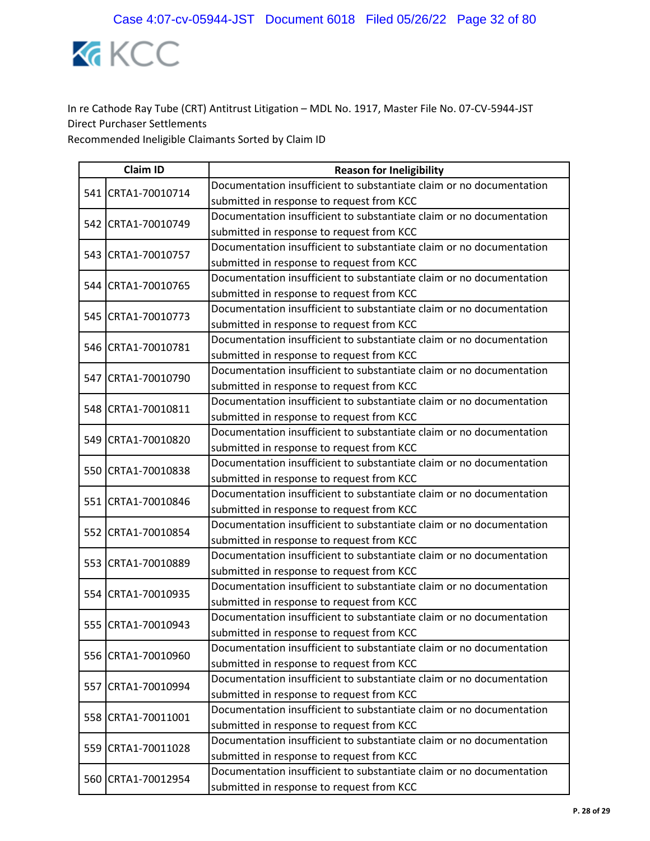

| <b>Claim ID</b> |                    | <b>Reason for Ineligibility</b>                                      |  |
|-----------------|--------------------|----------------------------------------------------------------------|--|
|                 | 541 CRTA1-70010714 | Documentation insufficient to substantiate claim or no documentation |  |
|                 |                    | submitted in response to request from KCC                            |  |
|                 | 542 CRTA1-70010749 | Documentation insufficient to substantiate claim or no documentation |  |
|                 |                    | submitted in response to request from KCC                            |  |
|                 | 543 CRTA1-70010757 | Documentation insufficient to substantiate claim or no documentation |  |
|                 |                    | submitted in response to request from KCC                            |  |
|                 | 544 CRTA1-70010765 | Documentation insufficient to substantiate claim or no documentation |  |
|                 |                    | submitted in response to request from KCC                            |  |
|                 | 545 CRTA1-70010773 | Documentation insufficient to substantiate claim or no documentation |  |
|                 |                    | submitted in response to request from KCC                            |  |
|                 | 546 CRTA1-70010781 | Documentation insufficient to substantiate claim or no documentation |  |
|                 |                    | submitted in response to request from KCC                            |  |
|                 | 547 CRTA1-70010790 | Documentation insufficient to substantiate claim or no documentation |  |
|                 |                    | submitted in response to request from KCC                            |  |
|                 | 548 CRTA1-70010811 | Documentation insufficient to substantiate claim or no documentation |  |
|                 |                    | submitted in response to request from KCC                            |  |
|                 | 549 CRTA1-70010820 | Documentation insufficient to substantiate claim or no documentation |  |
|                 |                    | submitted in response to request from KCC                            |  |
|                 | 550 CRTA1-70010838 | Documentation insufficient to substantiate claim or no documentation |  |
|                 |                    | submitted in response to request from KCC                            |  |
|                 | 551 CRTA1-70010846 | Documentation insufficient to substantiate claim or no documentation |  |
|                 |                    | submitted in response to request from KCC                            |  |
|                 | 552 CRTA1-70010854 | Documentation insufficient to substantiate claim or no documentation |  |
|                 |                    | submitted in response to request from KCC                            |  |
|                 | 553 CRTA1-70010889 | Documentation insufficient to substantiate claim or no documentation |  |
|                 |                    | submitted in response to request from KCC                            |  |
|                 | 554 CRTA1-70010935 | Documentation insufficient to substantiate claim or no documentation |  |
|                 |                    | submitted in response to request from KCC                            |  |
|                 | 555 CRTA1-70010943 | Documentation insufficient to substantiate claim or no documentation |  |
|                 |                    | submitted in response to request from KCC                            |  |
|                 | 556 CRTA1-70010960 | Documentation insufficient to substantiate claim or no documentation |  |
|                 |                    | submitted in response to request from KCC                            |  |
|                 | 557 CRTA1-70010994 | Documentation insufficient to substantiate claim or no documentation |  |
|                 |                    | submitted in response to request from KCC                            |  |
|                 | 558 CRTA1-70011001 | Documentation insufficient to substantiate claim or no documentation |  |
|                 |                    | submitted in response to request from KCC                            |  |
|                 | 559 CRTA1-70011028 | Documentation insufficient to substantiate claim or no documentation |  |
|                 |                    | submitted in response to request from KCC                            |  |
|                 | 560 CRTA1-70012954 | Documentation insufficient to substantiate claim or no documentation |  |
|                 |                    | submitted in response to request from KCC                            |  |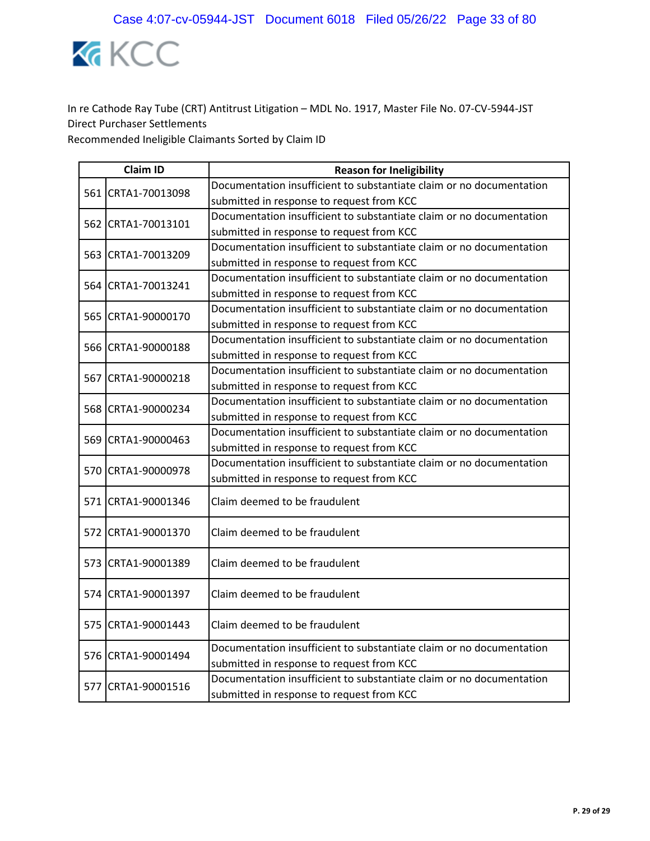

| <b>Claim ID</b> |                    | <b>Reason for Ineligibility</b>                                                                                   |  |
|-----------------|--------------------|-------------------------------------------------------------------------------------------------------------------|--|
|                 | 561 CRTA1-70013098 | Documentation insufficient to substantiate claim or no documentation                                              |  |
|                 |                    | submitted in response to request from KCC                                                                         |  |
|                 | 562 CRTA1-70013101 | Documentation insufficient to substantiate claim or no documentation                                              |  |
|                 |                    | submitted in response to request from KCC                                                                         |  |
|                 | 563 CRTA1-70013209 | Documentation insufficient to substantiate claim or no documentation                                              |  |
|                 |                    | submitted in response to request from KCC                                                                         |  |
|                 | 564 CRTA1-70013241 | Documentation insufficient to substantiate claim or no documentation                                              |  |
|                 |                    | submitted in response to request from KCC                                                                         |  |
|                 | 565 CRTA1-90000170 | Documentation insufficient to substantiate claim or no documentation                                              |  |
|                 |                    | submitted in response to request from KCC                                                                         |  |
|                 | 566 CRTA1-90000188 | Documentation insufficient to substantiate claim or no documentation                                              |  |
|                 |                    | submitted in response to request from KCC                                                                         |  |
|                 | 567 CRTA1-90000218 | Documentation insufficient to substantiate claim or no documentation                                              |  |
|                 |                    | submitted in response to request from KCC                                                                         |  |
|                 |                    | Documentation insufficient to substantiate claim or no documentation                                              |  |
|                 | 568 CRTA1-90000234 | submitted in response to request from KCC                                                                         |  |
|                 | 569 CRTA1-90000463 | Documentation insufficient to substantiate claim or no documentation                                              |  |
|                 |                    | submitted in response to request from KCC                                                                         |  |
|                 | 570 CRTA1-90000978 | Documentation insufficient to substantiate claim or no documentation                                              |  |
|                 |                    | submitted in response to request from KCC                                                                         |  |
|                 | 571 CRTA1-90001346 | Claim deemed to be fraudulent                                                                                     |  |
|                 | 572 CRTA1-90001370 | Claim deemed to be fraudulent                                                                                     |  |
|                 | 573 CRTA1-90001389 | Claim deemed to be fraudulent                                                                                     |  |
|                 | 574 CRTA1-90001397 | Claim deemed to be fraudulent                                                                                     |  |
|                 | 575 CRTA1-90001443 | Claim deemed to be fraudulent                                                                                     |  |
|                 | 576 CRTA1-90001494 | Documentation insufficient to substantiate claim or no documentation<br>submitted in response to request from KCC |  |
|                 |                    | Documentation insufficient to substantiate claim or no documentation                                              |  |
|                 | 577 CRTA1-90001516 | submitted in response to request from KCC                                                                         |  |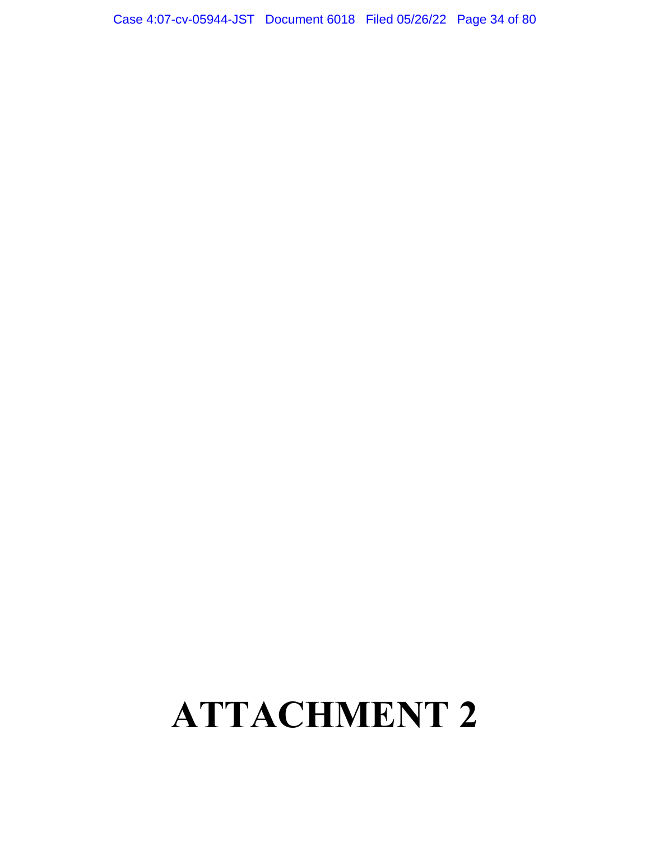## **ATTACHMENT 2**

Case 4:07-cv-05944-JST Document 6018 Filed 05/26/22 Page 34 of 80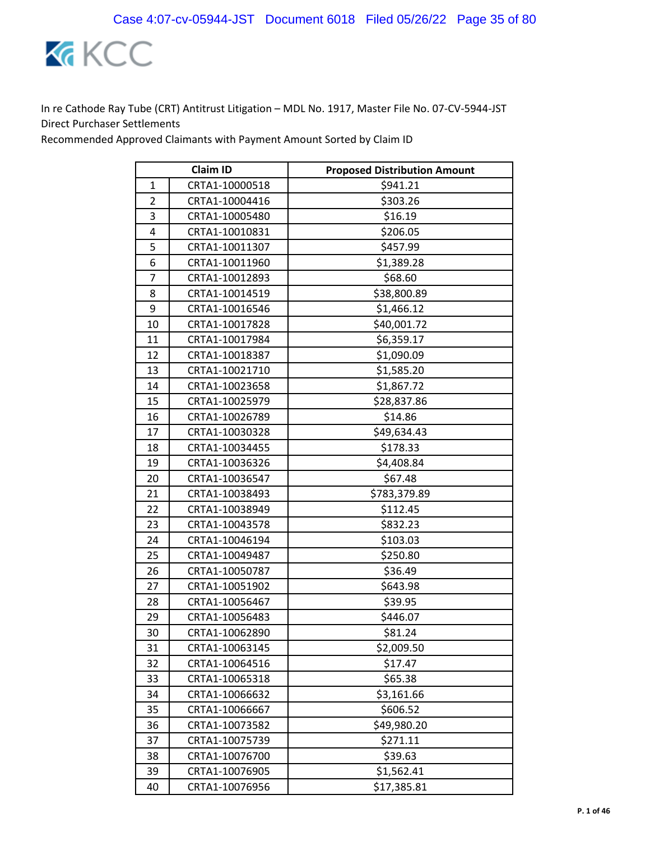

Recommended Approved Claimants with Payment Amount Sorted by Claim ID

| <b>Claim ID</b> |                | <b>Proposed Distribution Amount</b> |
|-----------------|----------------|-------------------------------------|
| 1               | CRTA1-10000518 | \$941.21                            |
| $\overline{2}$  | CRTA1-10004416 | \$303.26                            |
| 3               | CRTA1-10005480 | \$16.19                             |
| 4               | CRTA1-10010831 | \$206.05                            |
| 5               | CRTA1-10011307 | \$457.99                            |
| 6               | CRTA1-10011960 | \$1,389.28                          |
| 7               | CRTA1-10012893 | \$68.60                             |
| 8               | CRTA1-10014519 | \$38,800.89                         |
| 9               | CRTA1-10016546 | \$1,466.12                          |
| 10              | CRTA1-10017828 | \$40,001.72                         |
| 11              | CRTA1-10017984 | \$6,359.17                          |
| 12              | CRTA1-10018387 | \$1,090.09                          |
| 13              | CRTA1-10021710 | \$1,585.20                          |
| 14              | CRTA1-10023658 | \$1,867.72                          |
| 15              | CRTA1-10025979 | \$28,837.86                         |
| 16              | CRTA1-10026789 | \$14.86                             |
| 17              | CRTA1-10030328 | \$49,634.43                         |
| 18              | CRTA1-10034455 | \$178.33                            |
| 19              | CRTA1-10036326 | \$4,408.84                          |
| 20              | CRTA1-10036547 | \$67.48                             |
| 21              | CRTA1-10038493 | \$783,379.89                        |
| 22              | CRTA1-10038949 | \$112.45                            |
| 23              | CRTA1-10043578 | \$832.23                            |
| 24              | CRTA1-10046194 | \$103.03                            |
| 25              | CRTA1-10049487 | \$250.80                            |
| 26              | CRTA1-10050787 | \$36.49                             |
| 27              | CRTA1-10051902 | \$643.98                            |
| 28              | CRTA1-10056467 | \$39.95                             |
| 29              | CRTA1-10056483 | \$446.07                            |
| 30              | CRTA1-10062890 | \$81.24                             |
| 31              | CRTA1-10063145 | \$2,009.50                          |
| 32              | CRTA1-10064516 | \$17.47                             |
| 33              | CRTA1-10065318 | \$65.38                             |
| 34              | CRTA1-10066632 | \$3,161.66                          |
| 35              | CRTA1-10066667 | \$606.52                            |
| 36              | CRTA1-10073582 | \$49,980.20                         |
| 37              | CRTA1-10075739 | \$271.11                            |
| 38              | CRTA1-10076700 | \$39.63                             |
| 39              | CRTA1-10076905 | \$1,562.41                          |
| 40              | CRTA1-10076956 | \$17,385.81                         |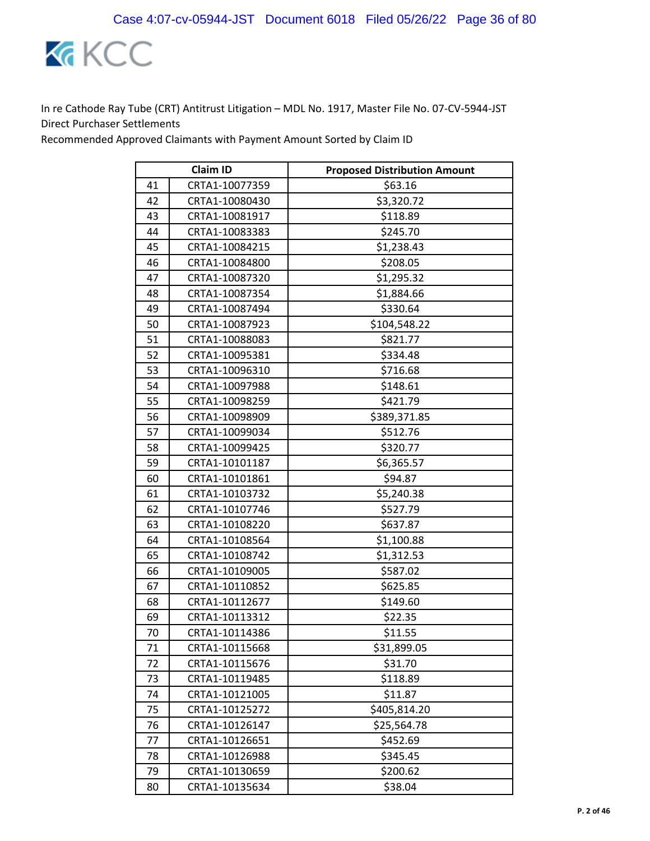

Recommended Approved Claimants with Payment Amount Sorted by Claim ID

| <b>Claim ID</b> |                | <b>Proposed Distribution Amount</b> |
|-----------------|----------------|-------------------------------------|
| 41              | CRTA1-10077359 | \$63.16                             |
| 42              | CRTA1-10080430 | \$3,320.72                          |
| 43              | CRTA1-10081917 | \$118.89                            |
| 44              | CRTA1-10083383 | \$245.70                            |
| 45              | CRTA1-10084215 | \$1,238.43                          |
| 46              | CRTA1-10084800 | \$208.05                            |
| 47              | CRTA1-10087320 | \$1,295.32                          |
| 48              | CRTA1-10087354 | \$1,884.66                          |
| 49              | CRTA1-10087494 | \$330.64                            |
| 50              | CRTA1-10087923 | \$104,548.22                        |
| 51              | CRTA1-10088083 | \$821.77                            |
| 52              | CRTA1-10095381 | \$334.48                            |
| 53              | CRTA1-10096310 | \$716.68                            |
| 54              | CRTA1-10097988 | \$148.61                            |
| 55              | CRTA1-10098259 | \$421.79                            |
| 56              | CRTA1-10098909 | \$389,371.85                        |
| 57              | CRTA1-10099034 | \$512.76                            |
| 58              | CRTA1-10099425 | \$320.77                            |
| 59              | CRTA1-10101187 | \$6,365.57                          |
| 60              | CRTA1-10101861 | \$94.87                             |
| 61              | CRTA1-10103732 | \$5,240.38                          |
| 62              | CRTA1-10107746 | \$527.79                            |
| 63              | CRTA1-10108220 | \$637.87                            |
| 64              | CRTA1-10108564 | \$1,100.88                          |
| 65              | CRTA1-10108742 | \$1,312.53                          |
| 66              | CRTA1-10109005 | \$587.02                            |
| 67              | CRTA1-10110852 | \$625.85                            |
| 68              | CRTA1-10112677 | \$149.60                            |
| 69              | CRTA1-10113312 | \$22.35                             |
| 70              | CRTA1-10114386 | \$11.55                             |
| 71              | CRTA1-10115668 | \$31,899.05                         |
| 72              | CRTA1-10115676 | \$31.70                             |
| 73              | CRTA1-10119485 | \$118.89                            |
| 74              | CRTA1-10121005 | \$11.87                             |
| 75              | CRTA1-10125272 | \$405,814.20                        |
| 76              | CRTA1-10126147 | \$25,564.78                         |
| 77              | CRTA1-10126651 | \$452.69                            |
| 78              | CRTA1-10126988 | \$345.45                            |
| 79              | CRTA1-10130659 | \$200.62                            |
| 80              | CRTA1-10135634 | \$38.04                             |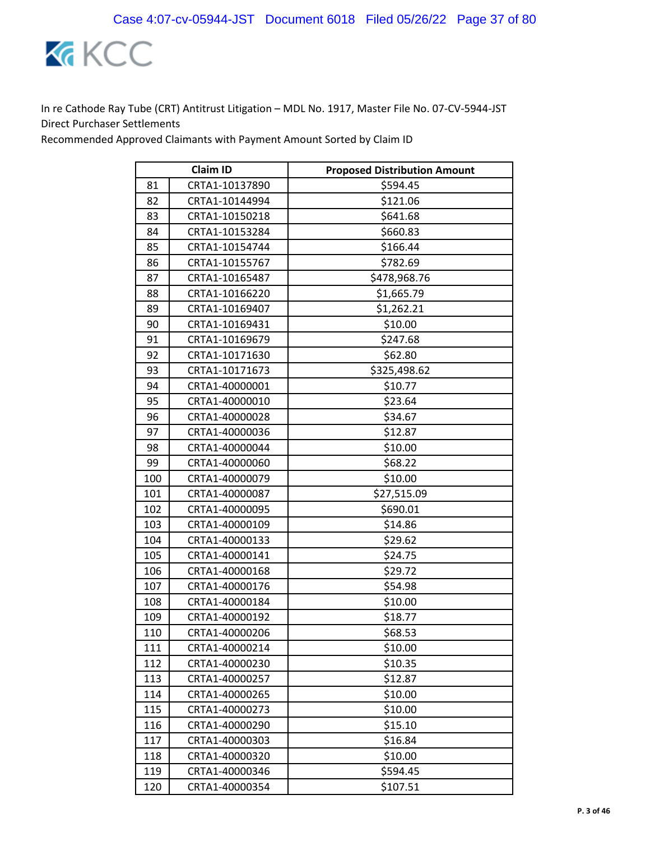

|     | <b>Claim ID</b> | <b>Proposed Distribution Amount</b> |
|-----|-----------------|-------------------------------------|
| 81  | CRTA1-10137890  | \$594.45                            |
| 82  | CRTA1-10144994  | \$121.06                            |
| 83  | CRTA1-10150218  | \$641.68                            |
| 84  | CRTA1-10153284  | \$660.83                            |
| 85  | CRTA1-10154744  | \$166.44                            |
| 86  | CRTA1-10155767  | \$782.69                            |
| 87  | CRTA1-10165487  | \$478,968.76                        |
| 88  | CRTA1-10166220  | \$1,665.79                          |
| 89  | CRTA1-10169407  | \$1,262.21                          |
| 90  | CRTA1-10169431  | \$10.00                             |
| 91  | CRTA1-10169679  | \$247.68                            |
| 92  | CRTA1-10171630  | \$62.80                             |
| 93  | CRTA1-10171673  | \$325,498.62                        |
| 94  | CRTA1-40000001  | \$10.77                             |
| 95  | CRTA1-40000010  | \$23.64                             |
| 96  | CRTA1-40000028  | \$34.67                             |
| 97  | CRTA1-40000036  | \$12.87                             |
| 98  | CRTA1-40000044  | \$10.00                             |
| 99  | CRTA1-40000060  | \$68.22                             |
| 100 | CRTA1-40000079  | \$10.00                             |
| 101 | CRTA1-40000087  | \$27,515.09                         |
| 102 | CRTA1-40000095  | \$690.01                            |
| 103 | CRTA1-40000109  | \$14.86                             |
| 104 | CRTA1-40000133  | \$29.62                             |
| 105 | CRTA1-40000141  | \$24.75                             |
| 106 | CRTA1-40000168  | \$29.72                             |
| 107 | CRTA1-40000176  | \$54.98                             |
| 108 | CRTA1-40000184  | \$10.00                             |
| 109 | CRTA1-40000192  | \$18.77                             |
| 110 | CRTA1-40000206  | \$68.53                             |
| 111 | CRTA1-40000214  | \$10.00                             |
| 112 | CRTA1-40000230  | \$10.35                             |
| 113 | CRTA1-40000257  | \$12.87                             |
| 114 | CRTA1-40000265  | \$10.00                             |
| 115 | CRTA1-40000273  | \$10.00                             |
| 116 | CRTA1-40000290  | \$15.10                             |
| 117 | CRTA1-40000303  | \$16.84                             |
| 118 | CRTA1-40000320  | \$10.00                             |
| 119 | CRTA1-40000346  | \$594.45                            |
| 120 | CRTA1-40000354  | \$107.51                            |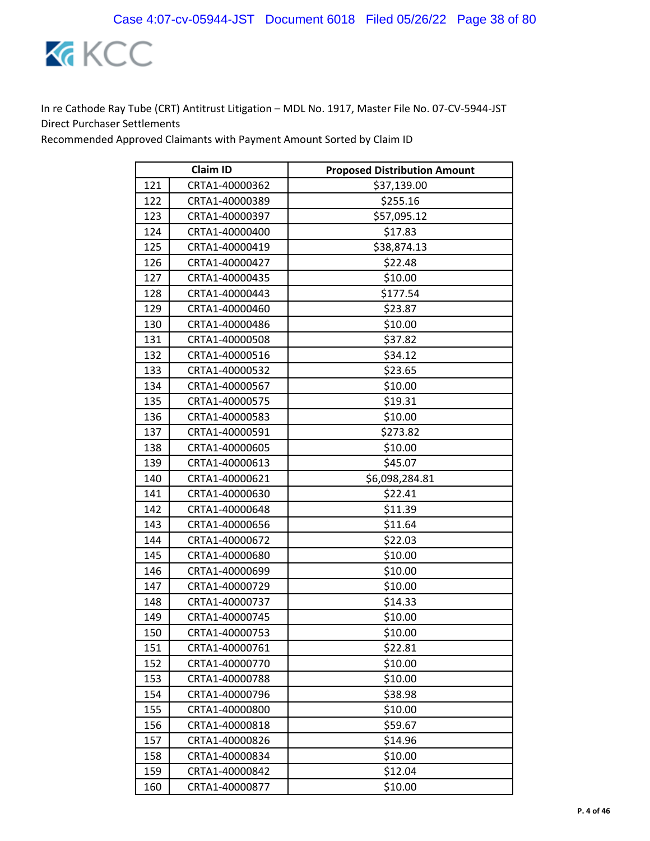

| <b>Claim ID</b> |                | <b>Proposed Distribution Amount</b> |
|-----------------|----------------|-------------------------------------|
| 121             | CRTA1-40000362 | \$37,139.00                         |
| 122             | CRTA1-40000389 | \$255.16                            |
| 123             | CRTA1-40000397 | \$57,095.12                         |
| 124             | CRTA1-40000400 | \$17.83                             |
| 125             | CRTA1-40000419 | \$38,874.13                         |
| 126             | CRTA1-40000427 | \$22.48                             |
| 127             | CRTA1-40000435 | \$10.00                             |
| 128             | CRTA1-40000443 | \$177.54                            |
| 129             | CRTA1-40000460 | \$23.87                             |
| 130             | CRTA1-40000486 | \$10.00                             |
| 131             | CRTA1-40000508 | \$37.82                             |
| 132             | CRTA1-40000516 | \$34.12                             |
| 133             | CRTA1-40000532 | \$23.65                             |
| 134             | CRTA1-40000567 | \$10.00                             |
| 135             | CRTA1-40000575 | \$19.31                             |
| 136             | CRTA1-40000583 | \$10.00                             |
| 137             | CRTA1-40000591 | \$273.82                            |
| 138             | CRTA1-40000605 | \$10.00                             |
| 139             | CRTA1-40000613 | \$45.07                             |
| 140             | CRTA1-40000621 | \$6,098,284.81                      |
| 141             | CRTA1-40000630 | \$22.41                             |
| 142             | CRTA1-40000648 | \$11.39                             |
| 143             | CRTA1-40000656 | \$11.64                             |
| 144             | CRTA1-40000672 | \$22.03                             |
| 145             | CRTA1-40000680 | \$10.00                             |
| 146             | CRTA1-40000699 | \$10.00                             |
| 147             | CRTA1-40000729 | \$10.00                             |
| 148             | CRTA1-40000737 | \$14.33                             |
| 149             | CRTA1-40000745 | \$10.00                             |
| 150             | CRTA1-40000753 | \$10.00                             |
| 151             | CRTA1-40000761 | \$22.81                             |
| 152             | CRTA1-40000770 | \$10.00                             |
| 153             | CRTA1-40000788 | \$10.00                             |
| 154             | CRTA1-40000796 | \$38.98                             |
| 155             | CRTA1-40000800 | \$10.00                             |
| 156             | CRTA1-40000818 | \$59.67                             |
| 157             | CRTA1-40000826 | \$14.96                             |
| 158             | CRTA1-40000834 | \$10.00                             |
| 159             | CRTA1-40000842 | \$12.04                             |
| 160             | CRTA1-40000877 | \$10.00                             |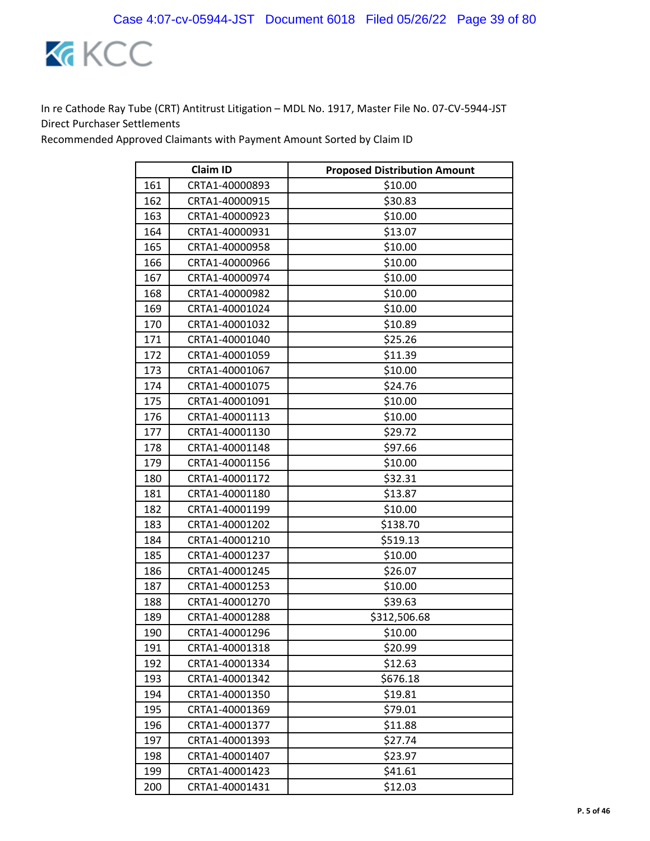

|     | <b>Claim ID</b> | <b>Proposed Distribution Amount</b> |
|-----|-----------------|-------------------------------------|
| 161 | CRTA1-40000893  | \$10.00                             |
| 162 | CRTA1-40000915  | \$30.83                             |
| 163 | CRTA1-40000923  | \$10.00                             |
| 164 | CRTA1-40000931  | \$13.07                             |
| 165 | CRTA1-40000958  | \$10.00                             |
| 166 | CRTA1-40000966  | \$10.00                             |
| 167 | CRTA1-40000974  | \$10.00                             |
| 168 | CRTA1-40000982  | \$10.00                             |
| 169 | CRTA1-40001024  | \$10.00                             |
| 170 | CRTA1-40001032  | \$10.89                             |
| 171 | CRTA1-40001040  | \$25.26                             |
| 172 | CRTA1-40001059  | \$11.39                             |
| 173 | CRTA1-40001067  | \$10.00                             |
| 174 | CRTA1-40001075  | \$24.76                             |
| 175 | CRTA1-40001091  | \$10.00                             |
| 176 | CRTA1-40001113  | \$10.00                             |
| 177 | CRTA1-40001130  | \$29.72                             |
| 178 | CRTA1-40001148  | \$97.66                             |
| 179 | CRTA1-40001156  | \$10.00                             |
| 180 | CRTA1-40001172  | \$32.31                             |
| 181 | CRTA1-40001180  | \$13.87                             |
| 182 | CRTA1-40001199  | \$10.00                             |
| 183 | CRTA1-40001202  | \$138.70                            |
| 184 | CRTA1-40001210  | \$519.13                            |
| 185 | CRTA1-40001237  | \$10.00                             |
| 186 | CRTA1-40001245  | \$26.07                             |
| 187 | CRTA1-40001253  | \$10.00                             |
| 188 | CRTA1-40001270  | \$39.63                             |
| 189 | CRTA1-40001288  | \$312,506.68                        |
| 190 | CRTA1-40001296  | \$10.00                             |
| 191 | CRTA1-40001318  | \$20.99                             |
| 192 | CRTA1-40001334  | \$12.63                             |
| 193 | CRTA1-40001342  | \$676.18                            |
| 194 | CRTA1-40001350  | \$19.81                             |
| 195 | CRTA1-40001369  | \$79.01                             |
| 196 | CRTA1-40001377  | \$11.88                             |
| 197 | CRTA1-40001393  | \$27.74                             |
| 198 | CRTA1-40001407  | \$23.97                             |
| 199 | CRTA1-40001423  | \$41.61                             |
| 200 | CRTA1-40001431  | \$12.03                             |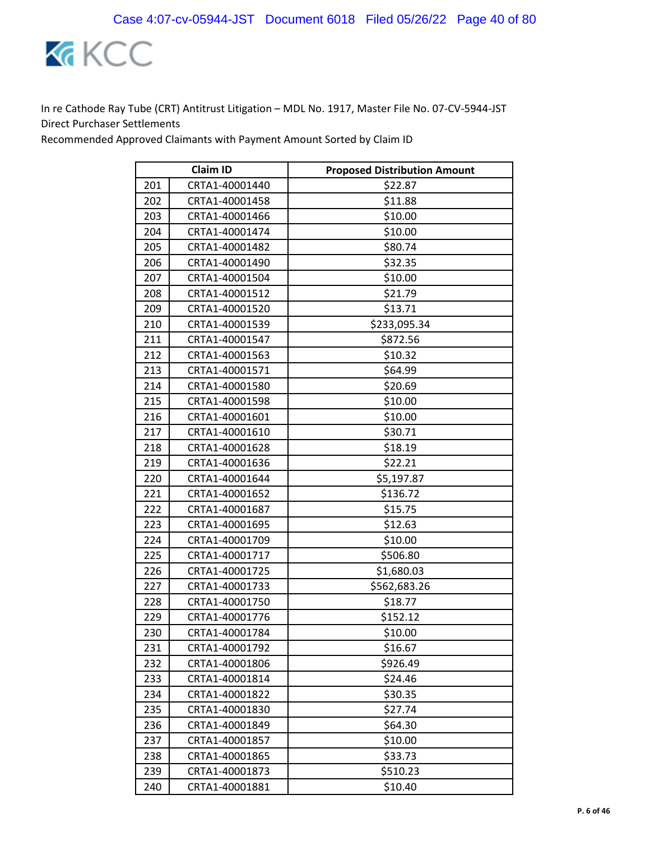

|     | <b>Claim ID</b> | <b>Proposed Distribution Amount</b> |
|-----|-----------------|-------------------------------------|
| 201 | CRTA1-40001440  | \$22.87                             |
| 202 | CRTA1-40001458  | \$11.88                             |
| 203 | CRTA1-40001466  | \$10.00                             |
| 204 | CRTA1-40001474  | \$10.00                             |
| 205 | CRTA1-40001482  | \$80.74                             |
| 206 | CRTA1-40001490  | \$32.35                             |
| 207 | CRTA1-40001504  | \$10.00                             |
| 208 | CRTA1-40001512  | \$21.79                             |
| 209 | CRTA1-40001520  | \$13.71                             |
| 210 | CRTA1-40001539  | \$233,095.34                        |
| 211 | CRTA1-40001547  | \$872.56                            |
| 212 | CRTA1-40001563  | \$10.32                             |
| 213 | CRTA1-40001571  | \$64.99                             |
| 214 | CRTA1-40001580  | \$20.69                             |
| 215 | CRTA1-40001598  | \$10.00                             |
| 216 | CRTA1-40001601  | \$10.00                             |
| 217 | CRTA1-40001610  | \$30.71                             |
| 218 | CRTA1-40001628  | \$18.19                             |
| 219 | CRTA1-40001636  | \$22.21                             |
| 220 | CRTA1-40001644  | \$5,197.87                          |
| 221 | CRTA1-40001652  | \$136.72                            |
| 222 | CRTA1-40001687  | \$15.75                             |
| 223 | CRTA1-40001695  | \$12.63                             |
| 224 | CRTA1-40001709  | \$10.00                             |
| 225 | CRTA1-40001717  | \$506.80                            |
| 226 | CRTA1-40001725  | \$1,680.03                          |
| 227 | CRTA1-40001733  | \$562,683.26                        |
| 228 | CRTA1-40001750  | \$18.77                             |
| 229 | CRTA1-40001776  | \$152.12                            |
| 230 | CRTA1-40001784  | \$10.00                             |
| 231 | CRTA1-40001792  | \$16.67                             |
| 232 | CRTA1-40001806  | \$926.49                            |
| 233 | CRTA1-40001814  | \$24.46                             |
| 234 | CRTA1-40001822  | \$30.35                             |
| 235 | CRTA1-40001830  | \$27.74                             |
| 236 | CRTA1-40001849  | \$64.30                             |
| 237 | CRTA1-40001857  | \$10.00                             |
| 238 | CRTA1-40001865  | \$33.73                             |
| 239 | CRTA1-40001873  | \$510.23                            |
| 240 | CRTA1-40001881  | \$10.40                             |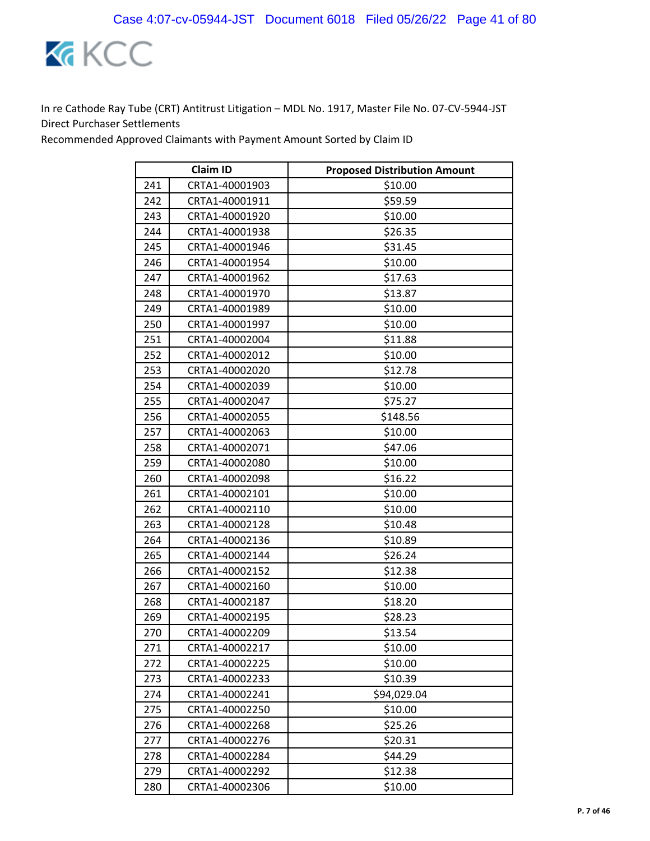

| <b>Claim ID</b> |                | <b>Proposed Distribution Amount</b> |
|-----------------|----------------|-------------------------------------|
| 241             | CRTA1-40001903 | \$10.00                             |
| 242             | CRTA1-40001911 | \$59.59                             |
| 243             | CRTA1-40001920 | \$10.00                             |
| 244             | CRTA1-40001938 | \$26.35                             |
| 245             | CRTA1-40001946 | \$31.45                             |
| 246             | CRTA1-40001954 | \$10.00                             |
| 247             | CRTA1-40001962 | \$17.63                             |
| 248             | CRTA1-40001970 | \$13.87                             |
| 249             | CRTA1-40001989 | \$10.00                             |
| 250             | CRTA1-40001997 | \$10.00                             |
| 251             | CRTA1-40002004 | \$11.88                             |
| 252             | CRTA1-40002012 | \$10.00                             |
| 253             | CRTA1-40002020 | \$12.78                             |
| 254             | CRTA1-40002039 | \$10.00                             |
| 255             | CRTA1-40002047 | \$75.27                             |
| 256             | CRTA1-40002055 | \$148.56                            |
| 257             | CRTA1-40002063 | \$10.00                             |
| 258             | CRTA1-40002071 | \$47.06                             |
| 259             | CRTA1-40002080 | \$10.00                             |
| 260             | CRTA1-40002098 | \$16.22                             |
| 261             | CRTA1-40002101 | \$10.00                             |
| 262             | CRTA1-40002110 | \$10.00                             |
| 263             | CRTA1-40002128 | \$10.48                             |
| 264             | CRTA1-40002136 | \$10.89                             |
| 265             | CRTA1-40002144 | \$26.24                             |
| 266             | CRTA1-40002152 | \$12.38                             |
| 267             | CRTA1-40002160 | \$10.00                             |
| 268             | CRTA1-40002187 | \$18.20                             |
| 269             | CRTA1-40002195 | \$28.23                             |
| 270             | CRTA1-40002209 | \$13.54                             |
| 271             | CRTA1-40002217 | \$10.00                             |
| 272             | CRTA1-40002225 | \$10.00                             |
| 273             | CRTA1-40002233 | \$10.39                             |
| 274             | CRTA1-40002241 | \$94,029.04                         |
| 275             | CRTA1-40002250 | \$10.00                             |
| 276             | CRTA1-40002268 | \$25.26                             |
| 277             | CRTA1-40002276 | \$20.31                             |
| 278             | CRTA1-40002284 | \$44.29                             |
| 279             | CRTA1-40002292 | \$12.38                             |
| 280             | CRTA1-40002306 | \$10.00                             |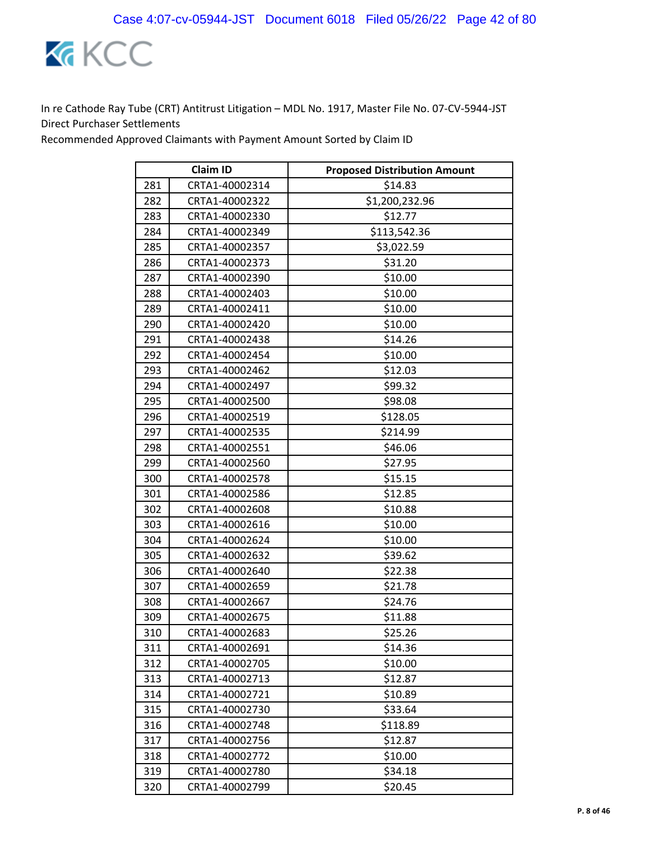

| <b>Claim ID</b> |                | <b>Proposed Distribution Amount</b> |
|-----------------|----------------|-------------------------------------|
| 281             | CRTA1-40002314 | \$14.83                             |
| 282             | CRTA1-40002322 | \$1,200,232.96                      |
| 283             | CRTA1-40002330 | \$12.77                             |
| 284             | CRTA1-40002349 | \$113,542.36                        |
| 285             | CRTA1-40002357 | \$3,022.59                          |
| 286             | CRTA1-40002373 | \$31.20                             |
| 287             | CRTA1-40002390 | \$10.00                             |
| 288             | CRTA1-40002403 | \$10.00                             |
| 289             | CRTA1-40002411 | \$10.00                             |
| 290             | CRTA1-40002420 | \$10.00                             |
| 291             | CRTA1-40002438 | \$14.26                             |
| 292             | CRTA1-40002454 | \$10.00                             |
| 293             | CRTA1-40002462 | \$12.03                             |
| 294             | CRTA1-40002497 | \$99.32                             |
| 295             | CRTA1-40002500 | \$98.08                             |
| 296             | CRTA1-40002519 | \$128.05                            |
| 297             | CRTA1-40002535 | \$214.99                            |
| 298             | CRTA1-40002551 | \$46.06                             |
| 299             | CRTA1-40002560 | \$27.95                             |
| 300             | CRTA1-40002578 | \$15.15                             |
| 301             | CRTA1-40002586 | \$12.85                             |
| 302             | CRTA1-40002608 | \$10.88                             |
| 303             | CRTA1-40002616 | \$10.00                             |
| 304             | CRTA1-40002624 | \$10.00                             |
| 305             | CRTA1-40002632 | \$39.62                             |
| 306             | CRTA1-40002640 | \$22.38                             |
| 307             | CRTA1-40002659 | \$21.78                             |
| 308             | CRTA1-40002667 | \$24.76                             |
| 309             | CRTA1-40002675 | \$11.88                             |
| 310             | CRTA1-40002683 | \$25.26                             |
| 311             | CRTA1-40002691 | \$14.36                             |
| 312             | CRTA1-40002705 | \$10.00                             |
| 313             | CRTA1-40002713 | \$12.87                             |
| 314             | CRTA1-40002721 | \$10.89                             |
| 315             | CRTA1-40002730 | \$33.64                             |
| 316             | CRTA1-40002748 | \$118.89                            |
| 317             | CRTA1-40002756 | \$12.87                             |
| 318             | CRTA1-40002772 | \$10.00                             |
| 319             | CRTA1-40002780 | \$34.18                             |
| 320             | CRTA1-40002799 | \$20.45                             |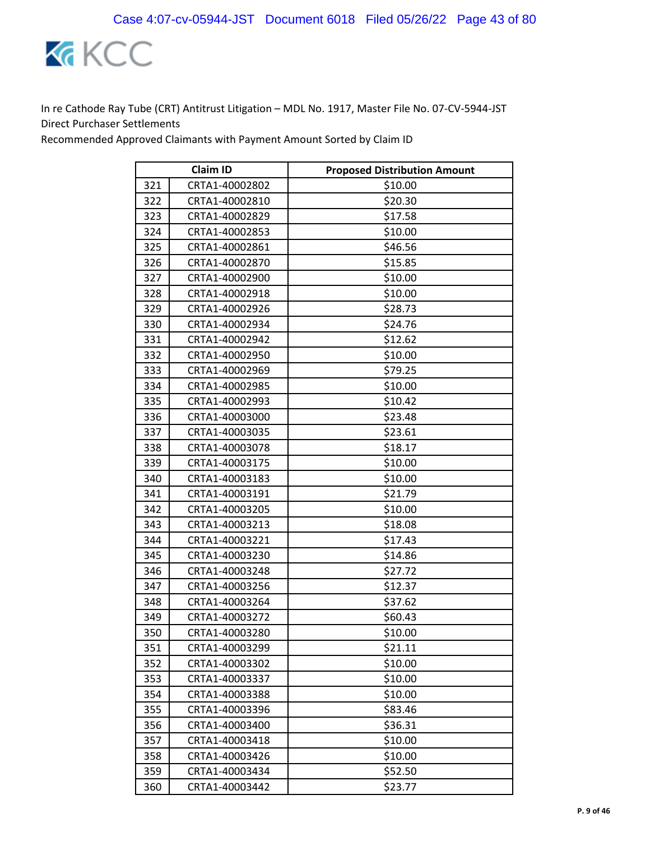

| <b>Claim ID</b> |                | <b>Proposed Distribution Amount</b> |
|-----------------|----------------|-------------------------------------|
| 321             | CRTA1-40002802 | \$10.00                             |
| 322             | CRTA1-40002810 | \$20.30                             |
| 323             | CRTA1-40002829 | \$17.58                             |
| 324             | CRTA1-40002853 | \$10.00                             |
| 325             | CRTA1-40002861 | \$46.56                             |
| 326             | CRTA1-40002870 | \$15.85                             |
| 327             | CRTA1-40002900 | \$10.00                             |
| 328             | CRTA1-40002918 | \$10.00                             |
| 329             | CRTA1-40002926 | \$28.73                             |
| 330             | CRTA1-40002934 | \$24.76                             |
| 331             | CRTA1-40002942 | \$12.62                             |
| 332             | CRTA1-40002950 | \$10.00                             |
| 333             | CRTA1-40002969 | \$79.25                             |
| 334             | CRTA1-40002985 | \$10.00                             |
| 335             | CRTA1-40002993 | \$10.42                             |
| 336             | CRTA1-40003000 | \$23.48                             |
| 337             | CRTA1-40003035 | \$23.61                             |
| 338             | CRTA1-40003078 | \$18.17                             |
| 339             | CRTA1-40003175 | \$10.00                             |
| 340             | CRTA1-40003183 | \$10.00                             |
| 341             | CRTA1-40003191 | \$21.79                             |
| 342             | CRTA1-40003205 | \$10.00                             |
| 343             | CRTA1-40003213 | \$18.08                             |
| 344             | CRTA1-40003221 | \$17.43                             |
| 345             | CRTA1-40003230 | \$14.86                             |
| 346             | CRTA1-40003248 | \$27.72                             |
| 347             | CRTA1-40003256 | \$12.37                             |
| 348             | CRTA1-40003264 | \$37.62                             |
| 349             | CRTA1-40003272 | \$60.43                             |
| 350             | CRTA1-40003280 | \$10.00                             |
| 351             | CRTA1-40003299 | \$21.11                             |
| 352             | CRTA1-40003302 | \$10.00                             |
| 353             | CRTA1-40003337 | \$10.00                             |
| 354             | CRTA1-40003388 | \$10.00                             |
| 355             | CRTA1-40003396 | \$83.46                             |
| 356             | CRTA1-40003400 | \$36.31                             |
| 357             | CRTA1-40003418 | \$10.00                             |
| 358             | CRTA1-40003426 | \$10.00                             |
| 359             | CRTA1-40003434 | \$52.50                             |
| 360             | CRTA1-40003442 | \$23.77                             |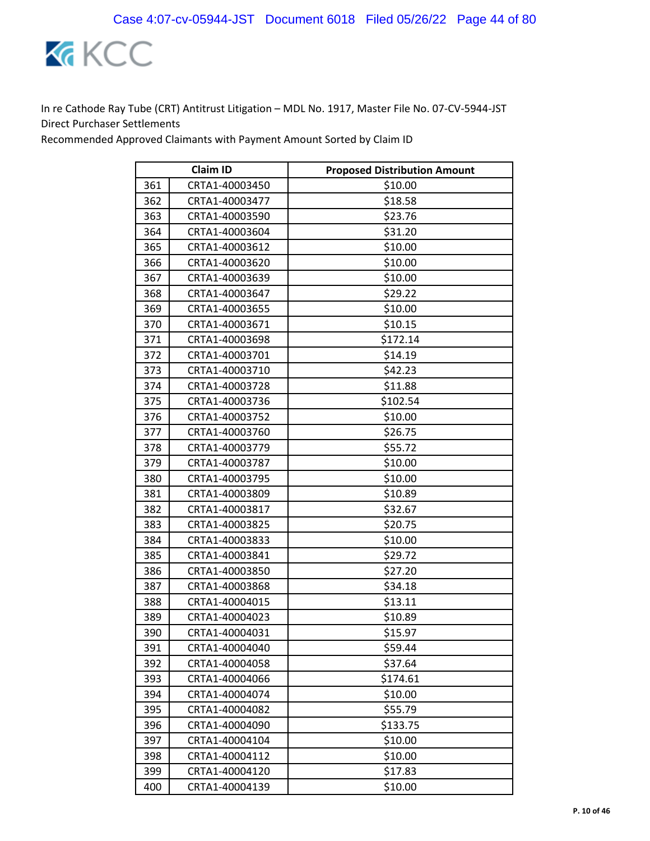

| <b>Claim ID</b> |                | <b>Proposed Distribution Amount</b> |
|-----------------|----------------|-------------------------------------|
| 361             | CRTA1-40003450 | \$10.00                             |
| 362             | CRTA1-40003477 | \$18.58                             |
| 363             | CRTA1-40003590 | \$23.76                             |
| 364             | CRTA1-40003604 | \$31.20                             |
| 365             | CRTA1-40003612 | \$10.00                             |
| 366             | CRTA1-40003620 | \$10.00                             |
| 367             | CRTA1-40003639 | \$10.00                             |
| 368             | CRTA1-40003647 | \$29.22                             |
| 369             | CRTA1-40003655 | \$10.00                             |
| 370             | CRTA1-40003671 | \$10.15                             |
| 371             | CRTA1-40003698 | \$172.14                            |
| 372             | CRTA1-40003701 | \$14.19                             |
| 373             | CRTA1-40003710 | \$42.23                             |
| 374             | CRTA1-40003728 | \$11.88                             |
| 375             | CRTA1-40003736 | \$102.54                            |
| 376             | CRTA1-40003752 | \$10.00                             |
| 377             | CRTA1-40003760 | \$26.75                             |
| 378             | CRTA1-40003779 | \$55.72                             |
| 379             | CRTA1-40003787 | \$10.00                             |
| 380             | CRTA1-40003795 | \$10.00                             |
| 381             | CRTA1-40003809 | \$10.89                             |
| 382             | CRTA1-40003817 | \$32.67                             |
| 383             | CRTA1-40003825 | \$20.75                             |
| 384             | CRTA1-40003833 | \$10.00                             |
| 385             | CRTA1-40003841 | \$29.72                             |
| 386             | CRTA1-40003850 | \$27.20                             |
| 387             | CRTA1-40003868 | \$34.18                             |
| 388             | CRTA1-40004015 | \$13.11                             |
| 389             | CRTA1-40004023 | \$10.89                             |
| 390             | CRTA1-40004031 | \$15.97                             |
| 391             | CRTA1-40004040 | \$59.44                             |
| 392             | CRTA1-40004058 | \$37.64                             |
| 393             | CRTA1-40004066 | \$174.61                            |
| 394             | CRTA1-40004074 | \$10.00                             |
| 395             | CRTA1-40004082 | \$55.79                             |
| 396             | CRTA1-40004090 | \$133.75                            |
| 397             | CRTA1-40004104 | \$10.00                             |
| 398             | CRTA1-40004112 | \$10.00                             |
| 399             | CRTA1-40004120 | \$17.83                             |
| 400             | CRTA1-40004139 | \$10.00                             |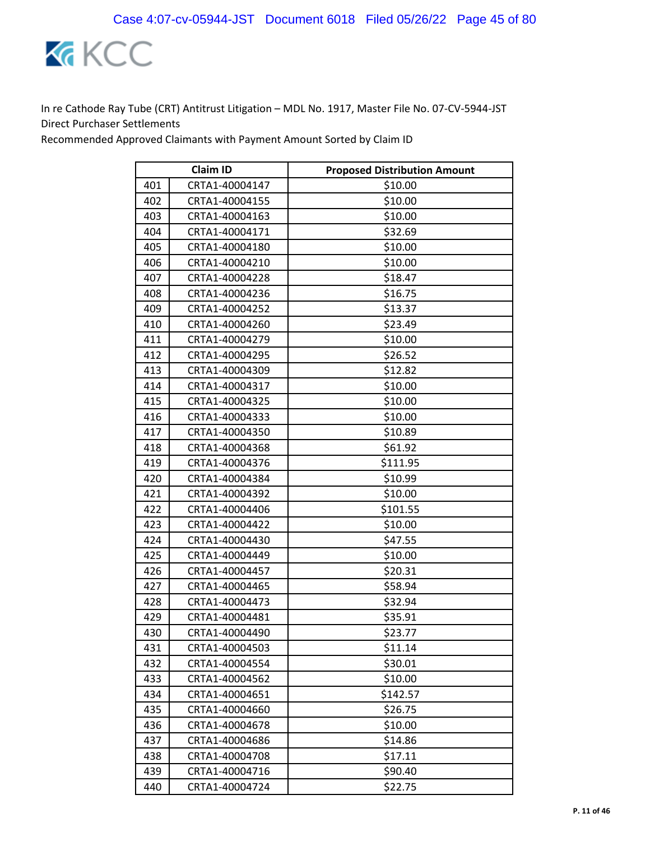

| <b>Claim ID</b> |                | <b>Proposed Distribution Amount</b> |
|-----------------|----------------|-------------------------------------|
| 401             | CRTA1-40004147 | \$10.00                             |
| 402             | CRTA1-40004155 | \$10.00                             |
| 403             | CRTA1-40004163 | \$10.00                             |
| 404             | CRTA1-40004171 | \$32.69                             |
| 405             | CRTA1-40004180 | \$10.00                             |
| 406             | CRTA1-40004210 | \$10.00                             |
| 407             | CRTA1-40004228 | \$18.47                             |
| 408             | CRTA1-40004236 | \$16.75                             |
| 409             | CRTA1-40004252 | \$13.37                             |
| 410             | CRTA1-40004260 | \$23.49                             |
| 411             | CRTA1-40004279 | \$10.00                             |
| 412             | CRTA1-40004295 | \$26.52                             |
| 413             | CRTA1-40004309 | \$12.82                             |
| 414             | CRTA1-40004317 | \$10.00                             |
| 415             | CRTA1-40004325 | \$10.00                             |
| 416             | CRTA1-40004333 | \$10.00                             |
| 417             | CRTA1-40004350 | \$10.89                             |
| 418             | CRTA1-40004368 | \$61.92                             |
| 419             | CRTA1-40004376 | \$111.95                            |
| 420             | CRTA1-40004384 | \$10.99                             |
| 421             | CRTA1-40004392 | \$10.00                             |
| 422             | CRTA1-40004406 | \$101.55                            |
| 423             | CRTA1-40004422 | \$10.00                             |
| 424             | CRTA1-40004430 | \$47.55                             |
| 425             | CRTA1-40004449 | \$10.00                             |
| 426             | CRTA1-40004457 | \$20.31                             |
| 427             | CRTA1-40004465 | \$58.94                             |
| 428             | CRTA1-40004473 | \$32.94                             |
| 429             | CRTA1-40004481 | \$35.91                             |
| 430             | CRTA1-40004490 | \$23.77                             |
| 431             | CRTA1-40004503 | \$11.14                             |
| 432             | CRTA1-40004554 | \$30.01                             |
| 433             | CRTA1-40004562 | \$10.00                             |
| 434             | CRTA1-40004651 | \$142.57                            |
| 435             | CRTA1-40004660 | \$26.75                             |
| 436             | CRTA1-40004678 | \$10.00                             |
| 437             | CRTA1-40004686 | \$14.86                             |
| 438             | CRTA1-40004708 | \$17.11                             |
| 439             | CRTA1-40004716 | \$90.40                             |
| 440             | CRTA1-40004724 | \$22.75                             |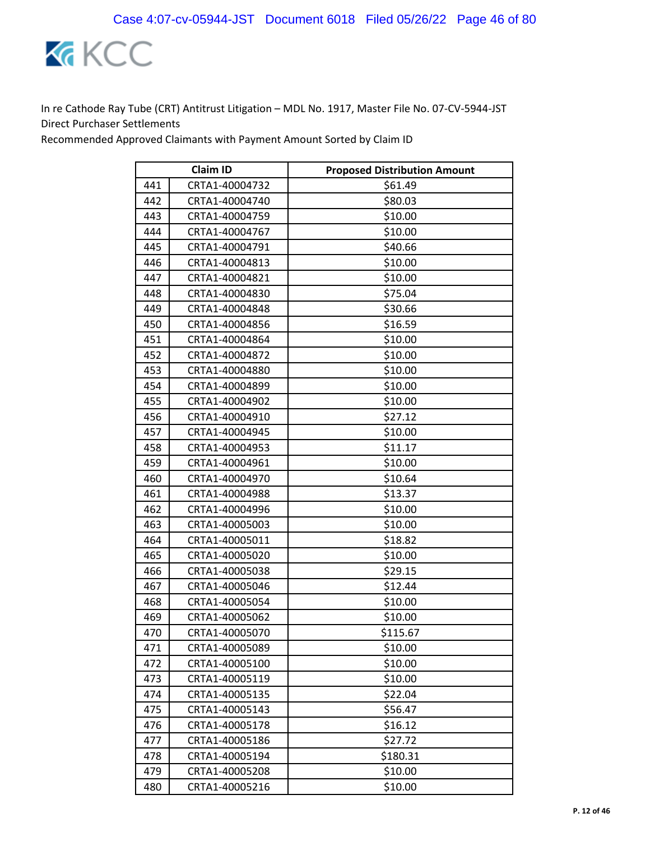

| <b>Claim ID</b> |                | <b>Proposed Distribution Amount</b> |
|-----------------|----------------|-------------------------------------|
| 441             | CRTA1-40004732 | \$61.49                             |
| 442             | CRTA1-40004740 | \$80.03                             |
| 443             | CRTA1-40004759 | \$10.00                             |
| 444             | CRTA1-40004767 | \$10.00                             |
| 445             | CRTA1-40004791 | \$40.66                             |
| 446             | CRTA1-40004813 | \$10.00                             |
| 447             | CRTA1-40004821 | \$10.00                             |
| 448             | CRTA1-40004830 | \$75.04                             |
| 449             | CRTA1-40004848 | \$30.66                             |
| 450             | CRTA1-40004856 | \$16.59                             |
| 451             | CRTA1-40004864 | \$10.00                             |
| 452             | CRTA1-40004872 | \$10.00                             |
| 453             | CRTA1-40004880 | \$10.00                             |
| 454             | CRTA1-40004899 | \$10.00                             |
| 455             | CRTA1-40004902 | \$10.00                             |
| 456             | CRTA1-40004910 | \$27.12                             |
| 457             | CRTA1-40004945 | \$10.00                             |
| 458             | CRTA1-40004953 | \$11.17                             |
| 459             | CRTA1-40004961 | \$10.00                             |
| 460             | CRTA1-40004970 | \$10.64                             |
| 461             | CRTA1-40004988 | \$13.37                             |
| 462             | CRTA1-40004996 | \$10.00                             |
| 463             | CRTA1-40005003 | \$10.00                             |
| 464             | CRTA1-40005011 | \$18.82                             |
| 465             | CRTA1-40005020 | \$10.00                             |
| 466             | CRTA1-40005038 | \$29.15                             |
| 467             | CRTA1-40005046 | \$12.44                             |
| 468             | CRTA1-40005054 | \$10.00                             |
| 469             | CRTA1-40005062 | \$10.00                             |
| 470             | CRTA1-40005070 | \$115.67                            |
| 471             | CRTA1-40005089 | \$10.00                             |
| 472             | CRTA1-40005100 | \$10.00                             |
| 473             | CRTA1-40005119 | \$10.00                             |
| 474             | CRTA1-40005135 | \$22.04                             |
| 475             | CRTA1-40005143 | \$56.47                             |
| 476             | CRTA1-40005178 | \$16.12                             |
| 477             | CRTA1-40005186 | \$27.72                             |
| 478             | CRTA1-40005194 | \$180.31                            |
| 479             | CRTA1-40005208 | \$10.00                             |
| 480             | CRTA1-40005216 | \$10.00                             |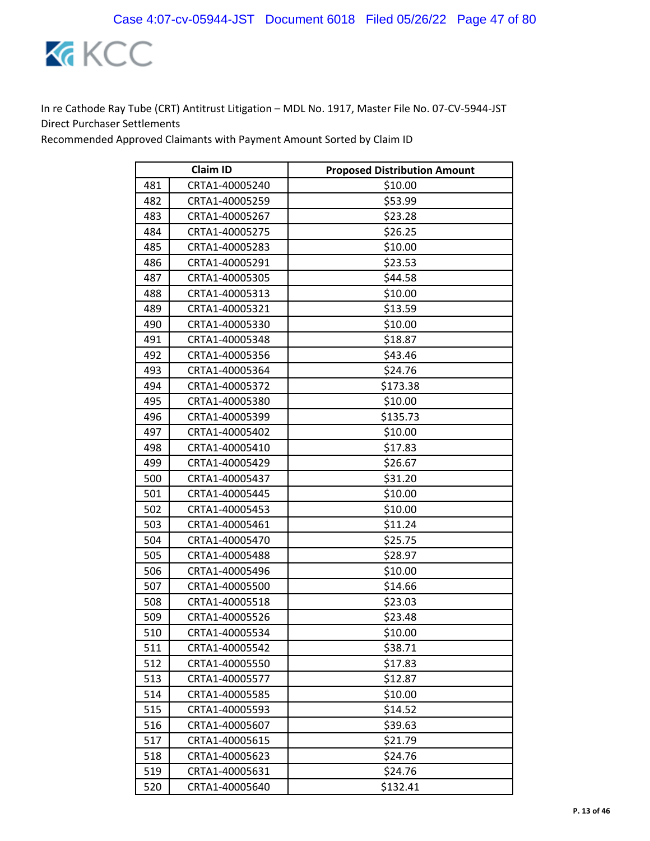

|     | <b>Claim ID</b> | <b>Proposed Distribution Amount</b> |
|-----|-----------------|-------------------------------------|
| 481 | CRTA1-40005240  | \$10.00                             |
| 482 | CRTA1-40005259  | \$53.99                             |
| 483 | CRTA1-40005267  | \$23.28                             |
| 484 | CRTA1-40005275  | \$26.25                             |
| 485 | CRTA1-40005283  | \$10.00                             |
| 486 | CRTA1-40005291  | \$23.53                             |
| 487 | CRTA1-40005305  | \$44.58                             |
| 488 | CRTA1-40005313  | \$10.00                             |
| 489 | CRTA1-40005321  | \$13.59                             |
| 490 | CRTA1-40005330  | \$10.00                             |
| 491 | CRTA1-40005348  | \$18.87                             |
| 492 | CRTA1-40005356  | \$43.46                             |
| 493 | CRTA1-40005364  | \$24.76                             |
| 494 | CRTA1-40005372  | \$173.38                            |
| 495 | CRTA1-40005380  | \$10.00                             |
| 496 | CRTA1-40005399  | \$135.73                            |
| 497 | CRTA1-40005402  | \$10.00                             |
| 498 | CRTA1-40005410  | \$17.83                             |
| 499 | CRTA1-40005429  | \$26.67                             |
| 500 | CRTA1-40005437  | \$31.20                             |
| 501 | CRTA1-40005445  | \$10.00                             |
| 502 | CRTA1-40005453  | \$10.00                             |
| 503 | CRTA1-40005461  | \$11.24                             |
| 504 | CRTA1-40005470  | \$25.75                             |
| 505 | CRTA1-40005488  | \$28.97                             |
| 506 | CRTA1-40005496  | \$10.00                             |
| 507 | CRTA1-40005500  | \$14.66                             |
| 508 | CRTA1-40005518  | \$23.03                             |
| 509 | CRTA1-40005526  | \$23.48                             |
| 510 | CRTA1-40005534  | \$10.00                             |
| 511 | CRTA1-40005542  | \$38.71                             |
| 512 | CRTA1-40005550  | \$17.83                             |
| 513 | CRTA1-40005577  | \$12.87                             |
| 514 | CRTA1-40005585  | \$10.00                             |
| 515 | CRTA1-40005593  | \$14.52                             |
| 516 | CRTA1-40005607  | \$39.63                             |
| 517 | CRTA1-40005615  | \$21.79                             |
| 518 | CRTA1-40005623  | \$24.76                             |
| 519 | CRTA1-40005631  | \$24.76                             |
| 520 | CRTA1-40005640  | \$132.41                            |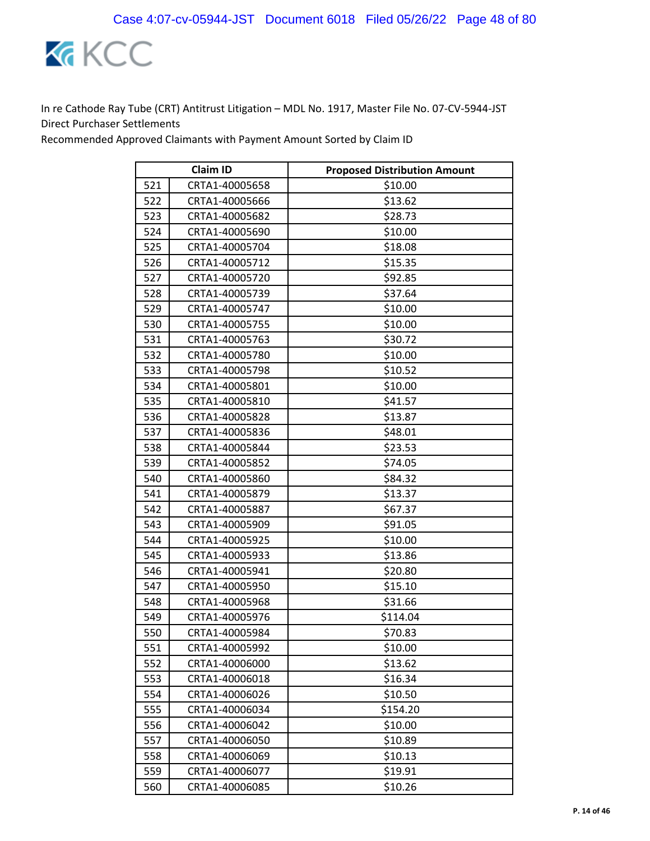

| <b>Claim ID</b> |                | <b>Proposed Distribution Amount</b> |
|-----------------|----------------|-------------------------------------|
| 521             | CRTA1-40005658 | \$10.00                             |
| 522             | CRTA1-40005666 | \$13.62                             |
| 523             | CRTA1-40005682 | \$28.73                             |
| 524             | CRTA1-40005690 | \$10.00                             |
| 525             | CRTA1-40005704 | \$18.08                             |
| 526             | CRTA1-40005712 | \$15.35                             |
| 527             | CRTA1-40005720 | \$92.85                             |
| 528             | CRTA1-40005739 | \$37.64                             |
| 529             | CRTA1-40005747 | \$10.00                             |
| 530             | CRTA1-40005755 | \$10.00                             |
| 531             | CRTA1-40005763 | \$30.72                             |
| 532             | CRTA1-40005780 | \$10.00                             |
| 533             | CRTA1-40005798 | \$10.52                             |
| 534             | CRTA1-40005801 | \$10.00                             |
| 535             | CRTA1-40005810 | \$41.57                             |
| 536             | CRTA1-40005828 | \$13.87                             |
| 537             | CRTA1-40005836 | \$48.01                             |
| 538             | CRTA1-40005844 | \$23.53                             |
| 539             | CRTA1-40005852 | \$74.05                             |
| 540             | CRTA1-40005860 | \$84.32                             |
| 541             | CRTA1-40005879 | \$13.37                             |
| 542             | CRTA1-40005887 | \$67.37                             |
| 543             | CRTA1-40005909 | \$91.05                             |
| 544             | CRTA1-40005925 | \$10.00                             |
| 545             | CRTA1-40005933 | \$13.86                             |
| 546             | CRTA1-40005941 | \$20.80                             |
| 547             | CRTA1-40005950 | \$15.10                             |
| 548             | CRTA1-40005968 | \$31.66                             |
| 549             | CRTA1-40005976 | \$114.04                            |
| 550             | CRTA1-40005984 | \$70.83                             |
| 551             | CRTA1-40005992 | \$10.00                             |
| 552             | CRTA1-40006000 | \$13.62                             |
| 553             | CRTA1-40006018 | \$16.34                             |
| 554             | CRTA1-40006026 | \$10.50                             |
| 555             | CRTA1-40006034 | \$154.20                            |
| 556             | CRTA1-40006042 | \$10.00                             |
| 557             | CRTA1-40006050 | \$10.89                             |
| 558             | CRTA1-40006069 | \$10.13                             |
| 559             | CRTA1-40006077 | \$19.91                             |
| 560             | CRTA1-40006085 | \$10.26                             |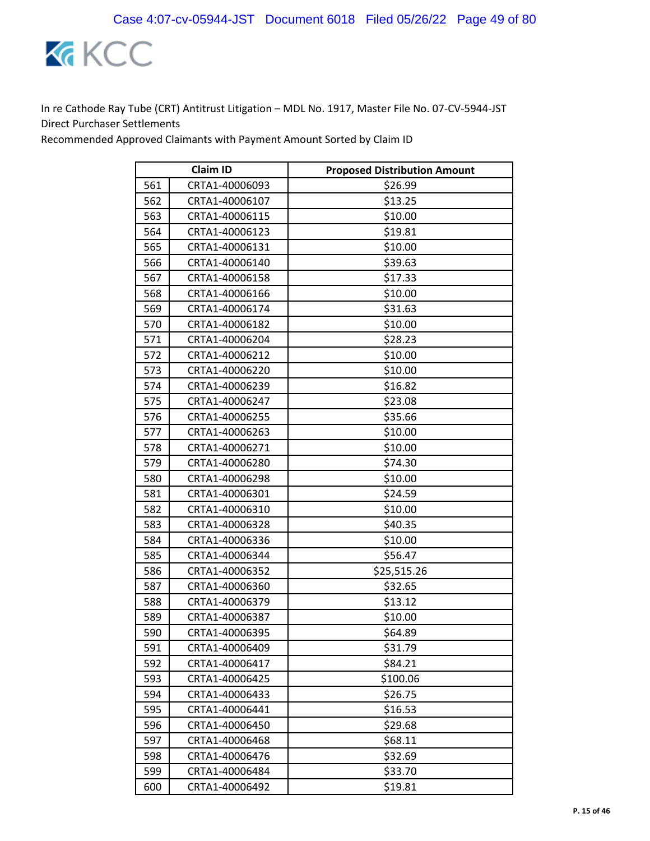

|     | <b>Claim ID</b> | <b>Proposed Distribution Amount</b> |
|-----|-----------------|-------------------------------------|
| 561 | CRTA1-40006093  | \$26.99                             |
| 562 | CRTA1-40006107  | \$13.25                             |
| 563 | CRTA1-40006115  | \$10.00                             |
| 564 | CRTA1-40006123  | \$19.81                             |
| 565 | CRTA1-40006131  | \$10.00                             |
| 566 | CRTA1-40006140  | \$39.63                             |
| 567 | CRTA1-40006158  | \$17.33                             |
| 568 | CRTA1-40006166  | \$10.00                             |
| 569 | CRTA1-40006174  | \$31.63                             |
| 570 | CRTA1-40006182  | \$10.00                             |
| 571 | CRTA1-40006204  | \$28.23                             |
| 572 | CRTA1-40006212  | \$10.00                             |
| 573 | CRTA1-40006220  | \$10.00                             |
| 574 | CRTA1-40006239  | \$16.82                             |
| 575 | CRTA1-40006247  | \$23.08                             |
| 576 | CRTA1-40006255  | \$35.66                             |
| 577 | CRTA1-40006263  | \$10.00                             |
| 578 | CRTA1-40006271  | \$10.00                             |
| 579 | CRTA1-40006280  | \$74.30                             |
| 580 | CRTA1-40006298  | \$10.00                             |
| 581 | CRTA1-40006301  | \$24.59                             |
| 582 | CRTA1-40006310  | \$10.00                             |
| 583 | CRTA1-40006328  | \$40.35                             |
| 584 | CRTA1-40006336  | \$10.00                             |
| 585 | CRTA1-40006344  | \$56.47                             |
| 586 | CRTA1-40006352  | \$25,515.26                         |
| 587 | CRTA1-40006360  | \$32.65                             |
| 588 | CRTA1-40006379  | \$13.12                             |
| 589 | CRTA1-40006387  | \$10.00                             |
| 590 | CRTA1-40006395  | \$64.89                             |
| 591 | CRTA1-40006409  | \$31.79                             |
| 592 | CRTA1-40006417  | \$84.21                             |
| 593 | CRTA1-40006425  | \$100.06                            |
| 594 | CRTA1-40006433  | \$26.75                             |
| 595 | CRTA1-40006441  | \$16.53                             |
| 596 | CRTA1-40006450  | \$29.68                             |
| 597 | CRTA1-40006468  | \$68.11                             |
| 598 | CRTA1-40006476  | \$32.69                             |
| 599 | CRTA1-40006484  | \$33.70                             |
| 600 | CRTA1-40006492  | \$19.81                             |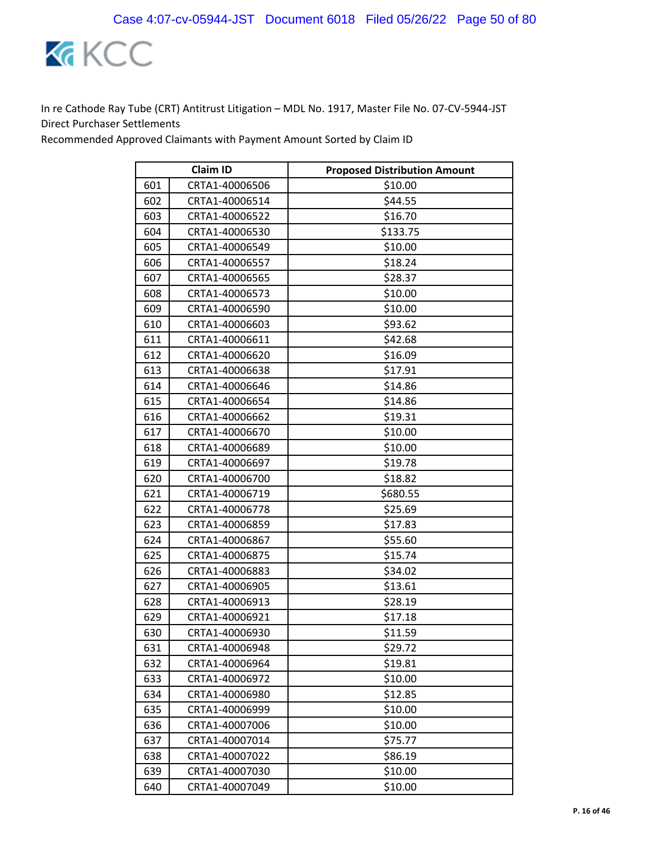

|     | <b>Claim ID</b> | <b>Proposed Distribution Amount</b> |
|-----|-----------------|-------------------------------------|
| 601 | CRTA1-40006506  | \$10.00                             |
| 602 | CRTA1-40006514  | \$44.55                             |
| 603 | CRTA1-40006522  | \$16.70                             |
| 604 | CRTA1-40006530  | \$133.75                            |
| 605 | CRTA1-40006549  | \$10.00                             |
| 606 | CRTA1-40006557  | \$18.24                             |
| 607 | CRTA1-40006565  | \$28.37                             |
| 608 | CRTA1-40006573  | \$10.00                             |
| 609 | CRTA1-40006590  | \$10.00                             |
| 610 | CRTA1-40006603  | \$93.62                             |
| 611 | CRTA1-40006611  | \$42.68                             |
| 612 | CRTA1-40006620  | \$16.09                             |
| 613 | CRTA1-40006638  | \$17.91                             |
| 614 | CRTA1-40006646  | \$14.86                             |
| 615 | CRTA1-40006654  | \$14.86                             |
| 616 | CRTA1-40006662  | \$19.31                             |
| 617 | CRTA1-40006670  | \$10.00                             |
| 618 | CRTA1-40006689  | \$10.00                             |
| 619 | CRTA1-40006697  | \$19.78                             |
| 620 | CRTA1-40006700  | \$18.82                             |
| 621 | CRTA1-40006719  | \$680.55                            |
| 622 | CRTA1-40006778  | \$25.69                             |
| 623 | CRTA1-40006859  | \$17.83                             |
| 624 | CRTA1-40006867  | \$55.60                             |
| 625 | CRTA1-40006875  | \$15.74                             |
| 626 | CRTA1-40006883  | \$34.02                             |
| 627 | CRTA1-40006905  | \$13.61                             |
| 628 | CRTA1-40006913  | \$28.19                             |
| 629 | CRTA1-40006921  | \$17.18                             |
| 630 | CRTA1-40006930  | \$11.59                             |
| 631 | CRTA1-40006948  | \$29.72                             |
| 632 | CRTA1-40006964  | \$19.81                             |
| 633 | CRTA1-40006972  | \$10.00                             |
| 634 | CRTA1-40006980  | \$12.85                             |
| 635 | CRTA1-40006999  | \$10.00                             |
| 636 | CRTA1-40007006  | \$10.00                             |
| 637 | CRTA1-40007014  | \$75.77                             |
| 638 | CRTA1-40007022  | \$86.19                             |
| 639 | CRTA1-40007030  | \$10.00                             |
| 640 | CRTA1-40007049  | \$10.00                             |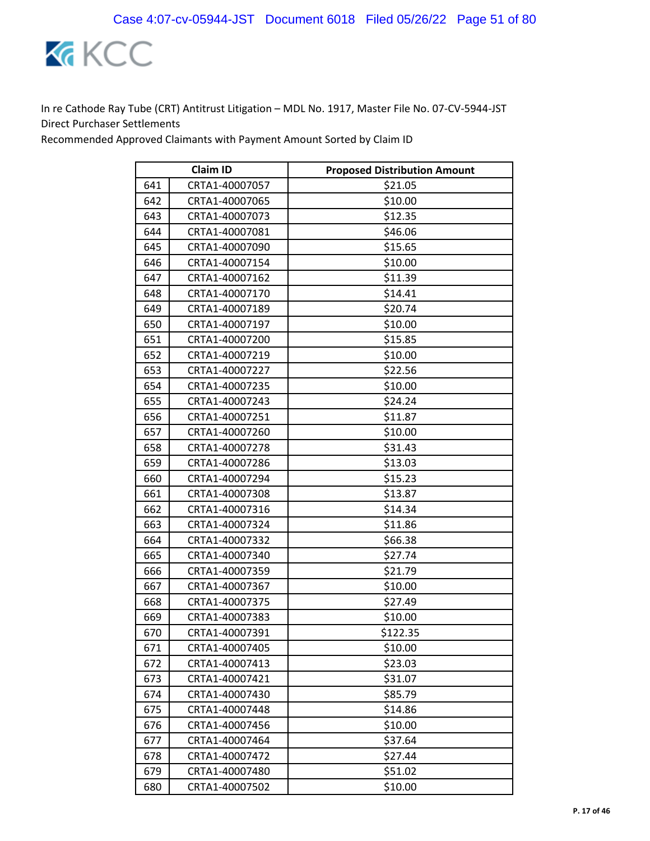

|     | <b>Claim ID</b> | <b>Proposed Distribution Amount</b> |
|-----|-----------------|-------------------------------------|
| 641 | CRTA1-40007057  | \$21.05                             |
| 642 | CRTA1-40007065  | \$10.00                             |
| 643 | CRTA1-40007073  | \$12.35                             |
| 644 | CRTA1-40007081  | \$46.06                             |
| 645 | CRTA1-40007090  | \$15.65                             |
| 646 | CRTA1-40007154  | \$10.00                             |
| 647 | CRTA1-40007162  | \$11.39                             |
| 648 | CRTA1-40007170  | \$14.41                             |
| 649 | CRTA1-40007189  | \$20.74                             |
| 650 | CRTA1-40007197  | \$10.00                             |
| 651 | CRTA1-40007200  | \$15.85                             |
| 652 | CRTA1-40007219  | \$10.00                             |
| 653 | CRTA1-40007227  | \$22.56                             |
| 654 | CRTA1-40007235  | \$10.00                             |
| 655 | CRTA1-40007243  | \$24.24                             |
| 656 | CRTA1-40007251  | \$11.87                             |
| 657 | CRTA1-40007260  | \$10.00                             |
| 658 | CRTA1-40007278  | \$31.43                             |
| 659 | CRTA1-40007286  | \$13.03                             |
| 660 | CRTA1-40007294  | \$15.23                             |
| 661 | CRTA1-40007308  | \$13.87                             |
| 662 | CRTA1-40007316  | \$14.34                             |
| 663 | CRTA1-40007324  | \$11.86                             |
| 664 | CRTA1-40007332  | \$66.38                             |
| 665 | CRTA1-40007340  | \$27.74                             |
| 666 | CRTA1-40007359  | \$21.79                             |
| 667 | CRTA1-40007367  | \$10.00                             |
| 668 | CRTA1-40007375  | \$27.49                             |
| 669 | CRTA1-40007383  | \$10.00                             |
| 670 | CRTA1-40007391  | \$122.35                            |
| 671 | CRTA1-40007405  | \$10.00                             |
| 672 | CRTA1-40007413  | \$23.03                             |
| 673 | CRTA1-40007421  | \$31.07                             |
| 674 | CRTA1-40007430  | \$85.79                             |
| 675 | CRTA1-40007448  | \$14.86                             |
| 676 | CRTA1-40007456  | \$10.00                             |
| 677 | CRTA1-40007464  | \$37.64                             |
| 678 | CRTA1-40007472  | \$27.44                             |
| 679 | CRTA1-40007480  | \$51.02                             |
| 680 | CRTA1-40007502  | \$10.00                             |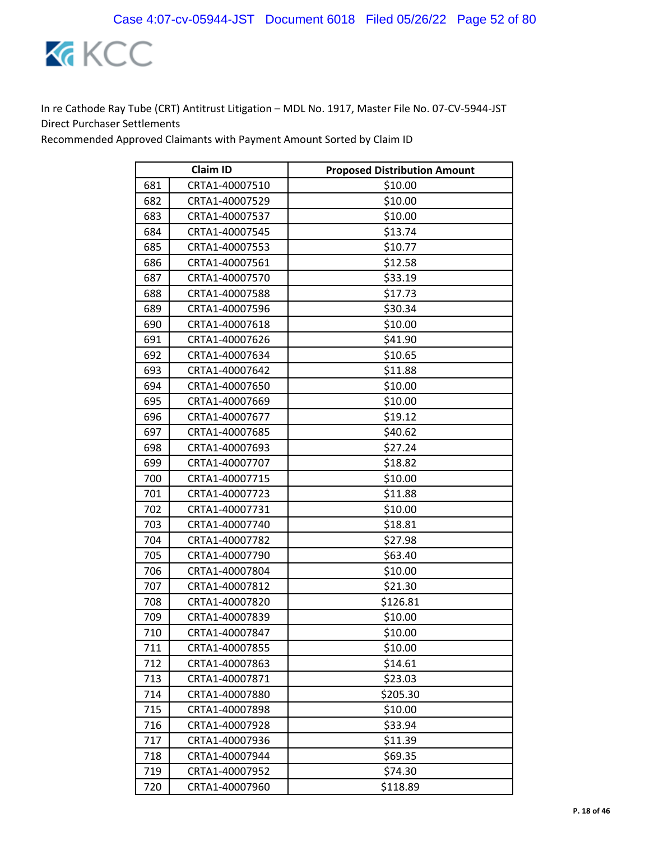

|     | <b>Claim ID</b> | <b>Proposed Distribution Amount</b> |
|-----|-----------------|-------------------------------------|
| 681 | CRTA1-40007510  | \$10.00                             |
| 682 | CRTA1-40007529  | \$10.00                             |
| 683 | CRTA1-40007537  | \$10.00                             |
| 684 | CRTA1-40007545  | \$13.74                             |
| 685 | CRTA1-40007553  | \$10.77                             |
| 686 | CRTA1-40007561  | \$12.58                             |
| 687 | CRTA1-40007570  | \$33.19                             |
| 688 | CRTA1-40007588  | \$17.73                             |
| 689 | CRTA1-40007596  | \$30.34                             |
| 690 | CRTA1-40007618  | \$10.00                             |
| 691 | CRTA1-40007626  | \$41.90                             |
| 692 | CRTA1-40007634  | \$10.65                             |
| 693 | CRTA1-40007642  | \$11.88                             |
| 694 | CRTA1-40007650  | \$10.00                             |
| 695 | CRTA1-40007669  | \$10.00                             |
| 696 | CRTA1-40007677  | \$19.12                             |
| 697 | CRTA1-40007685  | \$40.62                             |
| 698 | CRTA1-40007693  | \$27.24                             |
| 699 | CRTA1-40007707  | \$18.82                             |
| 700 | CRTA1-40007715  | \$10.00                             |
| 701 | CRTA1-40007723  | \$11.88                             |
| 702 | CRTA1-40007731  | \$10.00                             |
| 703 | CRTA1-40007740  | \$18.81                             |
| 704 | CRTA1-40007782  | \$27.98                             |
| 705 | CRTA1-40007790  | \$63.40                             |
| 706 | CRTA1-40007804  | \$10.00                             |
| 707 | CRTA1-40007812  | \$21.30                             |
| 708 | CRTA1-40007820  | \$126.81                            |
| 709 | CRTA1-40007839  | \$10.00                             |
| 710 | CRTA1-40007847  | \$10.00                             |
| 711 | CRTA1-40007855  | \$10.00                             |
| 712 | CRTA1-40007863  | \$14.61                             |
| 713 | CRTA1-40007871  | \$23.03                             |
| 714 | CRTA1-40007880  | \$205.30                            |
| 715 | CRTA1-40007898  | \$10.00                             |
| 716 | CRTA1-40007928  | \$33.94                             |
| 717 | CRTA1-40007936  | \$11.39                             |
| 718 | CRTA1-40007944  | \$69.35                             |
| 719 | CRTA1-40007952  | \$74.30                             |
| 720 | CRTA1-40007960  | \$118.89                            |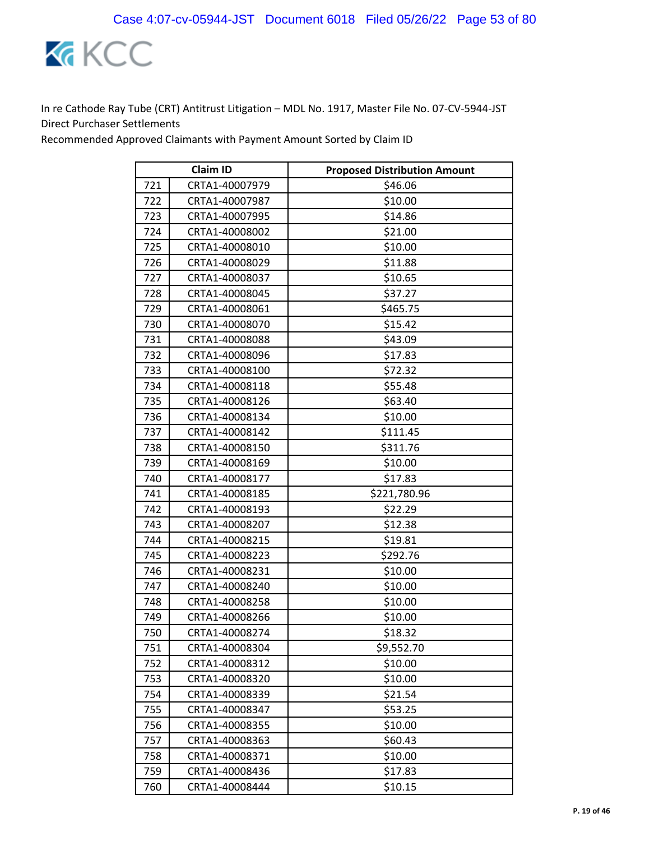

|     | <b>Claim ID</b> | <b>Proposed Distribution Amount</b> |
|-----|-----------------|-------------------------------------|
| 721 | CRTA1-40007979  | \$46.06                             |
| 722 | CRTA1-40007987  | \$10.00                             |
| 723 | CRTA1-40007995  | \$14.86                             |
| 724 | CRTA1-40008002  | \$21.00                             |
| 725 | CRTA1-40008010  | \$10.00                             |
| 726 | CRTA1-40008029  | \$11.88                             |
| 727 | CRTA1-40008037  | \$10.65                             |
| 728 | CRTA1-40008045  | \$37.27                             |
| 729 | CRTA1-40008061  | \$465.75                            |
| 730 | CRTA1-40008070  | \$15.42                             |
| 731 | CRTA1-40008088  | \$43.09                             |
| 732 | CRTA1-40008096  | \$17.83                             |
| 733 | CRTA1-40008100  | \$72.32                             |
| 734 | CRTA1-40008118  | \$55.48                             |
| 735 | CRTA1-40008126  | \$63.40                             |
| 736 | CRTA1-40008134  | \$10.00                             |
| 737 | CRTA1-40008142  | \$111.45                            |
| 738 | CRTA1-40008150  | \$311.76                            |
| 739 | CRTA1-40008169  | \$10.00                             |
| 740 | CRTA1-40008177  | \$17.83                             |
| 741 | CRTA1-40008185  | \$221,780.96                        |
| 742 | CRTA1-40008193  | \$22.29                             |
| 743 | CRTA1-40008207  | \$12.38                             |
| 744 | CRTA1-40008215  | \$19.81                             |
| 745 | CRTA1-40008223  | \$292.76                            |
| 746 | CRTA1-40008231  | \$10.00                             |
| 747 | CRTA1-40008240  | \$10.00                             |
| 748 | CRTA1-40008258  | \$10.00                             |
| 749 | CRTA1-40008266  | \$10.00                             |
| 750 | CRTA1-40008274  | \$18.32                             |
| 751 | CRTA1-40008304  | \$9,552.70                          |
| 752 | CRTA1-40008312  | \$10.00                             |
| 753 | CRTA1-40008320  | \$10.00                             |
| 754 | CRTA1-40008339  | \$21.54                             |
| 755 | CRTA1-40008347  | \$53.25                             |
| 756 | CRTA1-40008355  | \$10.00                             |
| 757 | CRTA1-40008363  | \$60.43                             |
| 758 | CRTA1-40008371  | \$10.00                             |
| 759 | CRTA1-40008436  | \$17.83                             |
| 760 | CRTA1-40008444  | \$10.15                             |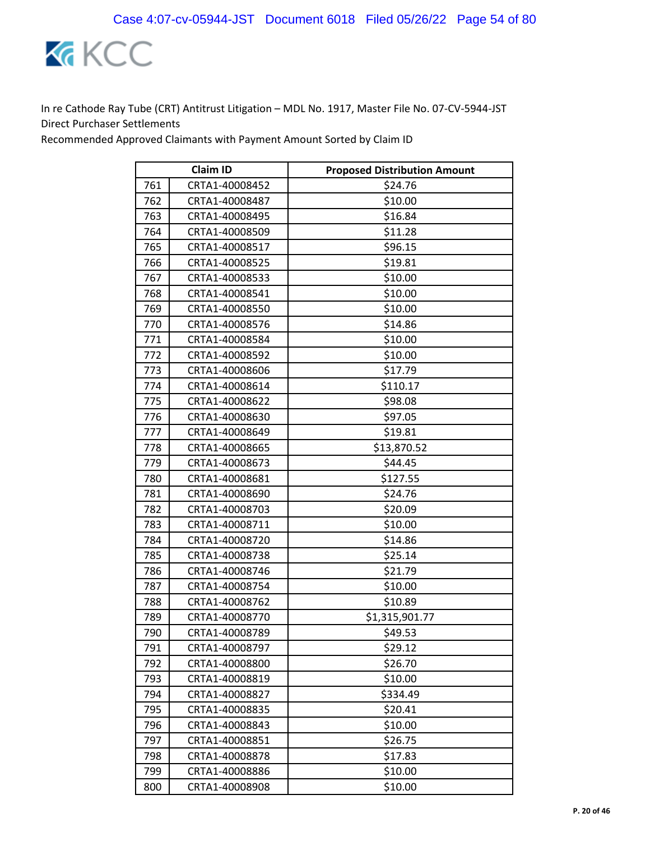

|     | <b>Claim ID</b> | <b>Proposed Distribution Amount</b> |
|-----|-----------------|-------------------------------------|
| 761 | CRTA1-40008452  | \$24.76                             |
| 762 | CRTA1-40008487  | \$10.00                             |
| 763 | CRTA1-40008495  | \$16.84                             |
| 764 | CRTA1-40008509  | \$11.28                             |
| 765 | CRTA1-40008517  | \$96.15                             |
| 766 | CRTA1-40008525  | \$19.81                             |
| 767 | CRTA1-40008533  | \$10.00                             |
| 768 | CRTA1-40008541  | \$10.00                             |
| 769 | CRTA1-40008550  | \$10.00                             |
| 770 | CRTA1-40008576  | \$14.86                             |
| 771 | CRTA1-40008584  | \$10.00                             |
| 772 | CRTA1-40008592  | \$10.00                             |
| 773 | CRTA1-40008606  | \$17.79                             |
| 774 | CRTA1-40008614  | \$110.17                            |
| 775 | CRTA1-40008622  | \$98.08                             |
| 776 | CRTA1-40008630  | \$97.05                             |
| 777 | CRTA1-40008649  | \$19.81                             |
| 778 | CRTA1-40008665  | \$13,870.52                         |
| 779 | CRTA1-40008673  | \$44.45                             |
| 780 | CRTA1-40008681  | \$127.55                            |
| 781 | CRTA1-40008690  | \$24.76                             |
| 782 | CRTA1-40008703  | \$20.09                             |
| 783 | CRTA1-40008711  | \$10.00                             |
| 784 | CRTA1-40008720  | \$14.86                             |
| 785 | CRTA1-40008738  | \$25.14                             |
| 786 | CRTA1-40008746  | \$21.79                             |
| 787 | CRTA1-40008754  | \$10.00                             |
| 788 | CRTA1-40008762  | \$10.89                             |
| 789 | CRTA1-40008770  | \$1,315,901.77                      |
| 790 | CRTA1-40008789  | \$49.53                             |
| 791 | CRTA1-40008797  | \$29.12                             |
| 792 | CRTA1-40008800  | \$26.70                             |
| 793 | CRTA1-40008819  | \$10.00                             |
| 794 | CRTA1-40008827  | \$334.49                            |
| 795 | CRTA1-40008835  | \$20.41                             |
| 796 | CRTA1-40008843  | \$10.00                             |
| 797 | CRTA1-40008851  | \$26.75                             |
| 798 | CRTA1-40008878  | \$17.83                             |
| 799 | CRTA1-40008886  | \$10.00                             |
| 800 | CRTA1-40008908  | \$10.00                             |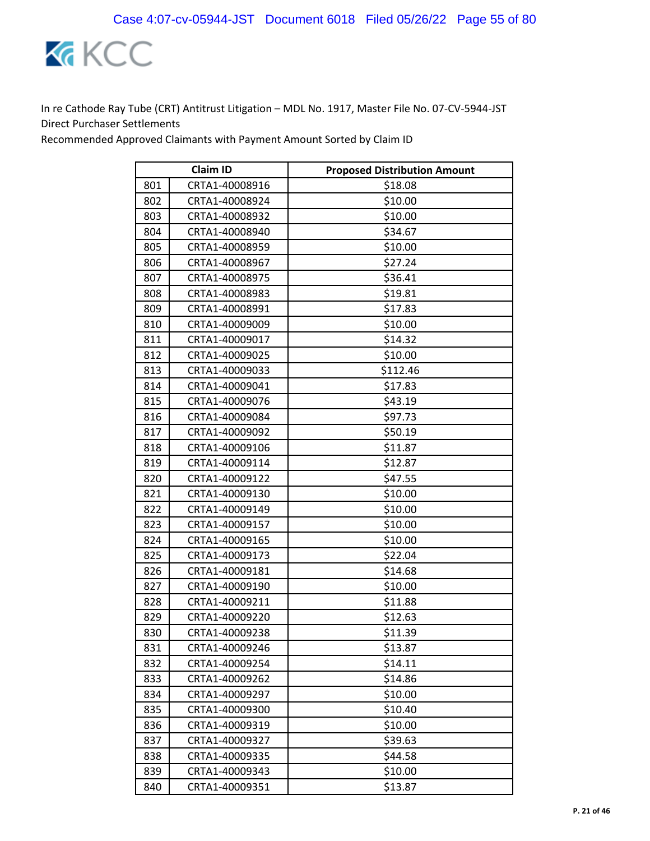

|     | <b>Claim ID</b> | <b>Proposed Distribution Amount</b> |
|-----|-----------------|-------------------------------------|
| 801 | CRTA1-40008916  | \$18.08                             |
| 802 | CRTA1-40008924  | \$10.00                             |
| 803 | CRTA1-40008932  | \$10.00                             |
| 804 | CRTA1-40008940  | \$34.67                             |
| 805 | CRTA1-40008959  | \$10.00                             |
| 806 | CRTA1-40008967  | \$27.24                             |
| 807 | CRTA1-40008975  | \$36.41                             |
| 808 | CRTA1-40008983  | \$19.81                             |
| 809 | CRTA1-40008991  | \$17.83                             |
| 810 | CRTA1-40009009  | \$10.00                             |
| 811 | CRTA1-40009017  | \$14.32                             |
| 812 | CRTA1-40009025  | \$10.00                             |
| 813 | CRTA1-40009033  | \$112.46                            |
| 814 | CRTA1-40009041  | \$17.83                             |
| 815 | CRTA1-40009076  | \$43.19                             |
| 816 | CRTA1-40009084  | \$97.73                             |
| 817 | CRTA1-40009092  | \$50.19                             |
| 818 | CRTA1-40009106  | \$11.87                             |
| 819 | CRTA1-40009114  | \$12.87                             |
| 820 | CRTA1-40009122  | \$47.55                             |
| 821 | CRTA1-40009130  | \$10.00                             |
| 822 | CRTA1-40009149  | \$10.00                             |
| 823 | CRTA1-40009157  | \$10.00                             |
| 824 | CRTA1-40009165  | \$10.00                             |
| 825 | CRTA1-40009173  | \$22.04                             |
| 826 | CRTA1-40009181  | \$14.68                             |
| 827 | CRTA1-40009190  | \$10.00                             |
| 828 | CRTA1-40009211  | \$11.88                             |
| 829 | CRTA1-40009220  | \$12.63                             |
| 830 | CRTA1-40009238  | \$11.39                             |
| 831 | CRTA1-40009246  | \$13.87                             |
| 832 | CRTA1-40009254  | \$14.11                             |
| 833 | CRTA1-40009262  | \$14.86                             |
| 834 | CRTA1-40009297  | \$10.00                             |
| 835 | CRTA1-40009300  | \$10.40                             |
| 836 | CRTA1-40009319  | \$10.00                             |
| 837 | CRTA1-40009327  | \$39.63                             |
| 838 | CRTA1-40009335  | \$44.58                             |
| 839 | CRTA1-40009343  | \$10.00                             |
| 840 | CRTA1-40009351  | \$13.87                             |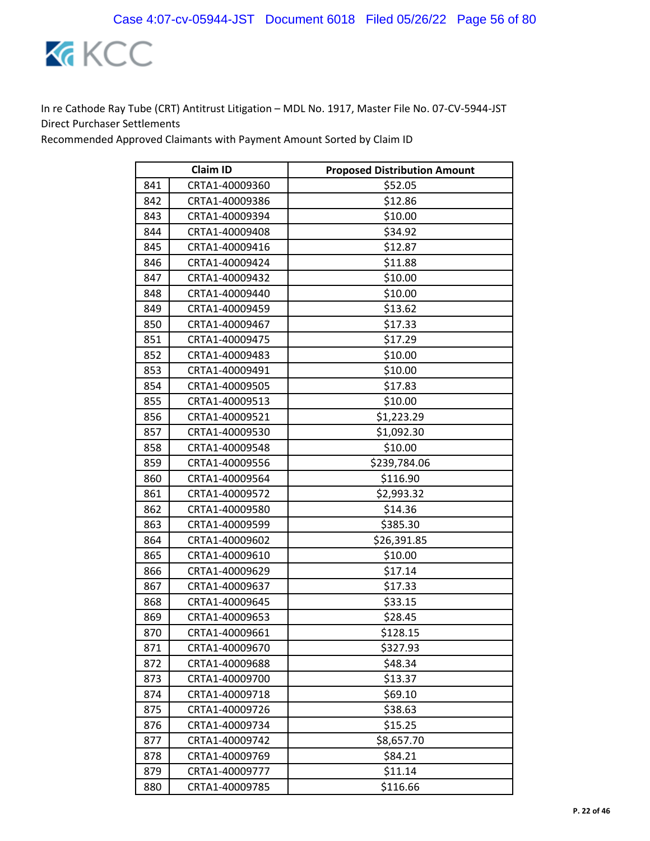

|     | <b>Claim ID</b> | <b>Proposed Distribution Amount</b> |
|-----|-----------------|-------------------------------------|
| 841 | CRTA1-40009360  | \$52.05                             |
| 842 | CRTA1-40009386  | \$12.86                             |
| 843 | CRTA1-40009394  | \$10.00                             |
| 844 | CRTA1-40009408  | \$34.92                             |
| 845 | CRTA1-40009416  | \$12.87                             |
| 846 | CRTA1-40009424  | \$11.88                             |
| 847 | CRTA1-40009432  | \$10.00                             |
| 848 | CRTA1-40009440  | \$10.00                             |
| 849 | CRTA1-40009459  | \$13.62                             |
| 850 | CRTA1-40009467  | \$17.33                             |
| 851 | CRTA1-40009475  | \$17.29                             |
| 852 | CRTA1-40009483  | \$10.00                             |
| 853 | CRTA1-40009491  | \$10.00                             |
| 854 | CRTA1-40009505  | \$17.83                             |
| 855 | CRTA1-40009513  | \$10.00                             |
| 856 | CRTA1-40009521  | \$1,223.29                          |
| 857 | CRTA1-40009530  | \$1,092.30                          |
| 858 | CRTA1-40009548  | \$10.00                             |
| 859 | CRTA1-40009556  | \$239,784.06                        |
| 860 | CRTA1-40009564  | \$116.90                            |
| 861 | CRTA1-40009572  | \$2,993.32                          |
| 862 | CRTA1-40009580  | \$14.36                             |
| 863 | CRTA1-40009599  | \$385.30                            |
| 864 | CRTA1-40009602  | \$26,391.85                         |
| 865 | CRTA1-40009610  | \$10.00                             |
| 866 | CRTA1-40009629  | \$17.14                             |
| 867 | CRTA1-40009637  | \$17.33                             |
| 868 | CRTA1-40009645  | \$33.15                             |
| 869 | CRTA1-40009653  | \$28.45                             |
| 870 | CRTA1-40009661  | \$128.15                            |
| 871 | CRTA1-40009670  | \$327.93                            |
| 872 | CRTA1-40009688  | \$48.34                             |
| 873 | CRTA1-40009700  | \$13.37                             |
| 874 | CRTA1-40009718  | \$69.10                             |
| 875 | CRTA1-40009726  | \$38.63                             |
| 876 | CRTA1-40009734  | \$15.25                             |
| 877 | CRTA1-40009742  | \$8,657.70                          |
| 878 | CRTA1-40009769  | \$84.21                             |
| 879 | CRTA1-40009777  | \$11.14                             |
| 880 | CRTA1-40009785  | \$116.66                            |
|     |                 |                                     |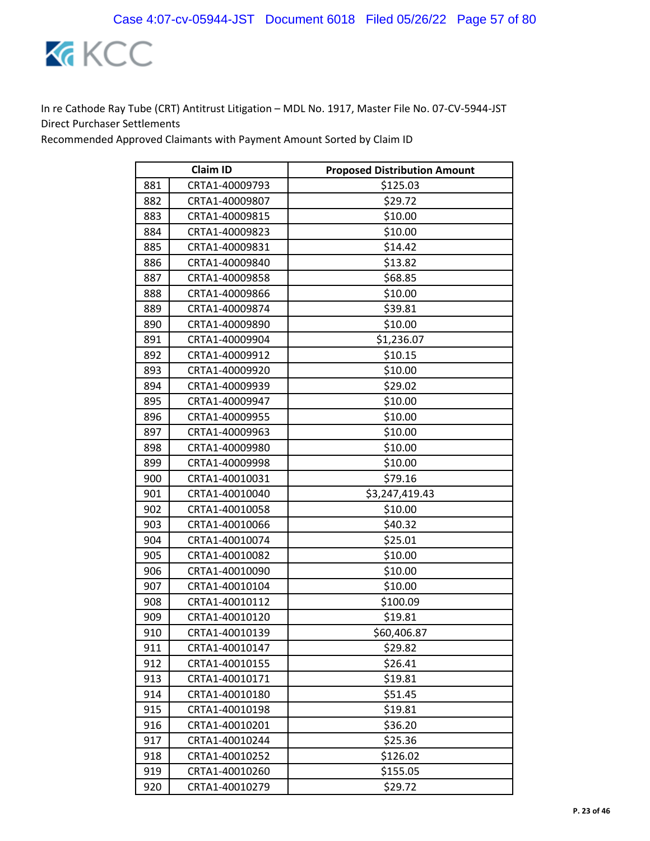

|     | <b>Claim ID</b> | <b>Proposed Distribution Amount</b> |
|-----|-----------------|-------------------------------------|
| 881 | CRTA1-40009793  | \$125.03                            |
| 882 | CRTA1-40009807  | \$29.72                             |
| 883 | CRTA1-40009815  | \$10.00                             |
| 884 | CRTA1-40009823  | \$10.00                             |
| 885 | CRTA1-40009831  | \$14.42                             |
| 886 | CRTA1-40009840  | \$13.82                             |
| 887 | CRTA1-40009858  | \$68.85                             |
| 888 | CRTA1-40009866  | \$10.00                             |
| 889 | CRTA1-40009874  | \$39.81                             |
| 890 | CRTA1-40009890  | \$10.00                             |
| 891 | CRTA1-40009904  | \$1,236.07                          |
| 892 | CRTA1-40009912  | \$10.15                             |
| 893 | CRTA1-40009920  | \$10.00                             |
| 894 | CRTA1-40009939  | \$29.02                             |
| 895 | CRTA1-40009947  | \$10.00                             |
| 896 | CRTA1-40009955  | \$10.00                             |
| 897 | CRTA1-40009963  | \$10.00                             |
| 898 | CRTA1-40009980  | \$10.00                             |
| 899 | CRTA1-40009998  | \$10.00                             |
| 900 | CRTA1-40010031  | \$79.16                             |
| 901 | CRTA1-40010040  | \$3,247,419.43                      |
| 902 | CRTA1-40010058  | \$10.00                             |
| 903 | CRTA1-40010066  | \$40.32                             |
| 904 | CRTA1-40010074  | \$25.01                             |
| 905 | CRTA1-40010082  | \$10.00                             |
| 906 | CRTA1-40010090  | \$10.00                             |
| 907 | CRTA1-40010104  | \$10.00                             |
| 908 | CRTA1-40010112  | \$100.09                            |
| 909 | CRTA1-40010120  | \$19.81                             |
| 910 | CRTA1-40010139  | \$60,406.87                         |
| 911 | CRTA1-40010147  | \$29.82                             |
| 912 | CRTA1-40010155  | \$26.41                             |
| 913 | CRTA1-40010171  | \$19.81                             |
| 914 | CRTA1-40010180  | \$51.45                             |
| 915 | CRTA1-40010198  | \$19.81                             |
| 916 | CRTA1-40010201  | \$36.20                             |
| 917 | CRTA1-40010244  | \$25.36                             |
| 918 | CRTA1-40010252  | \$126.02                            |
| 919 | CRTA1-40010260  | \$155.05                            |
| 920 | CRTA1-40010279  | \$29.72                             |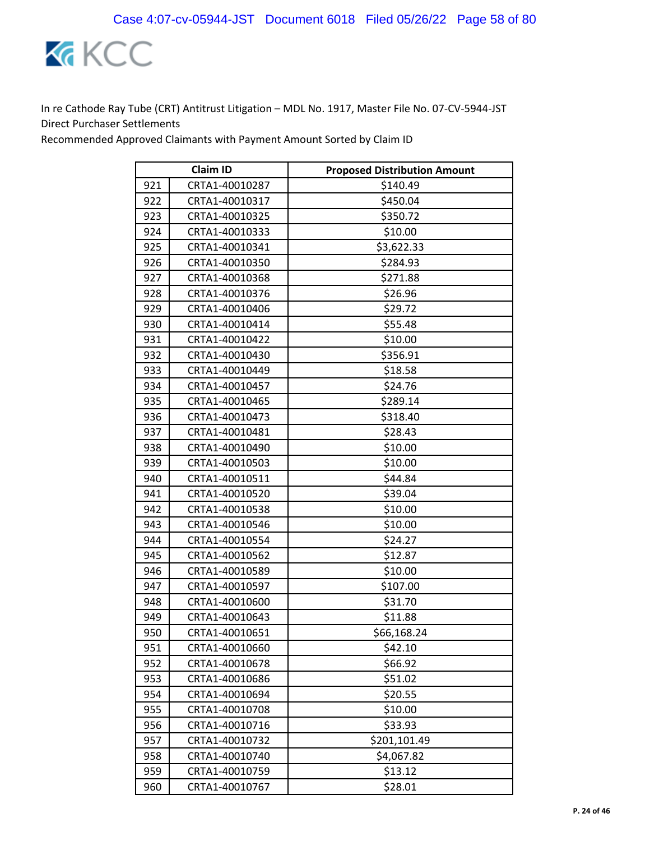

|     | <b>Claim ID</b> | <b>Proposed Distribution Amount</b> |
|-----|-----------------|-------------------------------------|
| 921 | CRTA1-40010287  | \$140.49                            |
| 922 | CRTA1-40010317  | \$450.04                            |
| 923 | CRTA1-40010325  | \$350.72                            |
| 924 | CRTA1-40010333  | \$10.00                             |
| 925 | CRTA1-40010341  | \$3,622.33                          |
| 926 | CRTA1-40010350  | \$284.93                            |
| 927 | CRTA1-40010368  | \$271.88                            |
| 928 | CRTA1-40010376  | \$26.96                             |
| 929 | CRTA1-40010406  | \$29.72                             |
| 930 | CRTA1-40010414  | \$55.48                             |
| 931 | CRTA1-40010422  | \$10.00                             |
| 932 | CRTA1-40010430  | \$356.91                            |
| 933 | CRTA1-40010449  | \$18.58                             |
| 934 | CRTA1-40010457  | \$24.76                             |
| 935 | CRTA1-40010465  | \$289.14                            |
| 936 | CRTA1-40010473  | \$318.40                            |
| 937 | CRTA1-40010481  | \$28.43                             |
| 938 | CRTA1-40010490  | \$10.00                             |
| 939 | CRTA1-40010503  | \$10.00                             |
| 940 | CRTA1-40010511  | \$44.84                             |
| 941 | CRTA1-40010520  | \$39.04                             |
| 942 | CRTA1-40010538  | \$10.00                             |
| 943 | CRTA1-40010546  | \$10.00                             |
| 944 | CRTA1-40010554  | \$24.27                             |
| 945 | CRTA1-40010562  | \$12.87                             |
| 946 | CRTA1-40010589  | \$10.00                             |
| 947 | CRTA1-40010597  | \$107.00                            |
| 948 | CRTA1-40010600  | \$31.70                             |
| 949 | CRTA1-40010643  | \$11.88                             |
| 950 | CRTA1-40010651  | \$66,168.24                         |
| 951 | CRTA1-40010660  | \$42.10                             |
| 952 | CRTA1-40010678  | \$66.92                             |
| 953 | CRTA1-40010686  | \$51.02                             |
| 954 | CRTA1-40010694  | \$20.55                             |
| 955 | CRTA1-40010708  | \$10.00                             |
| 956 | CRTA1-40010716  | \$33.93                             |
| 957 | CRTA1-40010732  | \$201,101.49                        |
| 958 | CRTA1-40010740  | \$4,067.82                          |
| 959 | CRTA1-40010759  | \$13.12                             |
| 960 | CRTA1-40010767  | \$28.01                             |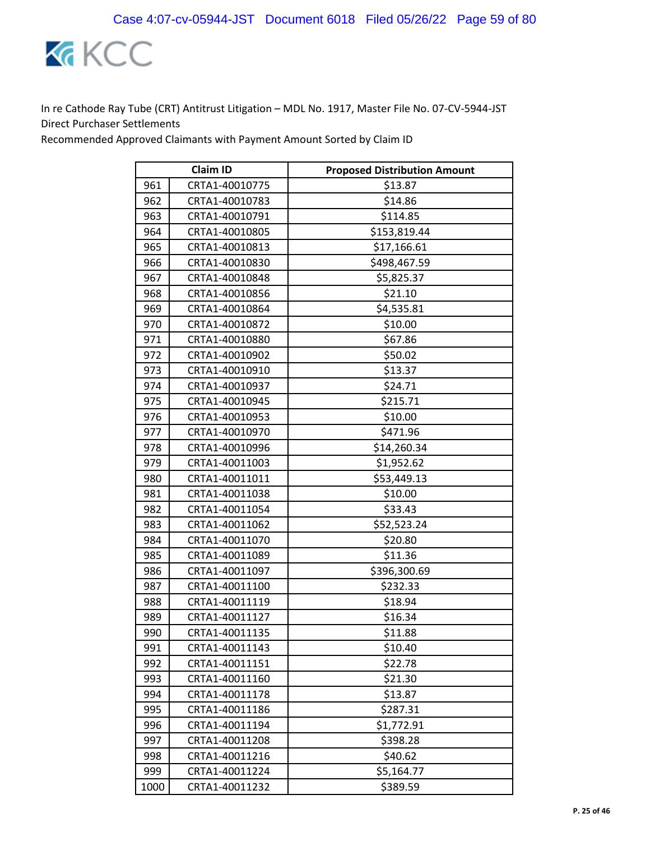

|      | <b>Claim ID</b> | <b>Proposed Distribution Amount</b> |
|------|-----------------|-------------------------------------|
| 961  | CRTA1-40010775  | \$13.87                             |
| 962  | CRTA1-40010783  | \$14.86                             |
| 963  | CRTA1-40010791  | \$114.85                            |
| 964  | CRTA1-40010805  | \$153,819.44                        |
| 965  | CRTA1-40010813  | \$17,166.61                         |
| 966  | CRTA1-40010830  | \$498,467.59                        |
| 967  | CRTA1-40010848  | \$5,825.37                          |
| 968  | CRTA1-40010856  | \$21.10                             |
| 969  | CRTA1-40010864  | \$4,535.81                          |
| 970  | CRTA1-40010872  | \$10.00                             |
| 971  | CRTA1-40010880  | \$67.86                             |
| 972  | CRTA1-40010902  | \$50.02                             |
| 973  | CRTA1-40010910  | \$13.37                             |
| 974  | CRTA1-40010937  | \$24.71                             |
| 975  | CRTA1-40010945  | \$215.71                            |
| 976  | CRTA1-40010953  | \$10.00                             |
| 977  | CRTA1-40010970  | \$471.96                            |
| 978  | CRTA1-40010996  | \$14,260.34                         |
| 979  | CRTA1-40011003  | \$1,952.62                          |
| 980  | CRTA1-40011011  | \$53,449.13                         |
| 981  | CRTA1-40011038  | \$10.00                             |
| 982  | CRTA1-40011054  | \$33.43                             |
| 983  | CRTA1-40011062  | \$52,523.24                         |
| 984  | CRTA1-40011070  | \$20.80                             |
| 985  | CRTA1-40011089  | \$11.36                             |
| 986  | CRTA1-40011097  | \$396,300.69                        |
| 987  | CRTA1-40011100  | \$232.33                            |
| 988  | CRTA1-40011119  | \$18.94                             |
| 989  | CRTA1-40011127  | \$16.34                             |
| 990  | CRTA1-40011135  | \$11.88                             |
| 991  | CRTA1-40011143  | \$10.40                             |
| 992  | CRTA1-40011151  | \$22.78                             |
| 993  | CRTA1-40011160  | \$21.30                             |
| 994  | CRTA1-40011178  | \$13.87                             |
| 995  | CRTA1-40011186  | \$287.31                            |
| 996  | CRTA1-40011194  | \$1,772.91                          |
| 997  | CRTA1-40011208  | \$398.28                            |
| 998  | CRTA1-40011216  | \$40.62                             |
| 999  | CRTA1-40011224  | \$5,164.77                          |
| 1000 | CRTA1-40011232  | \$389.59                            |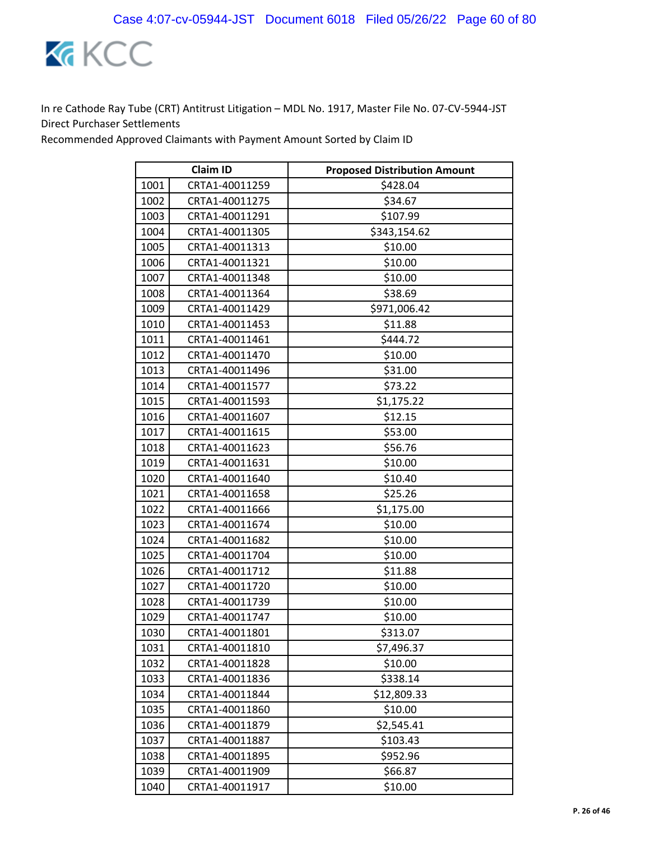

|      | <b>Claim ID</b> | <b>Proposed Distribution Amount</b> |
|------|-----------------|-------------------------------------|
| 1001 | CRTA1-40011259  | \$428.04                            |
| 1002 | CRTA1-40011275  | \$34.67                             |
| 1003 | CRTA1-40011291  | \$107.99                            |
| 1004 | CRTA1-40011305  | \$343,154.62                        |
| 1005 | CRTA1-40011313  | \$10.00                             |
| 1006 | CRTA1-40011321  | \$10.00                             |
| 1007 | CRTA1-40011348  | \$10.00                             |
| 1008 | CRTA1-40011364  | \$38.69                             |
| 1009 | CRTA1-40011429  | \$971,006.42                        |
| 1010 | CRTA1-40011453  | \$11.88                             |
| 1011 | CRTA1-40011461  | \$444.72                            |
| 1012 | CRTA1-40011470  | \$10.00                             |
| 1013 | CRTA1-40011496  | \$31.00                             |
| 1014 | CRTA1-40011577  | \$73.22                             |
| 1015 | CRTA1-40011593  | \$1,175.22                          |
| 1016 | CRTA1-40011607  | \$12.15                             |
| 1017 | CRTA1-40011615  | \$53.00                             |
| 1018 | CRTA1-40011623  | \$56.76                             |
| 1019 | CRTA1-40011631  | \$10.00                             |
| 1020 | CRTA1-40011640  | \$10.40                             |
| 1021 | CRTA1-40011658  | \$25.26                             |
| 1022 | CRTA1-40011666  | \$1,175.00                          |
| 1023 | CRTA1-40011674  | \$10.00                             |
| 1024 | CRTA1-40011682  | \$10.00                             |
| 1025 | CRTA1-40011704  | \$10.00                             |
| 1026 | CRTA1-40011712  | \$11.88                             |
| 1027 | CRTA1-40011720  | \$10.00                             |
| 1028 | CRTA1-40011739  | \$10.00                             |
| 1029 | CRTA1-40011747  | \$10.00                             |
| 1030 | CRTA1-40011801  | \$313.07                            |
| 1031 | CRTA1-40011810  | \$7,496.37                          |
| 1032 | CRTA1-40011828  | \$10.00                             |
| 1033 | CRTA1-40011836  | \$338.14                            |
| 1034 | CRTA1-40011844  | \$12,809.33                         |
| 1035 | CRTA1-40011860  | \$10.00                             |
| 1036 | CRTA1-40011879  | \$2,545.41                          |
| 1037 | CRTA1-40011887  | \$103.43                            |
| 1038 | CRTA1-40011895  | \$952.96                            |
| 1039 | CRTA1-40011909  | \$66.87                             |
| 1040 | CRTA1-40011917  | \$10.00                             |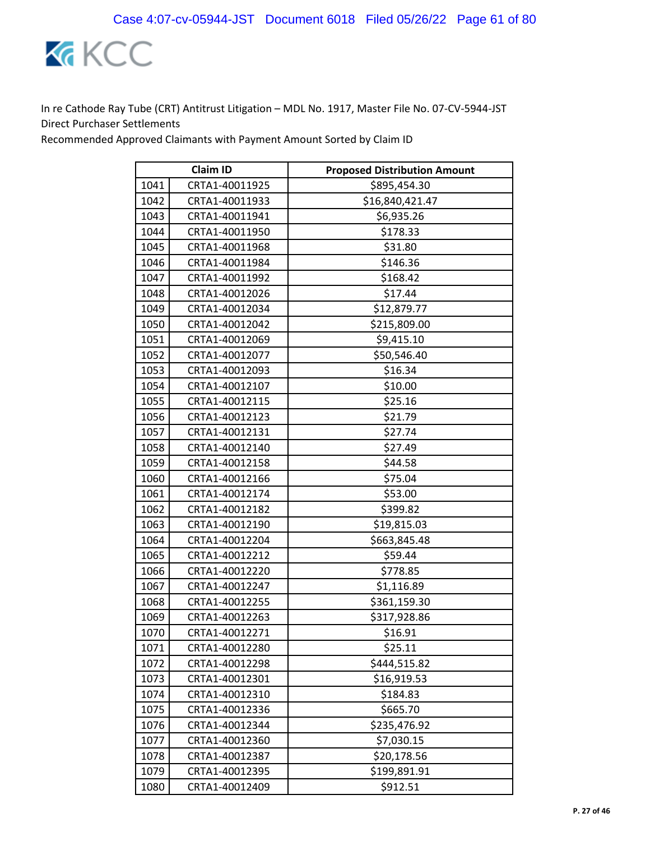

| <b>Claim ID</b> |                | <b>Proposed Distribution Amount</b> |
|-----------------|----------------|-------------------------------------|
| 1041            | CRTA1-40011925 | \$895,454.30                        |
| 1042            | CRTA1-40011933 | \$16,840,421.47                     |
| 1043            | CRTA1-40011941 | \$6,935.26                          |
| 1044            | CRTA1-40011950 | \$178.33                            |
| 1045            | CRTA1-40011968 | \$31.80                             |
| 1046            | CRTA1-40011984 | \$146.36                            |
| 1047            | CRTA1-40011992 | \$168.42                            |
| 1048            | CRTA1-40012026 | \$17.44                             |
| 1049            | CRTA1-40012034 | \$12,879.77                         |
| 1050            | CRTA1-40012042 | \$215,809.00                        |
| 1051            | CRTA1-40012069 | \$9,415.10                          |
| 1052            | CRTA1-40012077 | \$50,546.40                         |
| 1053            | CRTA1-40012093 | \$16.34                             |
| 1054            | CRTA1-40012107 | \$10.00                             |
| 1055            | CRTA1-40012115 | \$25.16                             |
| 1056            | CRTA1-40012123 | \$21.79                             |
| 1057            | CRTA1-40012131 | \$27.74                             |
| 1058            | CRTA1-40012140 | \$27.49                             |
| 1059            | CRTA1-40012158 | \$44.58                             |
| 1060            | CRTA1-40012166 | \$75.04                             |
| 1061            | CRTA1-40012174 | \$53.00                             |
| 1062            | CRTA1-40012182 | \$399.82                            |
| 1063            | CRTA1-40012190 | \$19,815.03                         |
| 1064            | CRTA1-40012204 | \$663,845.48                        |
| 1065            | CRTA1-40012212 | \$59.44                             |
| 1066            | CRTA1-40012220 | \$778.85                            |
| 1067            | CRTA1-40012247 | \$1,116.89                          |
| 1068            | CRTA1-40012255 | \$361,159.30                        |
| 1069            | CRTA1-40012263 | \$317,928.86                        |
| 1070            | CRTA1-40012271 | \$16.91                             |
| 1071            | CRTA1-40012280 | \$25.11                             |
| 1072            | CRTA1-40012298 | \$444,515.82                        |
| 1073            | CRTA1-40012301 | \$16,919.53                         |
| 1074            | CRTA1-40012310 | \$184.83                            |
| 1075            | CRTA1-40012336 | \$665.70                            |
| 1076            | CRTA1-40012344 | \$235,476.92                        |
| 1077            | CRTA1-40012360 | \$7,030.15                          |
| 1078            | CRTA1-40012387 | \$20,178.56                         |
| 1079            | CRTA1-40012395 | \$199,891.91                        |
| 1080            | CRTA1-40012409 | \$912.51                            |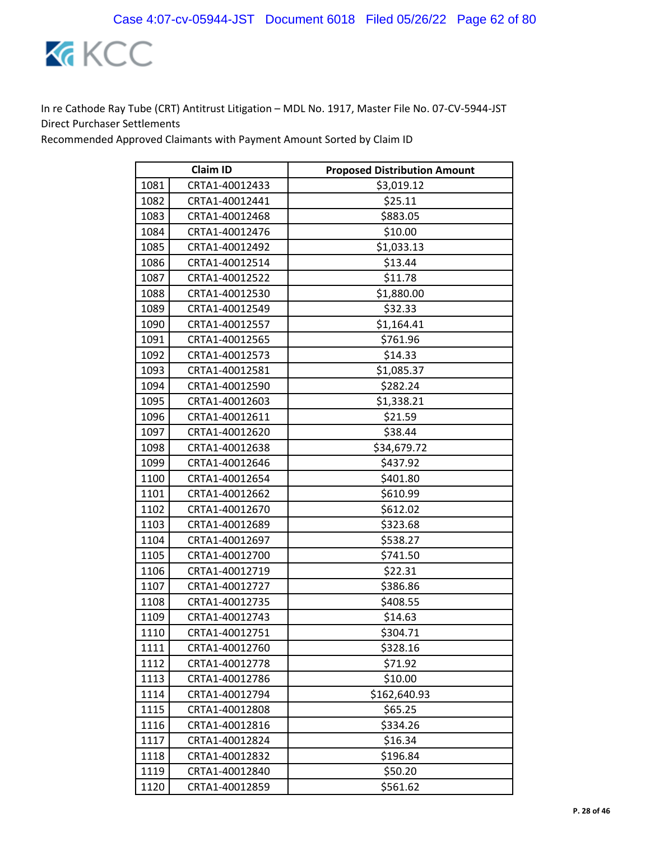

| <b>Claim ID</b> |                | <b>Proposed Distribution Amount</b> |
|-----------------|----------------|-------------------------------------|
| 1081            | CRTA1-40012433 | \$3,019.12                          |
| 1082            | CRTA1-40012441 | \$25.11                             |
| 1083            | CRTA1-40012468 | \$883.05                            |
| 1084            | CRTA1-40012476 | \$10.00                             |
| 1085            | CRTA1-40012492 | \$1,033.13                          |
| 1086            | CRTA1-40012514 | \$13.44                             |
| 1087            | CRTA1-40012522 | \$11.78                             |
| 1088            | CRTA1-40012530 | \$1,880.00                          |
| 1089            | CRTA1-40012549 | \$32.33                             |
| 1090            | CRTA1-40012557 | \$1,164.41                          |
| 1091            | CRTA1-40012565 | \$761.96                            |
| 1092            | CRTA1-40012573 | \$14.33                             |
| 1093            | CRTA1-40012581 | \$1,085.37                          |
| 1094            | CRTA1-40012590 | \$282.24                            |
| 1095            | CRTA1-40012603 | \$1,338.21                          |
| 1096            | CRTA1-40012611 | \$21.59                             |
| 1097            | CRTA1-40012620 | \$38.44                             |
| 1098            | CRTA1-40012638 | \$34,679.72                         |
| 1099            | CRTA1-40012646 | \$437.92                            |
| 1100            | CRTA1-40012654 | \$401.80                            |
| 1101            | CRTA1-40012662 | \$610.99                            |
| 1102            | CRTA1-40012670 | \$612.02                            |
| 1103            | CRTA1-40012689 | \$323.68                            |
| 1104            | CRTA1-40012697 | \$538.27                            |
| 1105            | CRTA1-40012700 | \$741.50                            |
| 1106            | CRTA1-40012719 | \$22.31                             |
| 1107            | CRTA1-40012727 | \$386.86                            |
| 1108            | CRTA1-40012735 | \$408.55                            |
| 1109            | CRTA1-40012743 | \$14.63                             |
| 1110            | CRTA1-40012751 | \$304.71                            |
| 1111            | CRTA1-40012760 | \$328.16                            |
| 1112            | CRTA1-40012778 | \$71.92                             |
| 1113            | CRTA1-40012786 | \$10.00                             |
| 1114            | CRTA1-40012794 | \$162,640.93                        |
| 1115            | CRTA1-40012808 | \$65.25                             |
| 1116            | CRTA1-40012816 | \$334.26                            |
| 1117            | CRTA1-40012824 | \$16.34                             |
| 1118            | CRTA1-40012832 | \$196.84                            |
| 1119            | CRTA1-40012840 | \$50.20                             |
| 1120            | CRTA1-40012859 | \$561.62                            |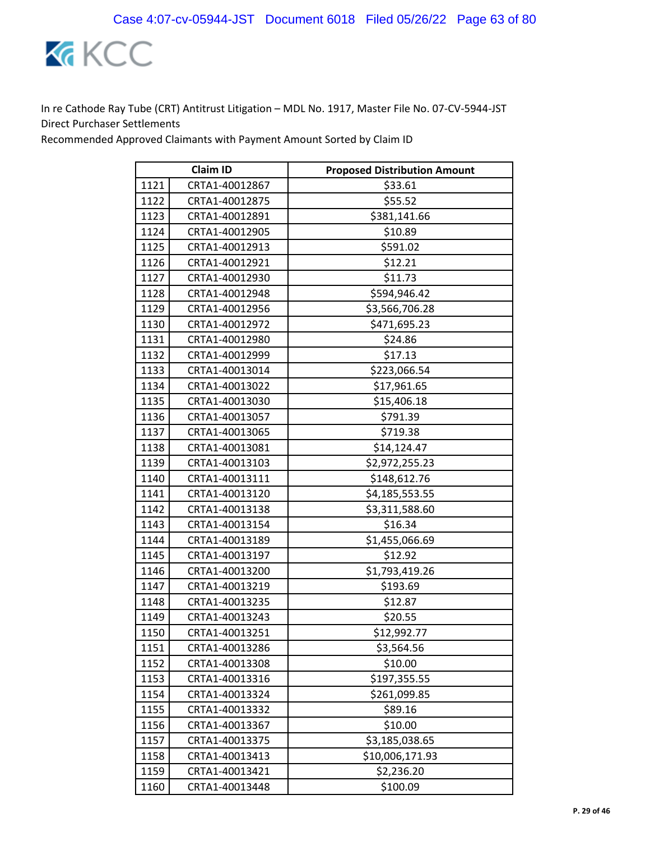

|      | <b>Claim ID</b> | <b>Proposed Distribution Amount</b> |
|------|-----------------|-------------------------------------|
| 1121 | CRTA1-40012867  | \$33.61                             |
| 1122 | CRTA1-40012875  | \$55.52                             |
| 1123 | CRTA1-40012891  | \$381,141.66                        |
| 1124 | CRTA1-40012905  | \$10.89                             |
| 1125 | CRTA1-40012913  | \$591.02                            |
| 1126 | CRTA1-40012921  | \$12.21                             |
| 1127 | CRTA1-40012930  | \$11.73                             |
| 1128 | CRTA1-40012948  | \$594,946.42                        |
| 1129 | CRTA1-40012956  | \$3,566,706.28                      |
| 1130 | CRTA1-40012972  | \$471,695.23                        |
| 1131 | CRTA1-40012980  | \$24.86                             |
| 1132 | CRTA1-40012999  | \$17.13                             |
| 1133 | CRTA1-40013014  | \$223,066.54                        |
| 1134 | CRTA1-40013022  | \$17,961.65                         |
| 1135 | CRTA1-40013030  | \$15,406.18                         |
| 1136 | CRTA1-40013057  | \$791.39                            |
| 1137 | CRTA1-40013065  | \$719.38                            |
| 1138 | CRTA1-40013081  | \$14,124.47                         |
| 1139 | CRTA1-40013103  | \$2,972,255.23                      |
| 1140 | CRTA1-40013111  | \$148,612.76                        |
| 1141 | CRTA1-40013120  | \$4,185,553.55                      |
| 1142 | CRTA1-40013138  | \$3,311,588.60                      |
| 1143 | CRTA1-40013154  | \$16.34                             |
| 1144 | CRTA1-40013189  | \$1,455,066.69                      |
| 1145 | CRTA1-40013197  | \$12.92                             |
| 1146 | CRTA1-40013200  | \$1,793,419.26                      |
| 1147 | CRTA1-40013219  | \$193.69                            |
| 1148 | CRTA1-40013235  | \$12.87                             |
| 1149 | CRTA1-40013243  | \$20.55                             |
| 1150 | CRTA1-40013251  | \$12,992.77                         |
| 1151 | CRTA1-40013286  | \$3,564.56                          |
| 1152 | CRTA1-40013308  | \$10.00                             |
| 1153 | CRTA1-40013316  | \$197,355.55                        |
| 1154 | CRTA1-40013324  | \$261,099.85                        |
| 1155 | CRTA1-40013332  | \$89.16                             |
| 1156 | CRTA1-40013367  | \$10.00                             |
| 1157 | CRTA1-40013375  | \$3,185,038.65                      |
| 1158 | CRTA1-40013413  | \$10,006,171.93                     |
| 1159 | CRTA1-40013421  | \$2,236.20                          |
| 1160 | CRTA1-40013448  | \$100.09                            |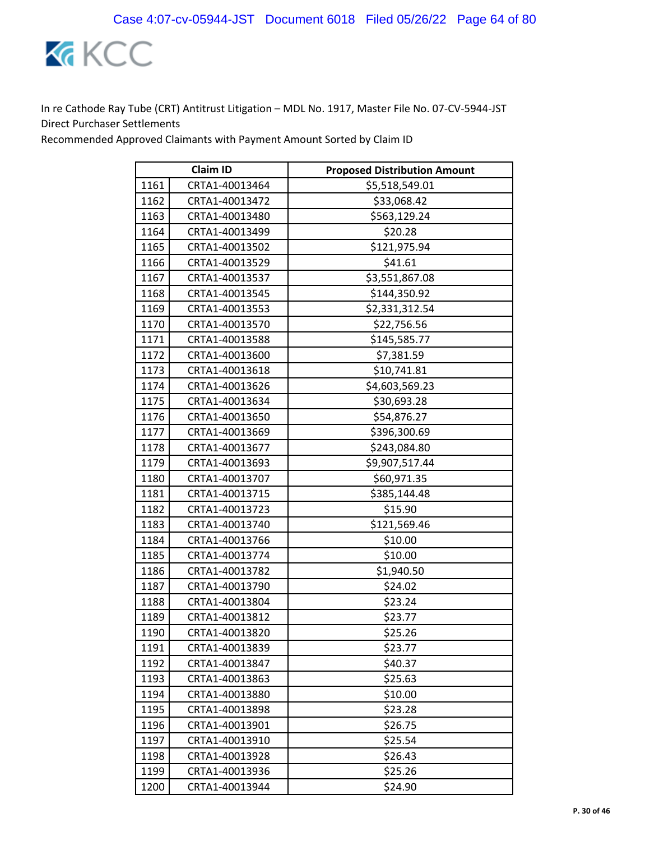

| <b>Claim ID</b> |                | <b>Proposed Distribution Amount</b> |
|-----------------|----------------|-------------------------------------|
| 1161            | CRTA1-40013464 | \$5,518,549.01                      |
| 1162            | CRTA1-40013472 | \$33,068.42                         |
| 1163            | CRTA1-40013480 | \$563,129.24                        |
| 1164            | CRTA1-40013499 | \$20.28                             |
| 1165            | CRTA1-40013502 | \$121,975.94                        |
| 1166            | CRTA1-40013529 | \$41.61                             |
| 1167            | CRTA1-40013537 | \$3,551,867.08                      |
| 1168            | CRTA1-40013545 | \$144,350.92                        |
| 1169            | CRTA1-40013553 | \$2,331,312.54                      |
| 1170            | CRTA1-40013570 | \$22,756.56                         |
| 1171            | CRTA1-40013588 | \$145,585.77                        |
| 1172            | CRTA1-40013600 | \$7,381.59                          |
| 1173            | CRTA1-40013618 | \$10,741.81                         |
| 1174            | CRTA1-40013626 | \$4,603,569.23                      |
| 1175            | CRTA1-40013634 | \$30,693.28                         |
| 1176            | CRTA1-40013650 | \$54,876.27                         |
| 1177            | CRTA1-40013669 | \$396,300.69                        |
| 1178            | CRTA1-40013677 | \$243,084.80                        |
| 1179            | CRTA1-40013693 | \$9,907,517.44                      |
| 1180            | CRTA1-40013707 | \$60,971.35                         |
| 1181            | CRTA1-40013715 | \$385,144.48                        |
| 1182            | CRTA1-40013723 | \$15.90                             |
| 1183            | CRTA1-40013740 | \$121,569.46                        |
| 1184            | CRTA1-40013766 | \$10.00                             |
| 1185            | CRTA1-40013774 | \$10.00                             |
| 1186            | CRTA1-40013782 | \$1,940.50                          |
| 1187            | CRTA1-40013790 | \$24.02                             |
| 1188            | CRTA1-40013804 | \$23.24                             |
| 1189            | CRTA1-40013812 | \$23.77                             |
| 1190            | CRTA1-40013820 | \$25.26                             |
| 1191            | CRTA1-40013839 | \$23.77                             |
| 1192            | CRTA1-40013847 | \$40.37                             |
| 1193            | CRTA1-40013863 | \$25.63                             |
| 1194            | CRTA1-40013880 | \$10.00                             |
| 1195            | CRTA1-40013898 | \$23.28                             |
| 1196            | CRTA1-40013901 | \$26.75                             |
| 1197            | CRTA1-40013910 | \$25.54                             |
| 1198            | CRTA1-40013928 | \$26.43                             |
| 1199            | CRTA1-40013936 | \$25.26                             |
| 1200            | CRTA1-40013944 | \$24.90                             |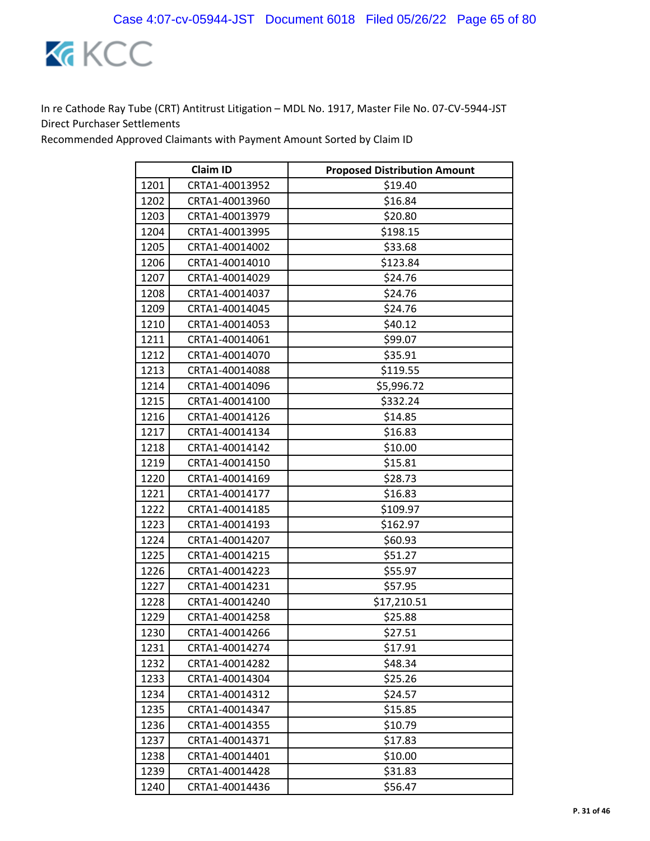

|      | <b>Claim ID</b> | <b>Proposed Distribution Amount</b> |
|------|-----------------|-------------------------------------|
| 1201 | CRTA1-40013952  | \$19.40                             |
| 1202 | CRTA1-40013960  | \$16.84                             |
| 1203 | CRTA1-40013979  | \$20.80                             |
| 1204 | CRTA1-40013995  | \$198.15                            |
| 1205 | CRTA1-40014002  | \$33.68                             |
| 1206 | CRTA1-40014010  | \$123.84                            |
| 1207 | CRTA1-40014029  | \$24.76                             |
| 1208 | CRTA1-40014037  | \$24.76                             |
| 1209 | CRTA1-40014045  | \$24.76                             |
| 1210 | CRTA1-40014053  | \$40.12                             |
| 1211 | CRTA1-40014061  | \$99.07                             |
| 1212 | CRTA1-40014070  | \$35.91                             |
| 1213 | CRTA1-40014088  | \$119.55                            |
| 1214 | CRTA1-40014096  | \$5,996.72                          |
| 1215 | CRTA1-40014100  | \$332.24                            |
| 1216 | CRTA1-40014126  | \$14.85                             |
| 1217 | CRTA1-40014134  | \$16.83                             |
| 1218 | CRTA1-40014142  | \$10.00                             |
| 1219 | CRTA1-40014150  | \$15.81                             |
| 1220 | CRTA1-40014169  | \$28.73                             |
| 1221 | CRTA1-40014177  | \$16.83                             |
| 1222 | CRTA1-40014185  | \$109.97                            |
| 1223 | CRTA1-40014193  | \$162.97                            |
| 1224 | CRTA1-40014207  | \$60.93                             |
| 1225 | CRTA1-40014215  | \$51.27                             |
| 1226 | CRTA1-40014223  | \$55.97                             |
| 1227 | CRTA1-40014231  | \$57.95                             |
| 1228 | CRTA1-40014240  | \$17,210.51                         |
| 1229 | CRTA1-40014258  | \$25.88                             |
| 1230 | CRTA1-40014266  | \$27.51                             |
| 1231 | CRTA1-40014274  | \$17.91                             |
| 1232 | CRTA1-40014282  | \$48.34                             |
| 1233 | CRTA1-40014304  | \$25.26                             |
| 1234 | CRTA1-40014312  | \$24.57                             |
| 1235 | CRTA1-40014347  | \$15.85                             |
| 1236 | CRTA1-40014355  | \$10.79                             |
| 1237 | CRTA1-40014371  | \$17.83                             |
| 1238 | CRTA1-40014401  | \$10.00                             |
| 1239 | CRTA1-40014428  | \$31.83                             |
| 1240 | CRTA1-40014436  | \$56.47                             |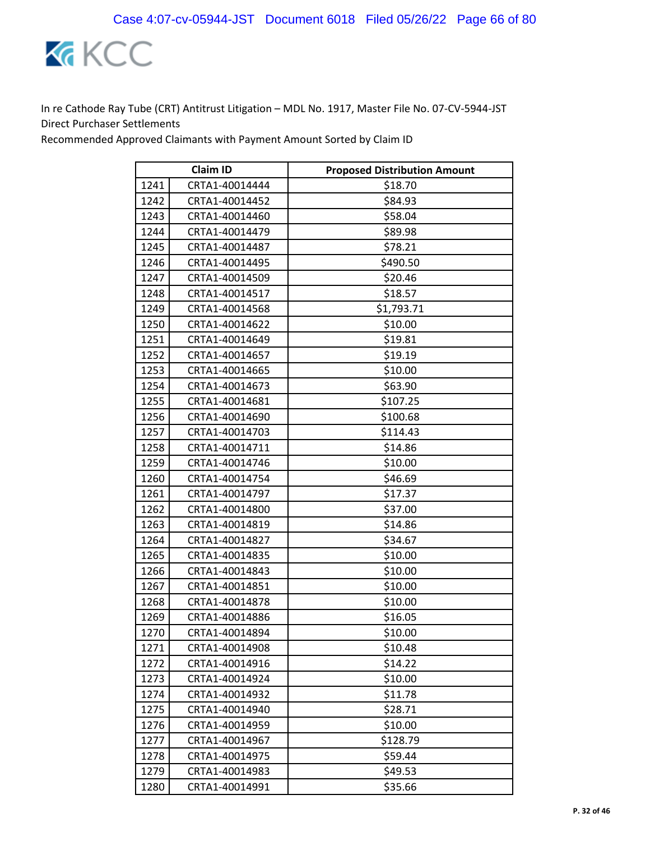

| <b>Claim ID</b> |                | <b>Proposed Distribution Amount</b> |
|-----------------|----------------|-------------------------------------|
| 1241            | CRTA1-40014444 | \$18.70                             |
| 1242            | CRTA1-40014452 | \$84.93                             |
| 1243            | CRTA1-40014460 | \$58.04                             |
| 1244            | CRTA1-40014479 | \$89.98                             |
| 1245            | CRTA1-40014487 | \$78.21                             |
| 1246            | CRTA1-40014495 | \$490.50                            |
| 1247            | CRTA1-40014509 | \$20.46                             |
| 1248            | CRTA1-40014517 | \$18.57                             |
| 1249            | CRTA1-40014568 | \$1,793.71                          |
| 1250            | CRTA1-40014622 | \$10.00                             |
| 1251            | CRTA1-40014649 | \$19.81                             |
| 1252            | CRTA1-40014657 | \$19.19                             |
| 1253            | CRTA1-40014665 | \$10.00                             |
| 1254            | CRTA1-40014673 | \$63.90                             |
| 1255            | CRTA1-40014681 | \$107.25                            |
| 1256            | CRTA1-40014690 | \$100.68                            |
| 1257            | CRTA1-40014703 | \$114.43                            |
| 1258            | CRTA1-40014711 | \$14.86                             |
| 1259            | CRTA1-40014746 | \$10.00                             |
| 1260            | CRTA1-40014754 | \$46.69                             |
| 1261            | CRTA1-40014797 | \$17.37                             |
| 1262            | CRTA1-40014800 | \$37.00                             |
| 1263            | CRTA1-40014819 | \$14.86                             |
| 1264            | CRTA1-40014827 | \$34.67                             |
| 1265            | CRTA1-40014835 | \$10.00                             |
| 1266            | CRTA1-40014843 | \$10.00                             |
| 1267            | CRTA1-40014851 | \$10.00                             |
| 1268            | CRTA1-40014878 | \$10.00                             |
| 1269            | CRTA1-40014886 | \$16.05                             |
| 1270            | CRTA1-40014894 | \$10.00                             |
| 1271            | CRTA1-40014908 | \$10.48                             |
| 1272            | CRTA1-40014916 | \$14.22                             |
| 1273            | CRTA1-40014924 | \$10.00                             |
| 1274            | CRTA1-40014932 | \$11.78                             |
| 1275            | CRTA1-40014940 | \$28.71                             |
| 1276            | CRTA1-40014959 | \$10.00                             |
| 1277            | CRTA1-40014967 | \$128.79                            |
| 1278            | CRTA1-40014975 | \$59.44                             |
| 1279            | CRTA1-40014983 | \$49.53                             |
| 1280            | CRTA1-40014991 | \$35.66                             |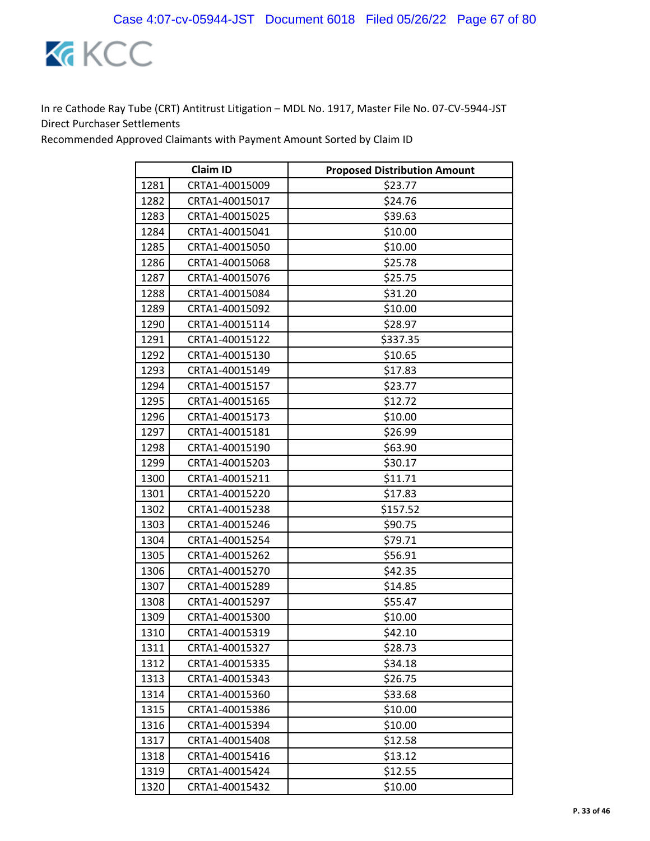

| <b>Claim ID</b> |                | <b>Proposed Distribution Amount</b> |
|-----------------|----------------|-------------------------------------|
| 1281            | CRTA1-40015009 | \$23.77                             |
| 1282            | CRTA1-40015017 | \$24.76                             |
| 1283            | CRTA1-40015025 | \$39.63                             |
| 1284            | CRTA1-40015041 | \$10.00                             |
| 1285            | CRTA1-40015050 | \$10.00                             |
| 1286            | CRTA1-40015068 | \$25.78                             |
| 1287            | CRTA1-40015076 | \$25.75                             |
| 1288            | CRTA1-40015084 | \$31.20                             |
| 1289            | CRTA1-40015092 | \$10.00                             |
| 1290            | CRTA1-40015114 | \$28.97                             |
| 1291            | CRTA1-40015122 | \$337.35                            |
| 1292            | CRTA1-40015130 | \$10.65                             |
| 1293            | CRTA1-40015149 | \$17.83                             |
| 1294            | CRTA1-40015157 | \$23.77                             |
| 1295            | CRTA1-40015165 | \$12.72                             |
| 1296            | CRTA1-40015173 | \$10.00                             |
| 1297            | CRTA1-40015181 | \$26.99                             |
| 1298            | CRTA1-40015190 | \$63.90                             |
| 1299            | CRTA1-40015203 | \$30.17                             |
| 1300            | CRTA1-40015211 | \$11.71                             |
| 1301            | CRTA1-40015220 | \$17.83                             |
| 1302            | CRTA1-40015238 | \$157.52                            |
| 1303            | CRTA1-40015246 | \$90.75                             |
| 1304            | CRTA1-40015254 | \$79.71                             |
| 1305            | CRTA1-40015262 | \$56.91                             |
| 1306            | CRTA1-40015270 | \$42.35                             |
| 1307            | CRTA1-40015289 | \$14.85                             |
| 1308            | CRTA1-40015297 | \$55.47                             |
| 1309            | CRTA1-40015300 | \$10.00                             |
| 1310            | CRTA1-40015319 | \$42.10                             |
| 1311            | CRTA1-40015327 | \$28.73                             |
| 1312            | CRTA1-40015335 | \$34.18                             |
| 1313            | CRTA1-40015343 | \$26.75                             |
| 1314            | CRTA1-40015360 | \$33.68                             |
| 1315            | CRTA1-40015386 | \$10.00                             |
| 1316            | CRTA1-40015394 | \$10.00                             |
| 1317            | CRTA1-40015408 | \$12.58                             |
| 1318            | CRTA1-40015416 | \$13.12                             |
| 1319            | CRTA1-40015424 | \$12.55                             |
| 1320            | CRTA1-40015432 | \$10.00                             |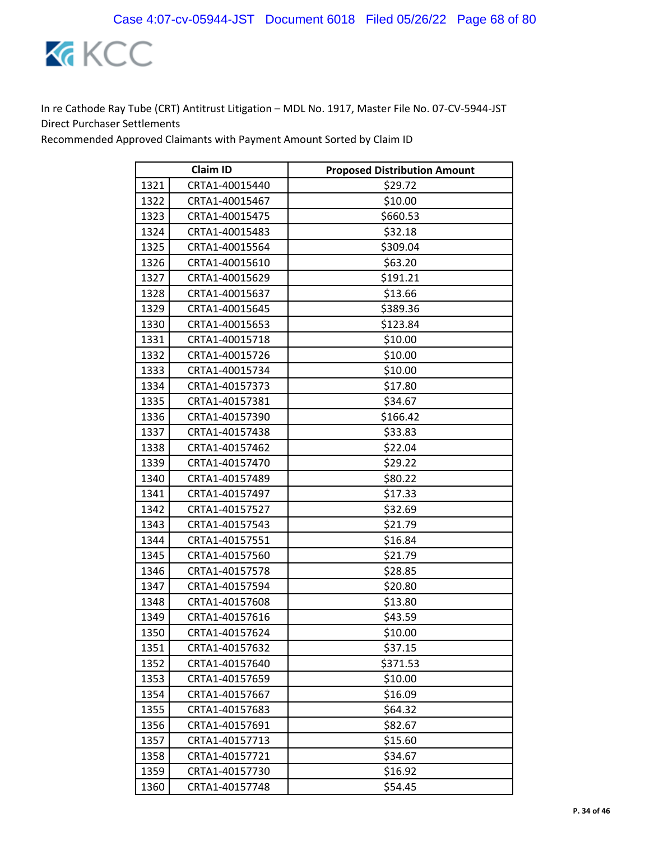

|      | <b>Claim ID</b> | <b>Proposed Distribution Amount</b> |
|------|-----------------|-------------------------------------|
| 1321 | CRTA1-40015440  | \$29.72                             |
| 1322 | CRTA1-40015467  | \$10.00                             |
| 1323 | CRTA1-40015475  | \$660.53                            |
| 1324 | CRTA1-40015483  | \$32.18                             |
| 1325 | CRTA1-40015564  | \$309.04                            |
| 1326 | CRTA1-40015610  | \$63.20                             |
| 1327 | CRTA1-40015629  | \$191.21                            |
| 1328 | CRTA1-40015637  | \$13.66                             |
| 1329 | CRTA1-40015645  | \$389.36                            |
| 1330 | CRTA1-40015653  | \$123.84                            |
| 1331 | CRTA1-40015718  | \$10.00                             |
| 1332 | CRTA1-40015726  | \$10.00                             |
| 1333 | CRTA1-40015734  | \$10.00                             |
| 1334 | CRTA1-40157373  | \$17.80                             |
| 1335 | CRTA1-40157381  | \$34.67                             |
| 1336 | CRTA1-40157390  | \$166.42                            |
| 1337 | CRTA1-40157438  | \$33.83                             |
| 1338 | CRTA1-40157462  | \$22.04                             |
| 1339 | CRTA1-40157470  | \$29.22                             |
| 1340 | CRTA1-40157489  | \$80.22                             |
| 1341 | CRTA1-40157497  | \$17.33                             |
| 1342 | CRTA1-40157527  | \$32.69                             |
| 1343 | CRTA1-40157543  | \$21.79                             |
| 1344 | CRTA1-40157551  | \$16.84                             |
| 1345 | CRTA1-40157560  | \$21.79                             |
| 1346 | CRTA1-40157578  | \$28.85                             |
| 1347 | CRTA1-40157594  | \$20.80                             |
| 1348 | CRTA1-40157608  | \$13.80                             |
| 1349 | CRTA1-40157616  | \$43.59                             |
| 1350 | CRTA1-40157624  | \$10.00                             |
| 1351 | CRTA1-40157632  | \$37.15                             |
| 1352 | CRTA1-40157640  | \$371.53                            |
| 1353 | CRTA1-40157659  | \$10.00                             |
| 1354 | CRTA1-40157667  | \$16.09                             |
| 1355 | CRTA1-40157683  | \$64.32                             |
| 1356 | CRTA1-40157691  | \$82.67                             |
| 1357 | CRTA1-40157713  | \$15.60                             |
| 1358 | CRTA1-40157721  | \$34.67                             |
| 1359 | CRTA1-40157730  | \$16.92                             |
| 1360 | CRTA1-40157748  | \$54.45                             |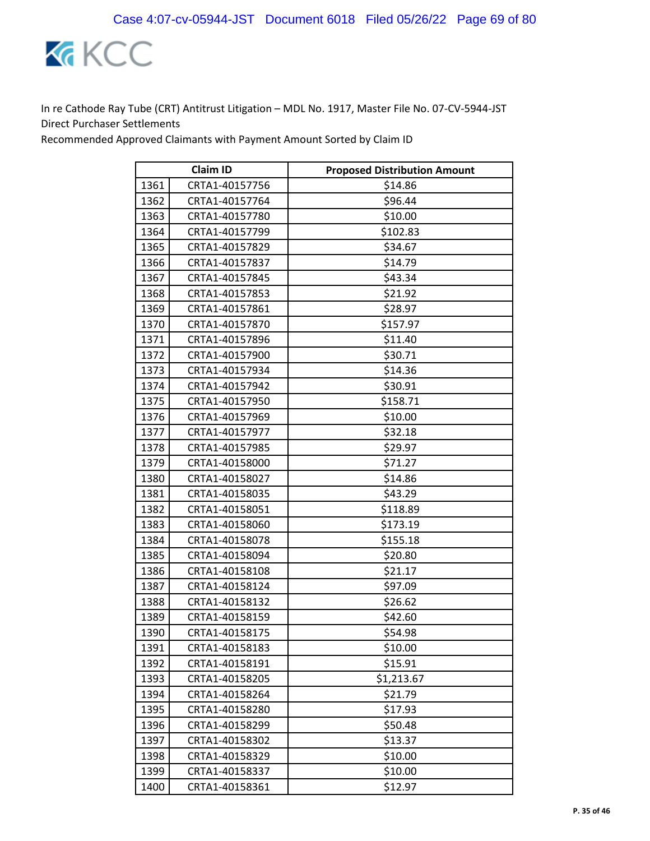

| <b>Claim ID</b> |                | <b>Proposed Distribution Amount</b> |
|-----------------|----------------|-------------------------------------|
| 1361            | CRTA1-40157756 | \$14.86                             |
| 1362            | CRTA1-40157764 | \$96.44                             |
| 1363            | CRTA1-40157780 | \$10.00                             |
| 1364            | CRTA1-40157799 | \$102.83                            |
| 1365            | CRTA1-40157829 | \$34.67                             |
| 1366            | CRTA1-40157837 | \$14.79                             |
| 1367            | CRTA1-40157845 | \$43.34                             |
| 1368            | CRTA1-40157853 | \$21.92                             |
| 1369            | CRTA1-40157861 | \$28.97                             |
| 1370            | CRTA1-40157870 | \$157.97                            |
| 1371            | CRTA1-40157896 | \$11.40                             |
| 1372            | CRTA1-40157900 | \$30.71                             |
| 1373            | CRTA1-40157934 | \$14.36                             |
| 1374            | CRTA1-40157942 | \$30.91                             |
| 1375            | CRTA1-40157950 | \$158.71                            |
| 1376            | CRTA1-40157969 | \$10.00                             |
| 1377            | CRTA1-40157977 | \$32.18                             |
| 1378            | CRTA1-40157985 | \$29.97                             |
| 1379            | CRTA1-40158000 | \$71.27                             |
| 1380            | CRTA1-40158027 | \$14.86                             |
| 1381            | CRTA1-40158035 | \$43.29                             |
| 1382            | CRTA1-40158051 | \$118.89                            |
| 1383            | CRTA1-40158060 | \$173.19                            |
| 1384            | CRTA1-40158078 | \$155.18                            |
| 1385            | CRTA1-40158094 | \$20.80                             |
| 1386            | CRTA1-40158108 | \$21.17                             |
| 1387            | CRTA1-40158124 | \$97.09                             |
| 1388            | CRTA1-40158132 | \$26.62                             |
| 1389            | CRTA1-40158159 | \$42.60                             |
| 1390            | CRTA1-40158175 | \$54.98                             |
| 1391            | CRTA1-40158183 | \$10.00                             |
| 1392            | CRTA1-40158191 | \$15.91                             |
| 1393            | CRTA1-40158205 | \$1,213.67                          |
| 1394            | CRTA1-40158264 | \$21.79                             |
| 1395            | CRTA1-40158280 | \$17.93                             |
| 1396            | CRTA1-40158299 | \$50.48                             |
| 1397            | CRTA1-40158302 | \$13.37                             |
| 1398            | CRTA1-40158329 | \$10.00                             |
| 1399            | CRTA1-40158337 | \$10.00                             |
| 1400            | CRTA1-40158361 | \$12.97                             |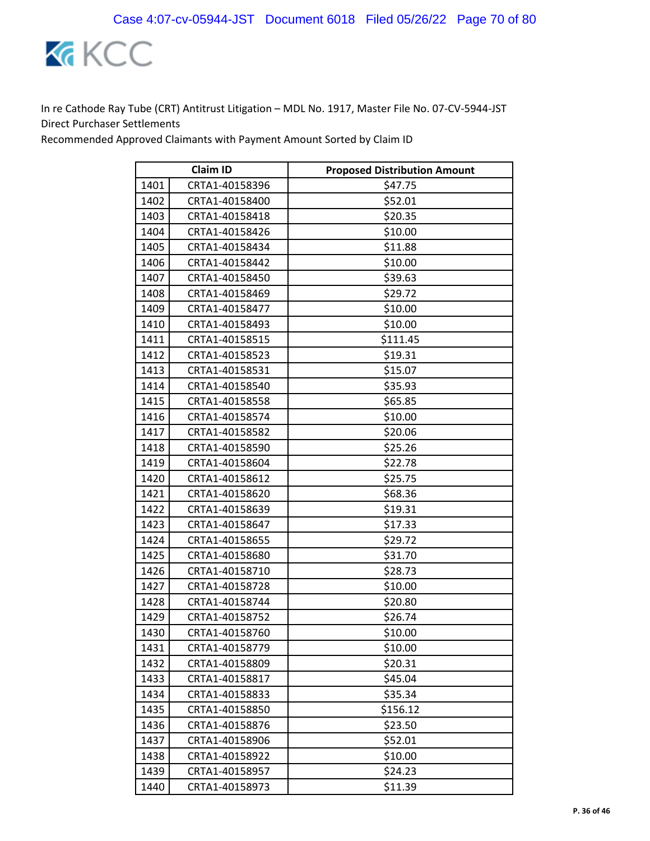

| <b>Claim ID</b> |                | <b>Proposed Distribution Amount</b> |
|-----------------|----------------|-------------------------------------|
| 1401            | CRTA1-40158396 | \$47.75                             |
| 1402            | CRTA1-40158400 | \$52.01                             |
| 1403            | CRTA1-40158418 | \$20.35                             |
| 1404            | CRTA1-40158426 | \$10.00                             |
| 1405            | CRTA1-40158434 | \$11.88                             |
| 1406            | CRTA1-40158442 | \$10.00                             |
| 1407            | CRTA1-40158450 | \$39.63                             |
| 1408            | CRTA1-40158469 | \$29.72                             |
| 1409            | CRTA1-40158477 | \$10.00                             |
| 1410            | CRTA1-40158493 | \$10.00                             |
| 1411            | CRTA1-40158515 | \$111.45                            |
| 1412            | CRTA1-40158523 | \$19.31                             |
| 1413            | CRTA1-40158531 | \$15.07                             |
| 1414            | CRTA1-40158540 | \$35.93                             |
| 1415            | CRTA1-40158558 | \$65.85                             |
| 1416            | CRTA1-40158574 | \$10.00                             |
| 1417            | CRTA1-40158582 | \$20.06                             |
| 1418            | CRTA1-40158590 | \$25.26                             |
| 1419            | CRTA1-40158604 | \$22.78                             |
| 1420            | CRTA1-40158612 | \$25.75                             |
| 1421            | CRTA1-40158620 | \$68.36                             |
| 1422            | CRTA1-40158639 | \$19.31                             |
| 1423            | CRTA1-40158647 | \$17.33                             |
| 1424            | CRTA1-40158655 | \$29.72                             |
| 1425            | CRTA1-40158680 | \$31.70                             |
| 1426            | CRTA1-40158710 | \$28.73                             |
| 1427            | CRTA1-40158728 | \$10.00                             |
| 1428            | CRTA1-40158744 | \$20.80                             |
| 1429            | CRTA1-40158752 | \$26.74                             |
| 1430            | CRTA1-40158760 | \$10.00                             |
| 1431            | CRTA1-40158779 | \$10.00                             |
| 1432            | CRTA1-40158809 | \$20.31                             |
| 1433            | CRTA1-40158817 | \$45.04                             |
| 1434            | CRTA1-40158833 | \$35.34                             |
| 1435            | CRTA1-40158850 | \$156.12                            |
| 1436            | CRTA1-40158876 | \$23.50                             |
| 1437            | CRTA1-40158906 | \$52.01                             |
| 1438            | CRTA1-40158922 | \$10.00                             |
| 1439            | CRTA1-40158957 | \$24.23                             |
| 1440            | CRTA1-40158973 | \$11.39                             |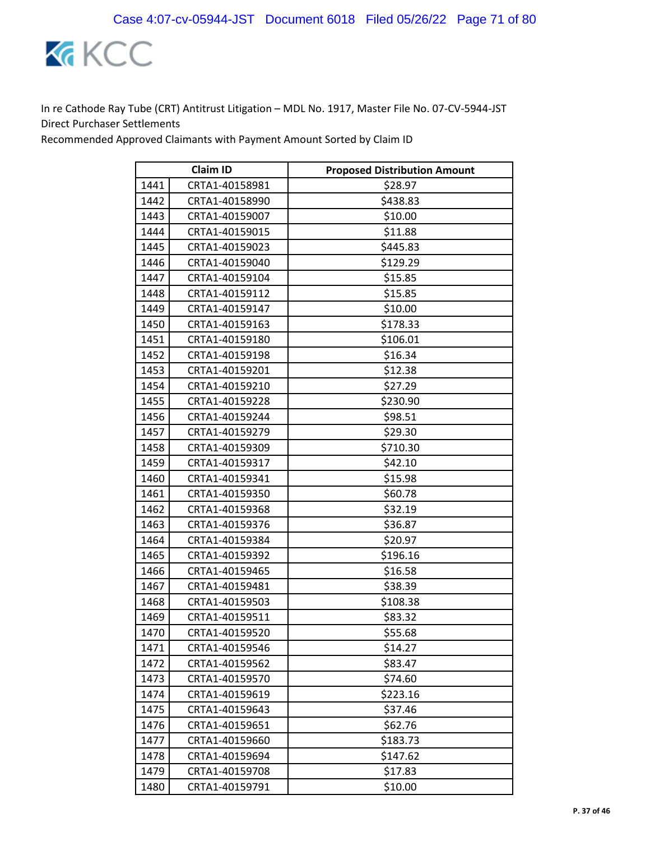

| <b>Claim ID</b> |                | <b>Proposed Distribution Amount</b> |
|-----------------|----------------|-------------------------------------|
| 1441            | CRTA1-40158981 | \$28.97                             |
| 1442            | CRTA1-40158990 | \$438.83                            |
| 1443            | CRTA1-40159007 | \$10.00                             |
| 1444            | CRTA1-40159015 | \$11.88                             |
| 1445            | CRTA1-40159023 | \$445.83                            |
| 1446            | CRTA1-40159040 | \$129.29                            |
| 1447            | CRTA1-40159104 | \$15.85                             |
| 1448            | CRTA1-40159112 | \$15.85                             |
| 1449            | CRTA1-40159147 | \$10.00                             |
| 1450            | CRTA1-40159163 | \$178.33                            |
| 1451            | CRTA1-40159180 | \$106.01                            |
| 1452            | CRTA1-40159198 | \$16.34                             |
| 1453            | CRTA1-40159201 | \$12.38                             |
| 1454            | CRTA1-40159210 | \$27.29                             |
| 1455            | CRTA1-40159228 | \$230.90                            |
| 1456            | CRTA1-40159244 | \$98.51                             |
| 1457            | CRTA1-40159279 | \$29.30                             |
| 1458            | CRTA1-40159309 | \$710.30                            |
| 1459            | CRTA1-40159317 | \$42.10                             |
| 1460            | CRTA1-40159341 | \$15.98                             |
| 1461            | CRTA1-40159350 | \$60.78                             |
| 1462            | CRTA1-40159368 | \$32.19                             |
| 1463            | CRTA1-40159376 | \$36.87                             |
| 1464            | CRTA1-40159384 | \$20.97                             |
| 1465            | CRTA1-40159392 | \$196.16                            |
| 1466            | CRTA1-40159465 | \$16.58                             |
| 1467            | CRTA1-40159481 | \$38.39                             |
| 1468            | CRTA1-40159503 | \$108.38                            |
| 1469            | CRTA1-40159511 | \$83.32                             |
| 1470            | CRTA1-40159520 | \$55.68                             |
| 1471            | CRTA1-40159546 | \$14.27                             |
| 1472            | CRTA1-40159562 | \$83.47                             |
| 1473            | CRTA1-40159570 | \$74.60                             |
| 1474            | CRTA1-40159619 | \$223.16                            |
| 1475            | CRTA1-40159643 | \$37.46                             |
| 1476            | CRTA1-40159651 | \$62.76                             |
| 1477            | CRTA1-40159660 | \$183.73                            |
| 1478            | CRTA1-40159694 | \$147.62                            |
| 1479            | CRTA1-40159708 | \$17.83                             |
| 1480            | CRTA1-40159791 | \$10.00                             |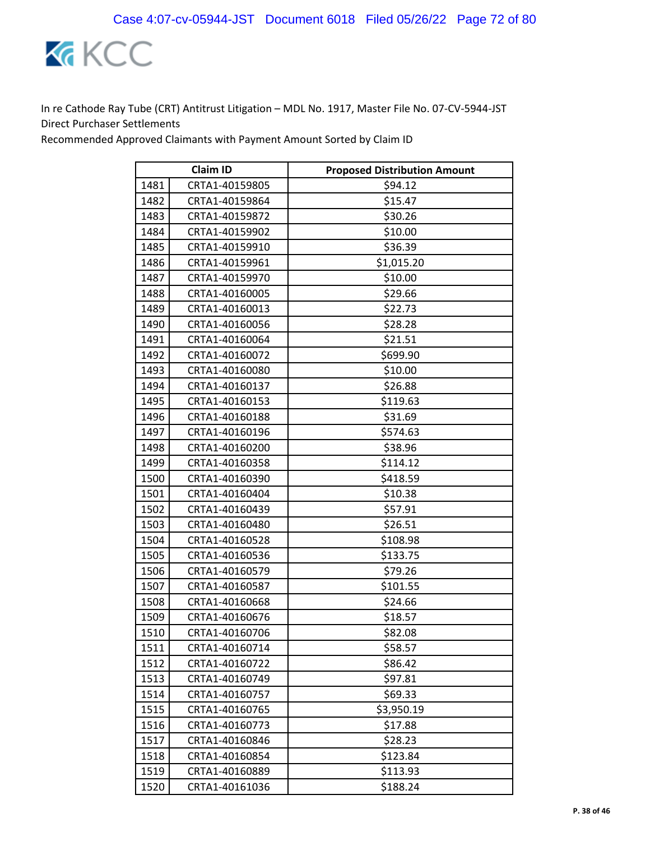

| <b>Claim ID</b> |                | <b>Proposed Distribution Amount</b> |
|-----------------|----------------|-------------------------------------|
| 1481            | CRTA1-40159805 | \$94.12                             |
| 1482            | CRTA1-40159864 | \$15.47                             |
| 1483            | CRTA1-40159872 | \$30.26                             |
| 1484            | CRTA1-40159902 | \$10.00                             |
| 1485            | CRTA1-40159910 | \$36.39                             |
| 1486            | CRTA1-40159961 | \$1,015.20                          |
| 1487            | CRTA1-40159970 | \$10.00                             |
| 1488            | CRTA1-40160005 | \$29.66                             |
| 1489            | CRTA1-40160013 | \$22.73                             |
| 1490            | CRTA1-40160056 | \$28.28                             |
| 1491            | CRTA1-40160064 | \$21.51                             |
| 1492            | CRTA1-40160072 | \$699.90                            |
| 1493            | CRTA1-40160080 | \$10.00                             |
| 1494            | CRTA1-40160137 | \$26.88                             |
| 1495            | CRTA1-40160153 | \$119.63                            |
| 1496            | CRTA1-40160188 | \$31.69                             |
| 1497            | CRTA1-40160196 | \$574.63                            |
| 1498            | CRTA1-40160200 | \$38.96                             |
| 1499            | CRTA1-40160358 | \$114.12                            |
| 1500            | CRTA1-40160390 | \$418.59                            |
| 1501            | CRTA1-40160404 | \$10.38                             |
| 1502            | CRTA1-40160439 | \$57.91                             |
| 1503            | CRTA1-40160480 | \$26.51                             |
| 1504            | CRTA1-40160528 | \$108.98                            |
| 1505            | CRTA1-40160536 | \$133.75                            |
| 1506            | CRTA1-40160579 | \$79.26                             |
| 1507            | CRTA1-40160587 | \$101.55                            |
| 1508            | CRTA1-40160668 | \$24.66                             |
| 1509            | CRTA1-40160676 | \$18.57                             |
| 1510            | CRTA1-40160706 | \$82.08                             |
| 1511            | CRTA1-40160714 | \$58.57                             |
| 1512            | CRTA1-40160722 | \$86.42                             |
| 1513            | CRTA1-40160749 | \$97.81                             |
| 1514            | CRTA1-40160757 | \$69.33                             |
| 1515            | CRTA1-40160765 | \$3,950.19                          |
| 1516            | CRTA1-40160773 | \$17.88                             |
| 1517            | CRTA1-40160846 | \$28.23                             |
| 1518            | CRTA1-40160854 | \$123.84                            |
| 1519            | CRTA1-40160889 | \$113.93                            |
| 1520            | CRTA1-40161036 | \$188.24                            |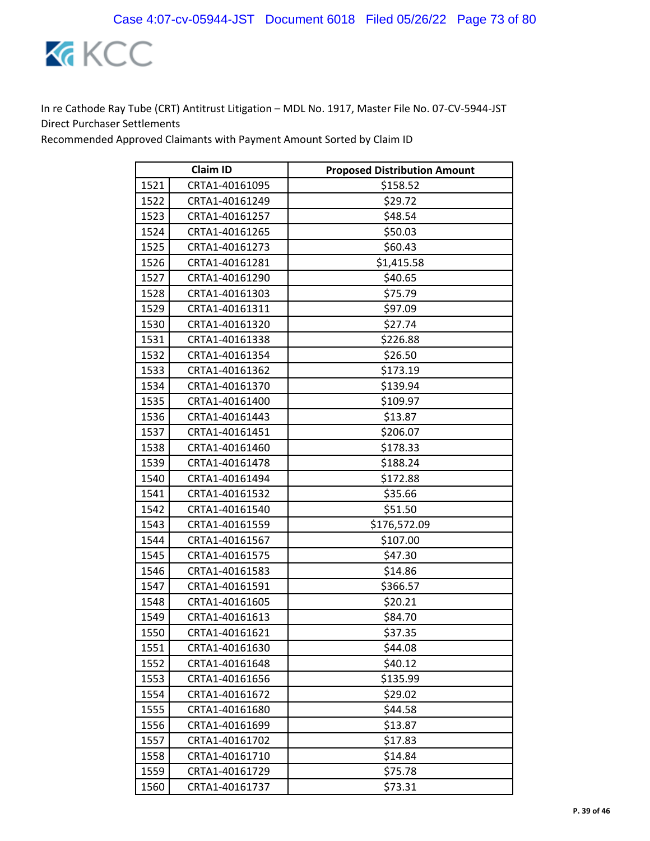

| <b>Claim ID</b> |                | <b>Proposed Distribution Amount</b> |
|-----------------|----------------|-------------------------------------|
| 1521            | CRTA1-40161095 | \$158.52                            |
| 1522            | CRTA1-40161249 | \$29.72                             |
| 1523            | CRTA1-40161257 | \$48.54                             |
| 1524            | CRTA1-40161265 | \$50.03                             |
| 1525            | CRTA1-40161273 | \$60.43                             |
| 1526            | CRTA1-40161281 | \$1,415.58                          |
| 1527            | CRTA1-40161290 | \$40.65                             |
| 1528            | CRTA1-40161303 | \$75.79                             |
| 1529            | CRTA1-40161311 | \$97.09                             |
| 1530            | CRTA1-40161320 | \$27.74                             |
| 1531            | CRTA1-40161338 | \$226.88                            |
| 1532            | CRTA1-40161354 | \$26.50                             |
| 1533            | CRTA1-40161362 | \$173.19                            |
| 1534            | CRTA1-40161370 | \$139.94                            |
| 1535            | CRTA1-40161400 | \$109.97                            |
| 1536            | CRTA1-40161443 | \$13.87                             |
| 1537            | CRTA1-40161451 | \$206.07                            |
| 1538            | CRTA1-40161460 | \$178.33                            |
| 1539            | CRTA1-40161478 | \$188.24                            |
| 1540            | CRTA1-40161494 | \$172.88                            |
| 1541            | CRTA1-40161532 | \$35.66                             |
| 1542            | CRTA1-40161540 | \$51.50                             |
| 1543            | CRTA1-40161559 | \$176,572.09                        |
| 1544            | CRTA1-40161567 | \$107.00                            |
| 1545            | CRTA1-40161575 | \$47.30                             |
| 1546            | CRTA1-40161583 | \$14.86                             |
| 1547            | CRTA1-40161591 | \$366.57                            |
| 1548            | CRTA1-40161605 | \$20.21                             |
| 1549            | CRTA1-40161613 | \$84.70                             |
| 1550            | CRTA1-40161621 | \$37.35                             |
| 1551            | CRTA1-40161630 | \$44.08                             |
| 1552            | CRTA1-40161648 | \$40.12                             |
| 1553            | CRTA1-40161656 | \$135.99                            |
| 1554            | CRTA1-40161672 | \$29.02                             |
| 1555            | CRTA1-40161680 | \$44.58                             |
| 1556            | CRTA1-40161699 | \$13.87                             |
| 1557            | CRTA1-40161702 | \$17.83                             |
| 1558            | CRTA1-40161710 | \$14.84                             |
| 1559            | CRTA1-40161729 | \$75.78                             |
| 1560            | CRTA1-40161737 | \$73.31                             |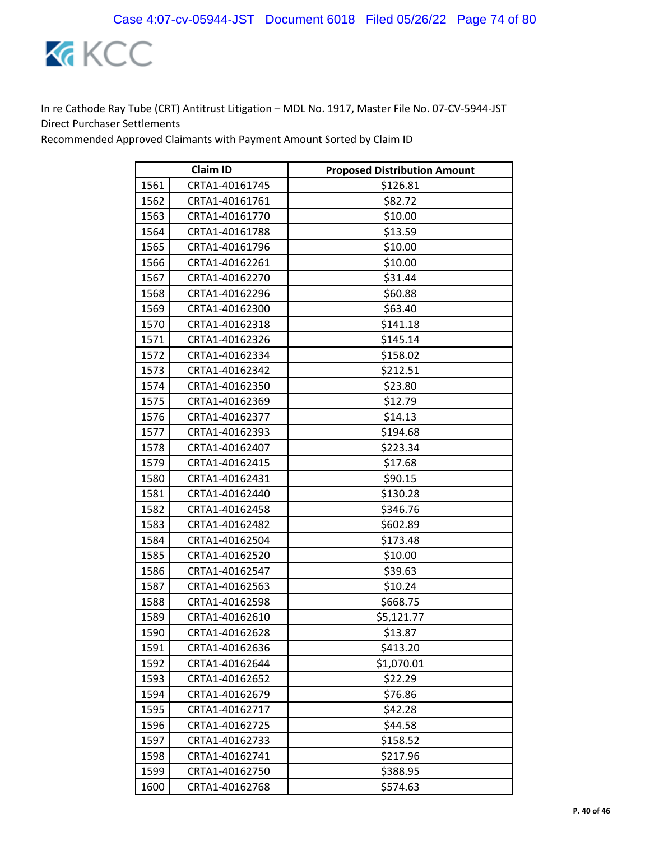

| <b>Claim ID</b> |                | <b>Proposed Distribution Amount</b> |
|-----------------|----------------|-------------------------------------|
| 1561            | CRTA1-40161745 | \$126.81                            |
| 1562            | CRTA1-40161761 | \$82.72                             |
| 1563            | CRTA1-40161770 | \$10.00                             |
| 1564            | CRTA1-40161788 | \$13.59                             |
| 1565            | CRTA1-40161796 | \$10.00                             |
| 1566            | CRTA1-40162261 | \$10.00                             |
| 1567            | CRTA1-40162270 | \$31.44                             |
| 1568            | CRTA1-40162296 | \$60.88                             |
| 1569            | CRTA1-40162300 | \$63.40                             |
| 1570            | CRTA1-40162318 | \$141.18                            |
| 1571            | CRTA1-40162326 | \$145.14                            |
| 1572            | CRTA1-40162334 | \$158.02                            |
| 1573            | CRTA1-40162342 | \$212.51                            |
| 1574            | CRTA1-40162350 | \$23.80                             |
| 1575            | CRTA1-40162369 | \$12.79                             |
| 1576            | CRTA1-40162377 | \$14.13                             |
| 1577            | CRTA1-40162393 | \$194.68                            |
| 1578            | CRTA1-40162407 | \$223.34                            |
| 1579            | CRTA1-40162415 | \$17.68                             |
| 1580            | CRTA1-40162431 | \$90.15                             |
| 1581            | CRTA1-40162440 | \$130.28                            |
| 1582            | CRTA1-40162458 | \$346.76                            |
| 1583            | CRTA1-40162482 | \$602.89                            |
| 1584            | CRTA1-40162504 | \$173.48                            |
| 1585            | CRTA1-40162520 | \$10.00                             |
| 1586            | CRTA1-40162547 | \$39.63                             |
| 1587            | CRTA1-40162563 | \$10.24                             |
| 1588            | CRTA1-40162598 | \$668.75                            |
| 1589            | CRTA1-40162610 | \$5,121.77                          |
| 1590            | CRTA1-40162628 | \$13.87                             |
| 1591            | CRTA1-40162636 | \$413.20                            |
| 1592            | CRTA1-40162644 | \$1,070.01                          |
| 1593            | CRTA1-40162652 | \$22.29                             |
| 1594            | CRTA1-40162679 | \$76.86                             |
| 1595            | CRTA1-40162717 | \$42.28                             |
| 1596            | CRTA1-40162725 | \$44.58                             |
| 1597            | CRTA1-40162733 | \$158.52                            |
| 1598            | CRTA1-40162741 | \$217.96                            |
| 1599            | CRTA1-40162750 | \$388.95                            |
| 1600            | CRTA1-40162768 | \$574.63                            |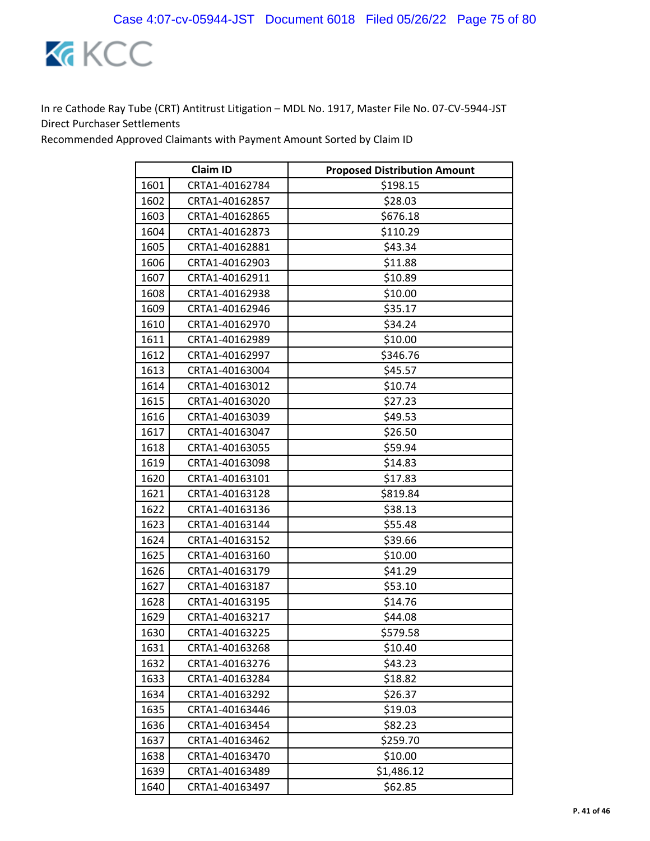

| <b>Claim ID</b> |                | <b>Proposed Distribution Amount</b> |
|-----------------|----------------|-------------------------------------|
| 1601            | CRTA1-40162784 | \$198.15                            |
| 1602            | CRTA1-40162857 | \$28.03                             |
| 1603            | CRTA1-40162865 | \$676.18                            |
| 1604            | CRTA1-40162873 | \$110.29                            |
| 1605            | CRTA1-40162881 | \$43.34                             |
| 1606            | CRTA1-40162903 | \$11.88                             |
| 1607            | CRTA1-40162911 | \$10.89                             |
| 1608            | CRTA1-40162938 | \$10.00                             |
| 1609            | CRTA1-40162946 | \$35.17                             |
| 1610            | CRTA1-40162970 | \$34.24                             |
| 1611            | CRTA1-40162989 | \$10.00                             |
| 1612            | CRTA1-40162997 | \$346.76                            |
| 1613            | CRTA1-40163004 | \$45.57                             |
| 1614            | CRTA1-40163012 | \$10.74                             |
| 1615            | CRTA1-40163020 | \$27.23                             |
| 1616            | CRTA1-40163039 | \$49.53                             |
| 1617            | CRTA1-40163047 | \$26.50                             |
| 1618            | CRTA1-40163055 | \$59.94                             |
| 1619            | CRTA1-40163098 | \$14.83                             |
| 1620            | CRTA1-40163101 | \$17.83                             |
| 1621            | CRTA1-40163128 | \$819.84                            |
| 1622            | CRTA1-40163136 | \$38.13                             |
| 1623            | CRTA1-40163144 | \$55.48                             |
| 1624            | CRTA1-40163152 | \$39.66                             |
| 1625            | CRTA1-40163160 | \$10.00                             |
| 1626            | CRTA1-40163179 | \$41.29                             |
| 1627            | CRTA1-40163187 | \$53.10                             |
| 1628            | CRTA1-40163195 | \$14.76                             |
| 1629            | CRTA1-40163217 | \$44.08                             |
| 1630            | CRTA1-40163225 | \$579.58                            |
| 1631            | CRTA1-40163268 | \$10.40                             |
| 1632            | CRTA1-40163276 | \$43.23                             |
| 1633            | CRTA1-40163284 | \$18.82                             |
| 1634            | CRTA1-40163292 | \$26.37                             |
| 1635            | CRTA1-40163446 | \$19.03                             |
| 1636            | CRTA1-40163454 | \$82.23                             |
| 1637            | CRTA1-40163462 | \$259.70                            |
| 1638            | CRTA1-40163470 | \$10.00                             |
| 1639            | CRTA1-40163489 | \$1,486.12                          |
| 1640            | CRTA1-40163497 | \$62.85                             |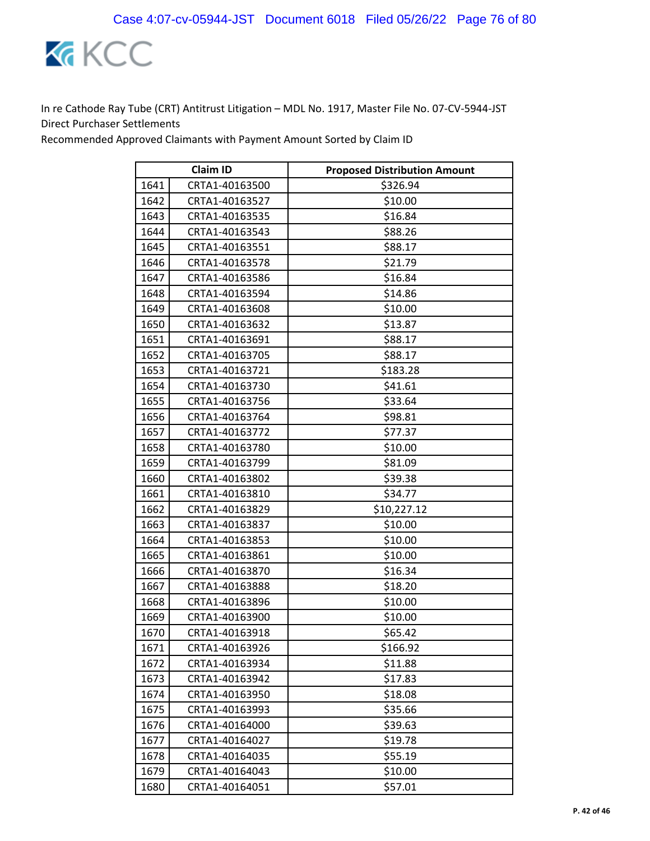

| <b>Claim ID</b> |                | <b>Proposed Distribution Amount</b> |
|-----------------|----------------|-------------------------------------|
| 1641            | CRTA1-40163500 | \$326.94                            |
| 1642            | CRTA1-40163527 | \$10.00                             |
| 1643            | CRTA1-40163535 | \$16.84                             |
| 1644            | CRTA1-40163543 | \$88.26                             |
| 1645            | CRTA1-40163551 | \$88.17                             |
| 1646            | CRTA1-40163578 | \$21.79                             |
| 1647            | CRTA1-40163586 | \$16.84                             |
| 1648            | CRTA1-40163594 | \$14.86                             |
| 1649            | CRTA1-40163608 | \$10.00                             |
| 1650            | CRTA1-40163632 | \$13.87                             |
| 1651            | CRTA1-40163691 | \$88.17                             |
| 1652            | CRTA1-40163705 | \$88.17                             |
| 1653            | CRTA1-40163721 | \$183.28                            |
| 1654            | CRTA1-40163730 | \$41.61                             |
| 1655            | CRTA1-40163756 | \$33.64                             |
| 1656            | CRTA1-40163764 | \$98.81                             |
| 1657            | CRTA1-40163772 | \$77.37                             |
| 1658            | CRTA1-40163780 | \$10.00                             |
| 1659            | CRTA1-40163799 | \$81.09                             |
| 1660            | CRTA1-40163802 | \$39.38                             |
| 1661            | CRTA1-40163810 | \$34.77                             |
| 1662            | CRTA1-40163829 | \$10,227.12                         |
| 1663            | CRTA1-40163837 | \$10.00                             |
| 1664            | CRTA1-40163853 | \$10.00                             |
| 1665            | CRTA1-40163861 | \$10.00                             |
| 1666            | CRTA1-40163870 | \$16.34                             |
| 1667            | CRTA1-40163888 | \$18.20                             |
| 1668            | CRTA1-40163896 | \$10.00                             |
| 1669            | CRTA1-40163900 | \$10.00                             |
| 1670            | CRTA1-40163918 | \$65.42                             |
| 1671            | CRTA1-40163926 | \$166.92                            |
| 1672            | CRTA1-40163934 | \$11.88                             |
| 1673            | CRTA1-40163942 | \$17.83                             |
| 1674            | CRTA1-40163950 | \$18.08                             |
| 1675            | CRTA1-40163993 | \$35.66                             |
| 1676            | CRTA1-40164000 | \$39.63                             |
| 1677            | CRTA1-40164027 | \$19.78                             |
| 1678            | CRTA1-40164035 | \$55.19                             |
| 1679            | CRTA1-40164043 | \$10.00                             |
| 1680            | CRTA1-40164051 | \$57.01                             |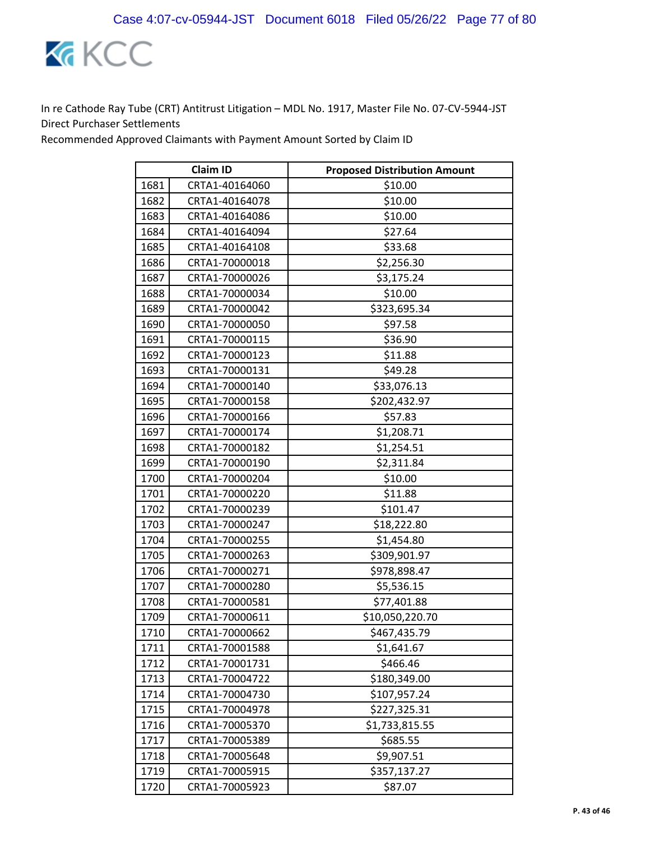

| <b>Claim ID</b> |                | <b>Proposed Distribution Amount</b> |
|-----------------|----------------|-------------------------------------|
| 1681            | CRTA1-40164060 | \$10.00                             |
| 1682            | CRTA1-40164078 | \$10.00                             |
| 1683            | CRTA1-40164086 | \$10.00                             |
| 1684            | CRTA1-40164094 | \$27.64                             |
| 1685            | CRTA1-40164108 | \$33.68                             |
| 1686            | CRTA1-70000018 | \$2,256.30                          |
| 1687            | CRTA1-70000026 | \$3,175.24                          |
| 1688            | CRTA1-70000034 | \$10.00                             |
| 1689            | CRTA1-70000042 | \$323,695.34                        |
| 1690            | CRTA1-70000050 | \$97.58                             |
| 1691            | CRTA1-70000115 | \$36.90                             |
| 1692            | CRTA1-70000123 | \$11.88                             |
| 1693            | CRTA1-70000131 | \$49.28                             |
| 1694            | CRTA1-70000140 | \$33,076.13                         |
| 1695            | CRTA1-70000158 | \$202,432.97                        |
| 1696            | CRTA1-70000166 | \$57.83                             |
| 1697            | CRTA1-70000174 | \$1,208.71                          |
| 1698            | CRTA1-70000182 | \$1,254.51                          |
| 1699            | CRTA1-70000190 | \$2,311.84                          |
| 1700            | CRTA1-70000204 | \$10.00                             |
| 1701            | CRTA1-70000220 | \$11.88                             |
| 1702            | CRTA1-70000239 | \$101.47                            |
| 1703            | CRTA1-70000247 | \$18,222.80                         |
| 1704            | CRTA1-70000255 | \$1,454.80                          |
| 1705            | CRTA1-70000263 | \$309,901.97                        |
| 1706            | CRTA1-70000271 | \$978,898.47                        |
| 1707            | CRTA1-70000280 | \$5,536.15                          |
| 1708            | CRTA1-70000581 | \$77,401.88                         |
| 1709            | CRTA1-70000611 | \$10,050,220.70                     |
| 1710            | CRTA1-70000662 | \$467,435.79                        |
| 1711            | CRTA1-70001588 | \$1,641.67                          |
| 1712            | CRTA1-70001731 | \$466.46                            |
| 1713            | CRTA1-70004722 | \$180,349.00                        |
| 1714            | CRTA1-70004730 | \$107,957.24                        |
| 1715            | CRTA1-70004978 | \$227,325.31                        |
| 1716            | CRTA1-70005370 | \$1,733,815.55                      |
| 1717            | CRTA1-70005389 | \$685.55                            |
| 1718            | CRTA1-70005648 | \$9,907.51                          |
| 1719            | CRTA1-70005915 | \$357,137.27                        |
| 1720            | CRTA1-70005923 | \$87.07                             |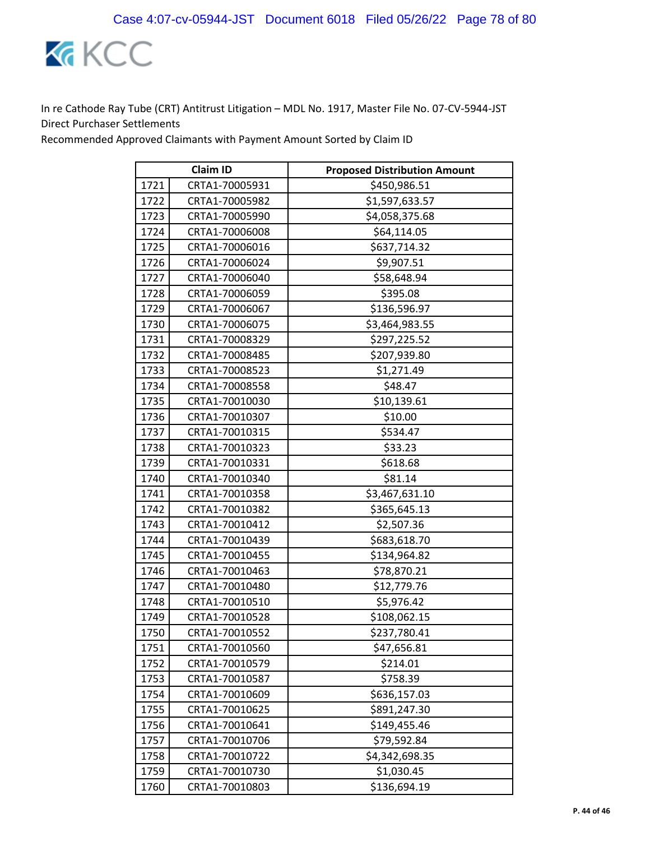

| <b>Claim ID</b> |                | <b>Proposed Distribution Amount</b> |
|-----------------|----------------|-------------------------------------|
| 1721            | CRTA1-70005931 | \$450,986.51                        |
| 1722            | CRTA1-70005982 | \$1,597,633.57                      |
| 1723            | CRTA1-70005990 | \$4,058,375.68                      |
| 1724            | CRTA1-70006008 | \$64,114.05                         |
| 1725            | CRTA1-70006016 | \$637,714.32                        |
| 1726            | CRTA1-70006024 | \$9,907.51                          |
| 1727            | CRTA1-70006040 | \$58,648.94                         |
| 1728            | CRTA1-70006059 | \$395.08                            |
| 1729            | CRTA1-70006067 | \$136,596.97                        |
| 1730            | CRTA1-70006075 | \$3,464,983.55                      |
| 1731            | CRTA1-70008329 | \$297,225.52                        |
| 1732            | CRTA1-70008485 | \$207,939.80                        |
| 1733            | CRTA1-70008523 | \$1,271.49                          |
| 1734            | CRTA1-70008558 | \$48.47                             |
| 1735            | CRTA1-70010030 | \$10,139.61                         |
| 1736            | CRTA1-70010307 | \$10.00                             |
| 1737            | CRTA1-70010315 | \$534.47                            |
| 1738            | CRTA1-70010323 | \$33.23                             |
| 1739            | CRTA1-70010331 | \$618.68                            |
| 1740            | CRTA1-70010340 | \$81.14                             |
| 1741            | CRTA1-70010358 | \$3,467,631.10                      |
| 1742            | CRTA1-70010382 | \$365,645.13                        |
| 1743            | CRTA1-70010412 | \$2,507.36                          |
| 1744            | CRTA1-70010439 | \$683,618.70                        |
| 1745            | CRTA1-70010455 | \$134,964.82                        |
| 1746            | CRTA1-70010463 | \$78,870.21                         |
| 1747            | CRTA1-70010480 | \$12,779.76                         |
| 1748            | CRTA1-70010510 | \$5,976.42                          |
| 1749            | CRTA1-70010528 | \$108,062.15                        |
| 1750            | CRTA1-70010552 | \$237,780.41                        |
| 1751            | CRTA1-70010560 | \$47,656.81                         |
| 1752            | CRTA1-70010579 | \$214.01                            |
| 1753            | CRTA1-70010587 | \$758.39                            |
| 1754            | CRTA1-70010609 | \$636,157.03                        |
| 1755            | CRTA1-70010625 | \$891,247.30                        |
| 1756            | CRTA1-70010641 | \$149,455.46                        |
| 1757            | CRTA1-70010706 | \$79,592.84                         |
| 1758            | CRTA1-70010722 | \$4,342,698.35                      |
| 1759            | CRTA1-70010730 | \$1,030.45                          |
| 1760            | CRTA1-70010803 | \$136,694.19                        |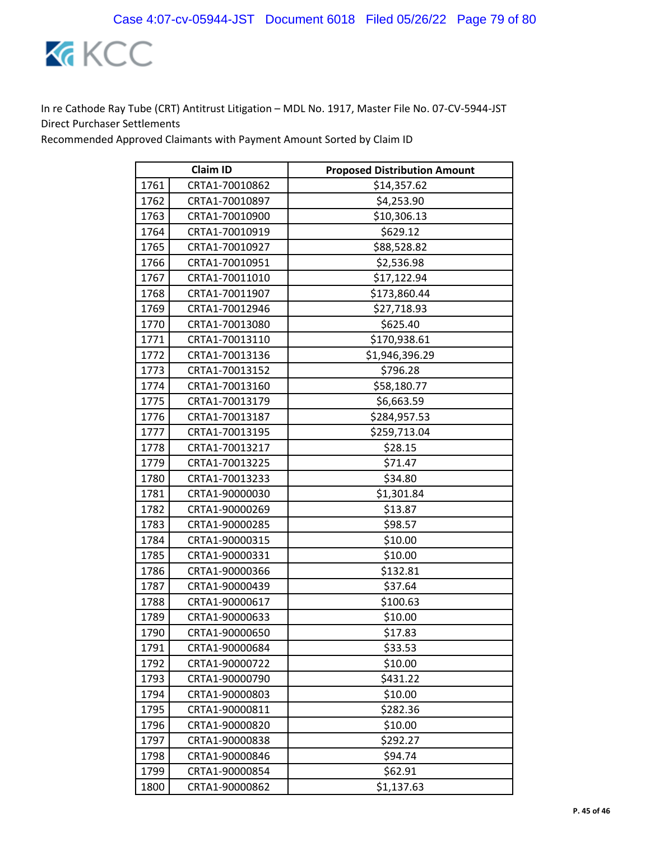

| <b>Claim ID</b> |                | <b>Proposed Distribution Amount</b> |
|-----------------|----------------|-------------------------------------|
| 1761            | CRTA1-70010862 | \$14,357.62                         |
| 1762            | CRTA1-70010897 | \$4,253.90                          |
| 1763            | CRTA1-70010900 | \$10,306.13                         |
| 1764            | CRTA1-70010919 | \$629.12                            |
| 1765            | CRTA1-70010927 | \$88,528.82                         |
| 1766            | CRTA1-70010951 | \$2,536.98                          |
| 1767            | CRTA1-70011010 | \$17,122.94                         |
| 1768            | CRTA1-70011907 | \$173,860.44                        |
| 1769            | CRTA1-70012946 | \$27,718.93                         |
| 1770            | CRTA1-70013080 | \$625.40                            |
| 1771            | CRTA1-70013110 | \$170,938.61                        |
| 1772            | CRTA1-70013136 | \$1,946,396.29                      |
| 1773            | CRTA1-70013152 | \$796.28                            |
| 1774            | CRTA1-70013160 | \$58,180.77                         |
| 1775            | CRTA1-70013179 | \$6,663.59                          |
| 1776            | CRTA1-70013187 | \$284,957.53                        |
| 1777            | CRTA1-70013195 | \$259,713.04                        |
| 1778            | CRTA1-70013217 | \$28.15                             |
| 1779            | CRTA1-70013225 | \$71.47                             |
| 1780            | CRTA1-70013233 | \$34.80                             |
| 1781            | CRTA1-90000030 | \$1,301.84                          |
| 1782            | CRTA1-90000269 | \$13.87                             |
| 1783            | CRTA1-90000285 | \$98.57                             |
| 1784            | CRTA1-90000315 | \$10.00                             |
| 1785            | CRTA1-90000331 | \$10.00                             |
| 1786            | CRTA1-90000366 | \$132.81                            |
| 1787            | CRTA1-90000439 | \$37.64                             |
| 1788            | CRTA1-90000617 | \$100.63                            |
| 1789            | CRTA1-90000633 | \$10.00                             |
| 1790            | CRTA1-90000650 | \$17.83                             |
| 1791            | CRTA1-90000684 | \$33.53                             |
| 1792            | CRTA1-90000722 | \$10.00                             |
| 1793            | CRTA1-90000790 | \$431.22                            |
| 1794            | CRTA1-90000803 | \$10.00                             |
| 1795            | CRTA1-90000811 | \$282.36                            |
| 1796            | CRTA1-90000820 | \$10.00                             |
| 1797            | CRTA1-90000838 | \$292.27                            |
| 1798            | CRTA1-90000846 | \$94.74                             |
| 1799            | CRTA1-90000854 | \$62.91                             |
| 1800            | CRTA1-90000862 | \$1,137.63                          |